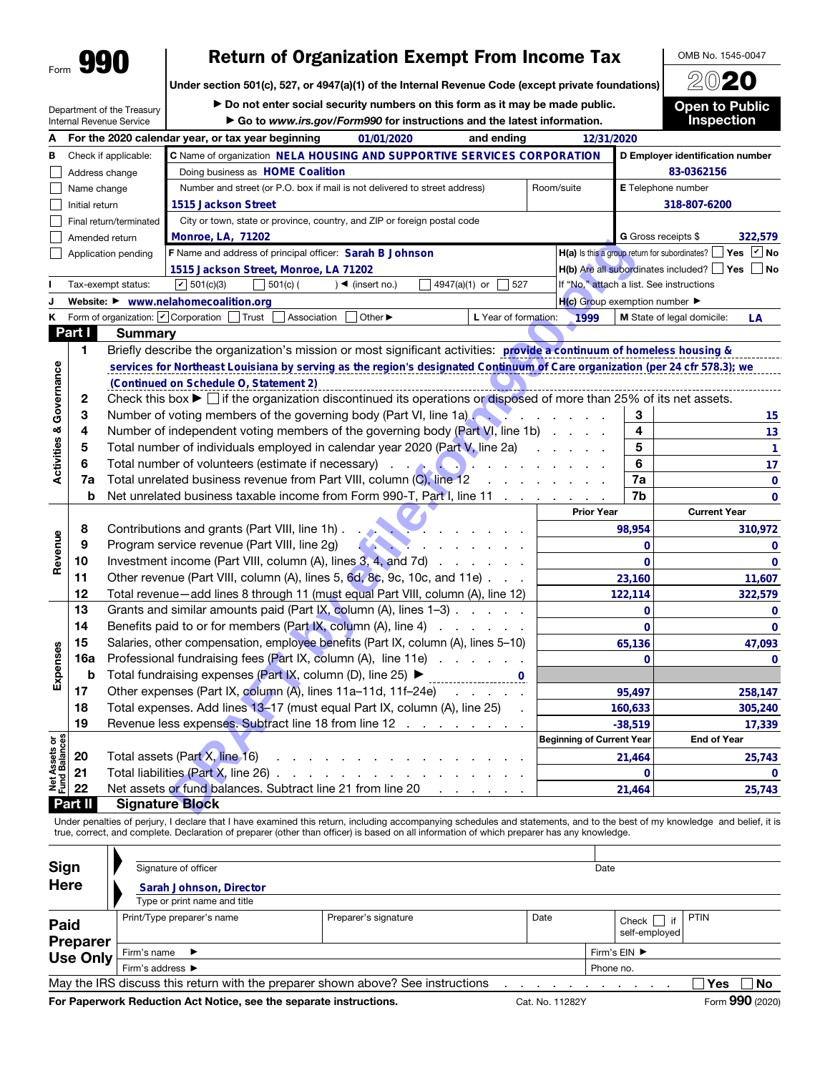| orm |  |
|-----|--|

# Form **990** Return of Organization Exempt From Income Tax DOMB No. 1545-00.<br>Under section 501(c), 527, or 4947(a)(1) of the Internal Revenue Code (except private foundations) 2020

OMB No. 1545-0047

Under section 501(c), 527, or 4947(a)(1) of the Internal Revenue Code (except private foundations)

Department of the Treasury Internal Revenue Service

▶ Do not enter social security numbers on this form as it may be made public. ▶ Go to *www.irs.gov/Form990* for instructions and the latest information.

**Open to Public** Inspection

|                                |                | internal nevenue oervice                               | of the two was also the more than the contract of the two was also the contracted the contracted to the contracted the contracted to the contracted to the contracted to the contracted to the contracted to the contracted to                                                                                           |                                                                 |                                       |              | пізресноп                                |
|--------------------------------|----------------|--------------------------------------------------------|--------------------------------------------------------------------------------------------------------------------------------------------------------------------------------------------------------------------------------------------------------------------------------------------------------------------------|-----------------------------------------------------------------|---------------------------------------|--------------|------------------------------------------|
| A                              |                |                                                        | For the 2020 calendar year, or tax year beginning<br>01/01/2020                                                                                                                                                                                                                                                          | and ending                                                      | 12/31/2020                            |              |                                          |
| в                              |                | Check if applicable:                                   | C Name of organization NELA HOUSING AND SUPPORTIVE SERVICES CORPORATION                                                                                                                                                                                                                                                  |                                                                 |                                       |              | D Employer identification number         |
|                                |                | Address change                                         | Doing business as HOME Coalition                                                                                                                                                                                                                                                                                         |                                                                 |                                       |              | 83-0362156                               |
|                                | Name change    |                                                        | Number and street (or P.O. box if mail is not delivered to street address)                                                                                                                                                                                                                                               |                                                                 | Room/suite                            |              | E Telephone number                       |
|                                | Initial return |                                                        | 1515 Jackson Street                                                                                                                                                                                                                                                                                                      |                                                                 | 318-807-6200                          |              |                                          |
|                                |                | Final return/terminated                                | City or town, state or province, country, and ZIP or foreign postal code                                                                                                                                                                                                                                                 |                                                                 |                                       |              |                                          |
|                                |                | Amended return                                         | <b>Monroe, LA, 71202</b>                                                                                                                                                                                                                                                                                                 |                                                                 | <b>G</b> Gross receipts \$<br>322,579 |              |                                          |
|                                |                | Application pending                                    |                                                                                                                                                                                                                                                                                                                          | H(a) Is this a group return for subordinates? Ves V No          |                                       |              |                                          |
|                                |                |                                                        |                                                                                                                                                                                                                                                                                                                          | H(b) Are all subordinates included?   Yes   No                  |                                       |              |                                          |
|                                |                | Tax-exempt status:                                     | 1515 Jackson Street, Monroe, LA 71202<br>$ v $ 501(c)(3)<br>$501(c)$ (<br>$\sqrt{4}$ (insert no.)                                                                                                                                                                                                                        | 4947(a)(1) or<br>527                                            |                                       |              | If "No," attach a list. See instructions |
| J                              |                |                                                        | Website: ▶ www.nelahomecoalition.org                                                                                                                                                                                                                                                                                     |                                                                 | H(c) Group exemption number ▶         |              |                                          |
|                                |                | Form of organization: $\boxed{\mathbf{v}}$ Corporation | Other ▶                                                                                                                                                                                                                                                                                                                  |                                                                 |                                       |              |                                          |
| Κ                              | Part I         |                                                        | Trust<br>Association                                                                                                                                                                                                                                                                                                     | L Year of formation:                                            | 1999                                  |              | M State of legal domicile:<br>LA         |
|                                |                | <b>Summary</b>                                         |                                                                                                                                                                                                                                                                                                                          |                                                                 |                                       |              |                                          |
|                                | 1.             |                                                        | Briefly describe the organization's mission or most significant activities: provide a continuum of homeless housing &                                                                                                                                                                                                    |                                                                 |                                       |              |                                          |
|                                |                |                                                        | services for Northeast Louisiana by serving as the region's designated Continuum of Care organization (per 24 cfr 578.3); we                                                                                                                                                                                             |                                                                 |                                       |              |                                          |
| Governance                     |                |                                                        | (Continued on Schedule O, Statement 2)<br>_________________________________                                                                                                                                                                                                                                              |                                                                 |                                       |              |                                          |
|                                | $\mathbf{z}$   |                                                        | Check this box $\blacktriangleright$ $\Box$ if the organization discontinued its operations or disposed of more than 25% of its net assets.                                                                                                                                                                              |                                                                 |                                       |              |                                          |
|                                | 3              |                                                        | Number of voting members of the governing body (Part VI, line 1a)                                                                                                                                                                                                                                                        |                                                                 | and a straight                        | 3            | 15                                       |
| <b>Activities &amp;</b>        | 4              |                                                        | Number of independent voting members of the governing body (Part VI, line 1b)                                                                                                                                                                                                                                            |                                                                 |                                       | 4            | 13                                       |
|                                | 5              |                                                        | Total number of individuals employed in calendar year 2020 (Part V, line 2a)                                                                                                                                                                                                                                             |                                                                 |                                       | 5            | 1                                        |
|                                | 6              |                                                        | Total number of volunteers (estimate if necessary)<br><b>Contractor</b>                                                                                                                                                                                                                                                  | $\mathbf{L}$ and $\mathbf{L}$ and $\mathbf{L}$ and $\mathbf{L}$ |                                       | 6            | 17                                       |
|                                | 7a             |                                                        | Total unrelated business revenue from Part VIII, column (C), line 12                                                                                                                                                                                                                                                     |                                                                 |                                       | 7a           | 0                                        |
|                                | b              |                                                        | Net unrelated business taxable income from Form 990-T, Part I, line 11                                                                                                                                                                                                                                                   |                                                                 |                                       | 7b           | 0                                        |
|                                |                |                                                        |                                                                                                                                                                                                                                                                                                                          |                                                                 | <b>Prior Year</b>                     |              | <b>Current Year</b>                      |
|                                | 8              | Contributions and grants (Part VIII, line 1h).         | 98,954                                                                                                                                                                                                                                                                                                                   | 310,972                                                         |                                       |              |                                          |
|                                | 9              |                                                        | Program service revenue (Part VIII, line 2g)<br><b>CA</b>                                                                                                                                                                                                                                                                |                                                                 |                                       | 0            | 0                                        |
| Revenue                        | 10             |                                                        | Investment income (Part VIII, column (A), lines 3, 4, and 7d)                                                                                                                                                                                                                                                            | and a straight and a straight                                   |                                       | $\mathbf{0}$ | 0                                        |
|                                | 11             |                                                        | Other revenue (Part VIII, column (A), lines 5, 6d, 8c, 9c, 10c, and 11e)                                                                                                                                                                                                                                                 |                                                                 |                                       | 23,160       | 11,607                                   |
|                                | 12             |                                                        | Total revenue-add lines 8 through 11 (must equal Part VIII, column (A), line 12)                                                                                                                                                                                                                                         |                                                                 |                                       | 122,114      | 322,579                                  |
|                                | 13             |                                                        | Grants and similar amounts paid (Part IX, column (A), lines $1-3$ ) $\ldots$                                                                                                                                                                                                                                             |                                                                 |                                       | 0            | 0                                        |
|                                | 14             |                                                        | Benefits paid to or for members (Part IX, column (A), line 4)                                                                                                                                                                                                                                                            |                                                                 |                                       | $\mathbf{0}$ | $\bf{0}$                                 |
|                                | 15             |                                                        | Salaries, other compensation, employee benefits (Part IX, column (A), lines 5-10)                                                                                                                                                                                                                                        |                                                                 |                                       | 65,136       | 47,093                                   |
|                                | 16a            |                                                        | Professional fundraising fees (Part IX, column (A), line 11e)                                                                                                                                                                                                                                                            |                                                                 |                                       | $\bf{0}$     | 0                                        |
| Expenses                       | b              |                                                        | Total fundraising expenses (Part IX, column (D), line 25) ▶                                                                                                                                                                                                                                                              | _____________0                                                  |                                       |              |                                          |
|                                | 17             |                                                        | Other expenses (Part IX, column (A), lines 11a-11d, 11f-24e)                                                                                                                                                                                                                                                             | and a strategic                                                 |                                       | 95,497       | 258,147                                  |
|                                | 18             |                                                        | Total expenses. Add lines 13-17 (must equal Part IX, column (A), line 25)                                                                                                                                                                                                                                                |                                                                 |                                       | 160,633      | 305,240                                  |
|                                | 19             |                                                        | Revenue less expenses. Subtract line 18 from line 12                                                                                                                                                                                                                                                                     |                                                                 |                                       | $-38,519$    | 17,339                                   |
|                                |                |                                                        |                                                                                                                                                                                                                                                                                                                          |                                                                 | <b>Beginning of Current Year</b>      |              | <b>End of Year</b>                       |
| Net Assets or<br>Fund Balances | 20             |                                                        | Total assets (Part X, line 16)                                                                                                                                                                                                                                                                                           |                                                                 |                                       | 21,464       | 25,743                                   |
|                                | 21             |                                                        | Total liabilities (Part X, line 26)                                                                                                                                                                                                                                                                                      |                                                                 |                                       | 0            | 0                                        |
|                                | 22             |                                                        | Net assets or fund balances. Subtract line 21 from line 20                                                                                                                                                                                                                                                               |                                                                 |                                       |              |                                          |
|                                | Part II        |                                                        | <b>Signature Block</b>                                                                                                                                                                                                                                                                                                   |                                                                 |                                       | 21,464       | 25,743                                   |
|                                |                |                                                        |                                                                                                                                                                                                                                                                                                                          |                                                                 |                                       |              |                                          |
|                                |                |                                                        | Under penalties of perjury, I declare that I have examined this return, including accompanying schedules and statements, and to the best of my knowledge and belief, it is<br>true, correct, and complete. Declaration of preparer (other than officer) is based on all information of which preparer has any knowledge. |                                                                 |                                       |              |                                          |
|                                |                |                                                        |                                                                                                                                                                                                                                                                                                                          |                                                                 |                                       |              |                                          |
| Sign                           |                |                                                        | Signature of officer                                                                                                                                                                                                                                                                                                     |                                                                 | Date                                  |              |                                          |
|                                |                |                                                        |                                                                                                                                                                                                                                                                                                                          |                                                                 |                                       |              |                                          |
|                                | <b>Here</b>    |                                                        | Sarah Johnson, Director                                                                                                                                                                                                                                                                                                  |                                                                 |                                       |              |                                          |

| <b>Sign</b><br><b>Here</b>                                                                               | Signature of officer<br>Sarah Johnson, Director<br>Type or print name and title |                              |  | Date |                                |             |           |
|----------------------------------------------------------------------------------------------------------|---------------------------------------------------------------------------------|------------------------------|--|------|--------------------------------|-------------|-----------|
| Paid                                                                                                     | Print/Type preparer's name                                                      | Preparer's signature<br>Date |  |      | if<br>Check  <br>self-employed | <b>PTIN</b> |           |
| <b>Preparer</b><br><b>Use Only</b>                                                                       | Firm's name $\blacktriangleright$                                               | Firm's EIN ▶                 |  |      |                                |             |           |
|                                                                                                          | Firm's address $\blacktriangleright$                                            | Phone no.                    |  |      |                                |             |           |
|                                                                                                          | May the IRS discuss this return with the preparer shown above? See instructions |                              |  |      |                                | <b>Yes</b>  | <b>No</b> |
| Form 990 (2020)<br>For Paperwork Reduction Act Notice, see the separate instructions.<br>Cat. No. 11282Y |                                                                                 |                              |  |      |                                |             |           |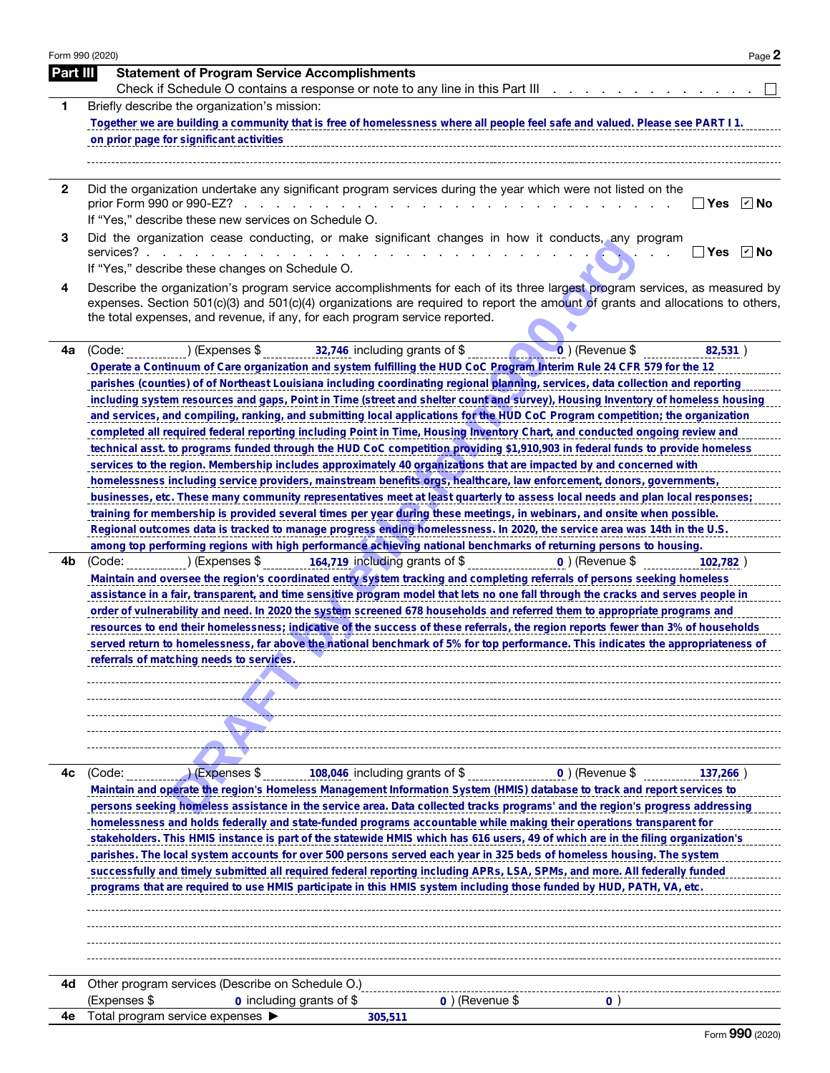| Form 990 (2020) | Page 2                                                                                                                                                                                                                                                                                                                                                                                                                                                                                                                                                                                                                                                                                                                                                                                                                                                                                                                                                                                                                                                                                                                                                                                                                                                                                                                                                                                                                                                                                                                                                                                                                                                           |
|-----------------|------------------------------------------------------------------------------------------------------------------------------------------------------------------------------------------------------------------------------------------------------------------------------------------------------------------------------------------------------------------------------------------------------------------------------------------------------------------------------------------------------------------------------------------------------------------------------------------------------------------------------------------------------------------------------------------------------------------------------------------------------------------------------------------------------------------------------------------------------------------------------------------------------------------------------------------------------------------------------------------------------------------------------------------------------------------------------------------------------------------------------------------------------------------------------------------------------------------------------------------------------------------------------------------------------------------------------------------------------------------------------------------------------------------------------------------------------------------------------------------------------------------------------------------------------------------------------------------------------------------------------------------------------------------|
| Part III        | <b>Statement of Program Service Accomplishments</b><br>Check if Schedule O contains a response or note to any line in this Part III                                                                                                                                                                                                                                                                                                                                                                                                                                                                                                                                                                                                                                                                                                                                                                                                                                                                                                                                                                                                                                                                                                                                                                                                                                                                                                                                                                                                                                                                                                                              |
| 1               | Briefly describe the organization's mission:<br>Together we are building a community that is free of homelessness where all people feel safe and valued. Please see PART I1.<br>on prior page for significant activities                                                                                                                                                                                                                                                                                                                                                                                                                                                                                                                                                                                                                                                                                                                                                                                                                                                                                                                                                                                                                                                                                                                                                                                                                                                                                                                                                                                                                                         |
| $\mathbf{2}$    | Did the organization undertake any significant program services during the year which were not listed on the<br>prior Form 990 or 990-EZ?<br>∣ <b>⊬∣</b> No<br>Yes<br>If "Yes," describe these new services on Schedule O.                                                                                                                                                                                                                                                                                                                                                                                                                                                                                                                                                                                                                                                                                                                                                                                                                                                                                                                                                                                                                                                                                                                                                                                                                                                                                                                                                                                                                                       |
| 3               | Did the organization cease conducting, or make significant changes in how it conducts, any program<br>services?.<br>∣r∣ No<br>Yes<br>If "Yes," describe these changes on Schedule O.                                                                                                                                                                                                                                                                                                                                                                                                                                                                                                                                                                                                                                                                                                                                                                                                                                                                                                                                                                                                                                                                                                                                                                                                                                                                                                                                                                                                                                                                             |
| 4               | Describe the organization's program service accomplishments for each of its three largest program services, as measured by<br>expenses. Section 501(c)(3) and 501(c)(4) organizations are required to report the amount of grants and allocations to others,<br>the total expenses, and revenue, if any, for each program service reported.                                                                                                                                                                                                                                                                                                                                                                                                                                                                                                                                                                                                                                                                                                                                                                                                                                                                                                                                                                                                                                                                                                                                                                                                                                                                                                                      |
| 4a              | $\overline{0}$ ) (Revenue \$<br>(Code:<br>) (Expenses \$<br>32,746 including grants of \$<br>82,531)<br>Operate a Continuum of Care organization and system fulfilling the HUD CoC Program Interim Rule 24 CFR 579 for the 12<br>parishes (counties) of of Northeast Louisiana including coordinating regional planning, services, data collection and reporting<br>including system resources and gaps, Point in Time (street and shelter count and survey), Housing Inventory of homeless housing<br>and services, and compiling, ranking, and submitting local applications for the HUD CoC Program competition; the organization<br>completed all required federal reporting including Point in Time, Housing Inventory Chart, and conducted ongoing review and<br>technical asst. to programs funded through the HUD CoC competition providing \$1,910,903 in federal funds to provide homeless<br>services to the region. Membership includes approximately 40 organizations that are impacted by and concerned with<br>homelessness including service providers, mainstream benefits orgs, healthcare, law enforcement, donors, governments,<br>businesses, etc. These many community representatives meet at least quarterly to assess local needs and plan local responses<br>training for membership is provided several times per year during these meetings, in webinars, and onsite when possible.<br>Regional outcomes data is tracked to manage progress ending homelessness. In 2020, the service area was 14th in the U.S.<br>among top performing regions with high performance achieving national benchmarks of returning persons to housing. |
| 4b              | 164,719 including grants of \$<br>(Code:<br>) (Expenses \$<br>$0$ ) (Revenue \$<br>102,782)<br>Maintain and oversee the region's coordinated entry system tracking and completing referrals of persons seeking homeless<br>assistance in a fair, transparent, and time sensitive program model that lets no one fall through the cracks and serves people in<br>order of vulnerability and need. In 2020 the system screened 678 households and referred them to appropriate programs and<br>resources to end their homelessness; indicative of the success of these referrals, the region reports fewer than 3% of households<br>served return to homelessness, far above the national benchmark of 5% for top performance. This indicates the appropriateness of<br>referrals of matching needs to services.                                                                                                                                                                                                                                                                                                                                                                                                                                                                                                                                                                                                                                                                                                                                                                                                                                                   |
| 4c              | 108,046 including grants of \$<br>$0)$ (Revenue \$<br>) (Expenses \$<br>(Code:<br>$137,266$ )<br>Maintain and operate the region's Homeless Management Information System (HMIS) database to track and report services to<br>persons seeking homeless assistance in the service area. Data collected tracks programs' and the region's progress addressing<br>homelessness and holds federally and state-funded programs accountable while making their operations transparent for<br>stakeholders. This HMIS instance is part of the statewide HMIS which has 616 users, 49 of which are in the filing organization's<br>parishes. The local system accounts for over 500 persons served each year in 325 beds of homeless housing. The system<br>successfully and timely submitted all required federal reporting including APRs, LSA, SPMs, and more. All federally funded<br>programs that are required to use HMIS participate in this HMIS system including those funded by HUD, PATH, VA, etc.                                                                                                                                                                                                                                                                                                                                                                                                                                                                                                                                                                                                                                                            |
| 4d              | Other program services (Describe on Schedule O.)<br>(Expenses \$<br>0 including grants of \$<br>$0$ ) (Revenue \$                                                                                                                                                                                                                                                                                                                                                                                                                                                                                                                                                                                                                                                                                                                                                                                                                                                                                                                                                                                                                                                                                                                                                                                                                                                                                                                                                                                                                                                                                                                                                |
| 4e              | $\mathbf{0}$<br>Total program service expenses ▶<br>305,511                                                                                                                                                                                                                                                                                                                                                                                                                                                                                                                                                                                                                                                                                                                                                                                                                                                                                                                                                                                                                                                                                                                                                                                                                                                                                                                                                                                                                                                                                                                                                                                                      |
|                 |                                                                                                                                                                                                                                                                                                                                                                                                                                                                                                                                                                                                                                                                                                                                                                                                                                                                                                                                                                                                                                                                                                                                                                                                                                                                                                                                                                                                                                                                                                                                                                                                                                                                  |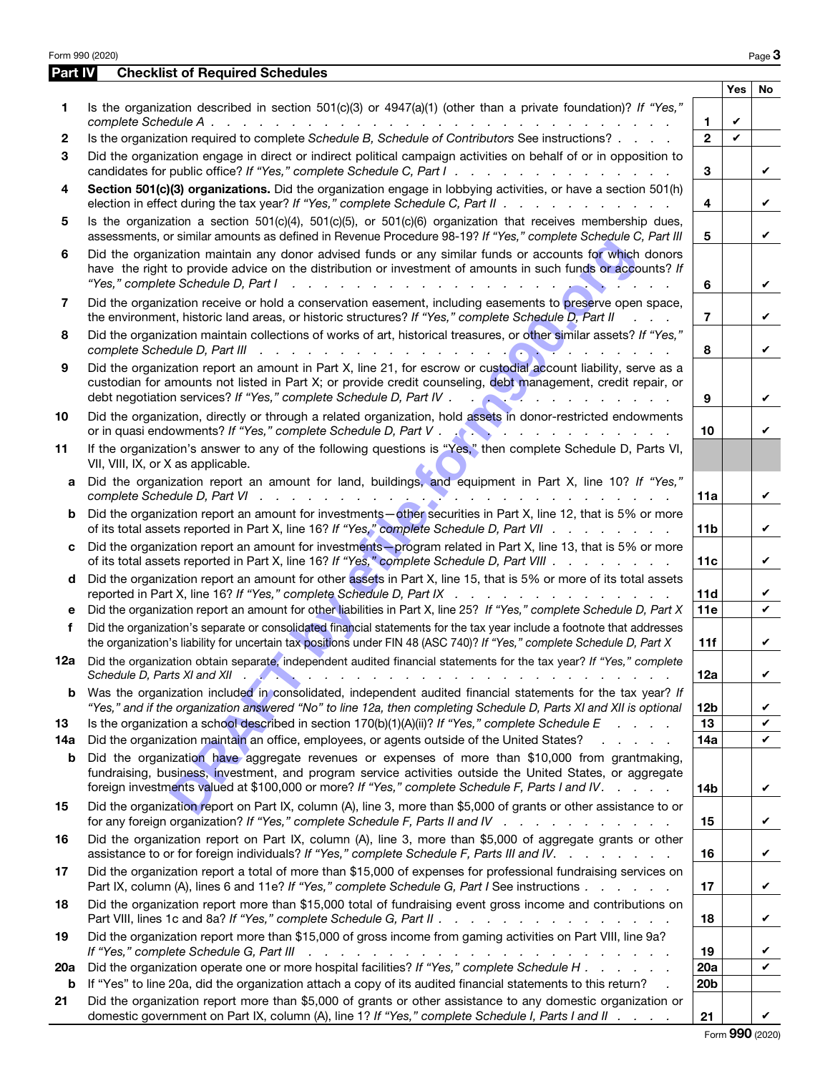| Part IV<br><b>Checklist of Required Schedules</b><br>Is the organization described in section $501(c)(3)$ or $4947(a)(1)$ (other than a private foundation)? If "Yes,"<br>1<br>complete Schedule A.<br><u>. A serie a serie a serie a serie a serie a serie a serie a serie a se</u><br>Is the organization required to complete Schedule B, Schedule of Contributors See instructions?<br>2<br>3<br>Did the organization engage in direct or indirect political campaign activities on behalf of or in opposition to<br>candidates for public office? If "Yes," complete Schedule C, Part I.<br>Section 501(c)(3) organizations. Did the organization engage in lobbying activities, or have a section 501(h)<br>4<br>election in effect during the tax year? If "Yes," complete Schedule C, Part II<br>Is the organization a section $501(c)(4)$ , $501(c)(5)$ , or $501(c)(6)$ organization that receives membership dues,<br>5<br>assessments, or similar amounts as defined in Revenue Procedure 98-19? If "Yes," complete Schedule C, Part III<br>Did the organization maintain any donor advised funds or any similar funds or accounts for which donors<br>6<br>have the right to provide advice on the distribution or investment of amounts in such funds or accounts? If<br>"Yes," complete Schedule D, Part I<br>and the contract of the contract of the contract of the contract of the contract of the contract of the contract of the contract of the contract of the contract of the contract of the contract of the contract of the contra | $\mathbf{1}$<br>$\overline{2}$<br>3<br>4<br>5<br>6<br>7<br>8 | <b>Yes</b><br>✓<br>V | <b>No</b><br>V<br>V<br>V<br>V |
|-------------------------------------------------------------------------------------------------------------------------------------------------------------------------------------------------------------------------------------------------------------------------------------------------------------------------------------------------------------------------------------------------------------------------------------------------------------------------------------------------------------------------------------------------------------------------------------------------------------------------------------------------------------------------------------------------------------------------------------------------------------------------------------------------------------------------------------------------------------------------------------------------------------------------------------------------------------------------------------------------------------------------------------------------------------------------------------------------------------------------------------------------------------------------------------------------------------------------------------------------------------------------------------------------------------------------------------------------------------------------------------------------------------------------------------------------------------------------------------------------------------------------------------------------------------|--------------------------------------------------------------|----------------------|-------------------------------|
|                                                                                                                                                                                                                                                                                                                                                                                                                                                                                                                                                                                                                                                                                                                                                                                                                                                                                                                                                                                                                                                                                                                                                                                                                                                                                                                                                                                                                                                                                                                                                             |                                                              |                      |                               |
|                                                                                                                                                                                                                                                                                                                                                                                                                                                                                                                                                                                                                                                                                                                                                                                                                                                                                                                                                                                                                                                                                                                                                                                                                                                                                                                                                                                                                                                                                                                                                             |                                                              |                      |                               |
|                                                                                                                                                                                                                                                                                                                                                                                                                                                                                                                                                                                                                                                                                                                                                                                                                                                                                                                                                                                                                                                                                                                                                                                                                                                                                                                                                                                                                                                                                                                                                             |                                                              |                      |                               |
|                                                                                                                                                                                                                                                                                                                                                                                                                                                                                                                                                                                                                                                                                                                                                                                                                                                                                                                                                                                                                                                                                                                                                                                                                                                                                                                                                                                                                                                                                                                                                             |                                                              |                      |                               |
|                                                                                                                                                                                                                                                                                                                                                                                                                                                                                                                                                                                                                                                                                                                                                                                                                                                                                                                                                                                                                                                                                                                                                                                                                                                                                                                                                                                                                                                                                                                                                             |                                                              |                      |                               |
|                                                                                                                                                                                                                                                                                                                                                                                                                                                                                                                                                                                                                                                                                                                                                                                                                                                                                                                                                                                                                                                                                                                                                                                                                                                                                                                                                                                                                                                                                                                                                             |                                                              |                      |                               |
|                                                                                                                                                                                                                                                                                                                                                                                                                                                                                                                                                                                                                                                                                                                                                                                                                                                                                                                                                                                                                                                                                                                                                                                                                                                                                                                                                                                                                                                                                                                                                             |                                                              |                      |                               |
|                                                                                                                                                                                                                                                                                                                                                                                                                                                                                                                                                                                                                                                                                                                                                                                                                                                                                                                                                                                                                                                                                                                                                                                                                                                                                                                                                                                                                                                                                                                                                             |                                                              |                      |                               |
| Did the organization receive or hold a conservation easement, including easements to preserve open space,<br>7<br>the environment, historic land areas, or historic structures? If "Yes," complete Schedule D, Part II                                                                                                                                                                                                                                                                                                                                                                                                                                                                                                                                                                                                                                                                                                                                                                                                                                                                                                                                                                                                                                                                                                                                                                                                                                                                                                                                      |                                                              |                      | V                             |
| Did the organization maintain collections of works of art, historical treasures, or other similar assets? If "Yes,"<br>8<br>complete Schedule D, Part III                                                                                                                                                                                                                                                                                                                                                                                                                                                                                                                                                                                                                                                                                                                                                                                                                                                                                                                                                                                                                                                                                                                                                                                                                                                                                                                                                                                                   |                                                              |                      | V                             |
| Did the organization report an amount in Part X, line 21, for escrow or custodial account liability, serve as a<br>9<br>custodian for amounts not listed in Part X; or provide credit counseling, debt management, credit repair, or<br>debt negotiation services? If "Yes," complete Schedule D, Part IV .<br>$\mathcal{L}$ , and the contract of $\mathcal{L}$ , and $\mathcal{L}$ , and $\mathcal{L}$                                                                                                                                                                                                                                                                                                                                                                                                                                                                                                                                                                                                                                                                                                                                                                                                                                                                                                                                                                                                                                                                                                                                                    | 9                                                            |                      | V                             |
| Did the organization, directly or through a related organization, hold assets in donor-restricted endowments<br>10<br>or in quasi endowments? If "Yes," complete Schedule D, Part V.                                                                                                                                                                                                                                                                                                                                                                                                                                                                                                                                                                                                                                                                                                                                                                                                                                                                                                                                                                                                                                                                                                                                                                                                                                                                                                                                                                        | 10                                                           |                      | ✓                             |
| If the organization's answer to any of the following questions is "Yes," then complete Schedule D, Parts VI,<br>11<br>VII, VIII, IX, or X as applicable.                                                                                                                                                                                                                                                                                                                                                                                                                                                                                                                                                                                                                                                                                                                                                                                                                                                                                                                                                                                                                                                                                                                                                                                                                                                                                                                                                                                                    |                                                              |                      |                               |
| Did the organization report an amount for land, buildings, and equipment in Part X, line 10? If "Yes,"<br>a<br>complete Schedule D, Part VI<br>$\mathbf{r}$ and $\mathbf{r}$ are the set of $\mathbf{r}$                                                                                                                                                                                                                                                                                                                                                                                                                                                                                                                                                                                                                                                                                                                                                                                                                                                                                                                                                                                                                                                                                                                                                                                                                                                                                                                                                    | 11a                                                          |                      | V                             |
| Did the organization report an amount for investments—other securities in Part X, line 12, that is 5% or more<br>b<br>of its total assets reported in Part X, line 16? If "Yes," complete Schedule D, Part VII                                                                                                                                                                                                                                                                                                                                                                                                                                                                                                                                                                                                                                                                                                                                                                                                                                                                                                                                                                                                                                                                                                                                                                                                                                                                                                                                              | 11 <sub>b</sub>                                              |                      | V                             |
| Did the organization report an amount for investments-program related in Part X, line 13, that is 5% or more<br>c<br>of its total assets reported in Part X, line 16? If "Yes," complete Schedule D, Part VIII                                                                                                                                                                                                                                                                                                                                                                                                                                                                                                                                                                                                                                                                                                                                                                                                                                                                                                                                                                                                                                                                                                                                                                                                                                                                                                                                              | 11c                                                          |                      | V                             |
| Did the organization report an amount for other assets in Part X, line 15, that is 5% or more of its total assets<br>d<br>reported in Part X, line 16? If "Yes," complete Schedule D, Part IX                                                                                                                                                                                                                                                                                                                                                                                                                                                                                                                                                                                                                                                                                                                                                                                                                                                                                                                                                                                                                                                                                                                                                                                                                                                                                                                                                               | 11d                                                          |                      | V                             |
| Did the organization report an amount for other liabilities in Part X, line 25? If "Yes," complete Schedule D, Part X<br>е                                                                                                                                                                                                                                                                                                                                                                                                                                                                                                                                                                                                                                                                                                                                                                                                                                                                                                                                                                                                                                                                                                                                                                                                                                                                                                                                                                                                                                  | 11e                                                          |                      | V                             |
| Did the organization's separate or consolidated financial statements for the tax year include a footnote that addresses<br>f<br>the organization's liability for uncertain tax positions under FIN 48 (ASC 740)? If "Yes," complete Schedule D, Part X                                                                                                                                                                                                                                                                                                                                                                                                                                                                                                                                                                                                                                                                                                                                                                                                                                                                                                                                                                                                                                                                                                                                                                                                                                                                                                      | 11f                                                          |                      | V                             |
| Did the organization obtain separate, independent audited financial statements for the tax year? If "Yes," complete<br>12a<br>Schedule D, Parts XI and XII.<br>. The contract of the contract of the contract of the contract of the contract of the contract of the contract of the contract of the contract of the contract of the contract of the contract of the contract of the contrac                                                                                                                                                                                                                                                                                                                                                                                                                                                                                                                                                                                                                                                                                                                                                                                                                                                                                                                                                                                                                                                                                                                                                                | 12a                                                          |                      | V                             |
| Was the organization included in consolidated, independent audited financial statements for the tax year? If<br>b<br>"Yes," and if the organization answered "No" to line 12a, then completing Schedule D, Parts XI and XII is optional                                                                                                                                                                                                                                                                                                                                                                                                                                                                                                                                                                                                                                                                                                                                                                                                                                                                                                                                                                                                                                                                                                                                                                                                                                                                                                                     | 12 <sub>b</sub>                                              |                      | V                             |
| Is the organization a school described in section $170(b)(1)(A)(ii)?$ If "Yes," complete Schedule E<br>13                                                                                                                                                                                                                                                                                                                                                                                                                                                                                                                                                                                                                                                                                                                                                                                                                                                                                                                                                                                                                                                                                                                                                                                                                                                                                                                                                                                                                                                   | 13                                                           |                      | V                             |
| Did the organization maintain an office, employees, or agents outside of the United States?<br>14a                                                                                                                                                                                                                                                                                                                                                                                                                                                                                                                                                                                                                                                                                                                                                                                                                                                                                                                                                                                                                                                                                                                                                                                                                                                                                                                                                                                                                                                          | 14a<br><b>Contractor</b> Contractor                          |                      | $\checkmark$                  |
| Did the organization have aggregate revenues or expenses of more than \$10,000 from grantmaking,<br>b<br>fundraising, business, investment, and program service activities outside the United States, or aggregate<br>foreign investments valued at \$100,000 or more? If "Yes," complete Schedule F, Parts I and IV.                                                                                                                                                                                                                                                                                                                                                                                                                                                                                                                                                                                                                                                                                                                                                                                                                                                                                                                                                                                                                                                                                                                                                                                                                                       | 14b                                                          |                      | V                             |
| Did the organization report on Part IX, column (A), line 3, more than \$5,000 of grants or other assistance to or<br>15<br>for any foreign organization? If "Yes," complete Schedule F, Parts II and IV $\ldots$ , $\ldots$ , $\ldots$                                                                                                                                                                                                                                                                                                                                                                                                                                                                                                                                                                                                                                                                                                                                                                                                                                                                                                                                                                                                                                                                                                                                                                                                                                                                                                                      | 15                                                           |                      | V                             |
| Did the organization report on Part IX, column (A), line 3, more than \$5,000 of aggregate grants or other<br>16<br>assistance to or for foreign individuals? If "Yes," complete Schedule F, Parts III and IV.                                                                                                                                                                                                                                                                                                                                                                                                                                                                                                                                                                                                                                                                                                                                                                                                                                                                                                                                                                                                                                                                                                                                                                                                                                                                                                                                              | 16                                                           |                      | V                             |
| Did the organization report a total of more than \$15,000 of expenses for professional fundraising services on<br>17<br>Part IX, column (A), lines 6 and 11e? If "Yes," complete Schedule G, Part I See instructions                                                                                                                                                                                                                                                                                                                                                                                                                                                                                                                                                                                                                                                                                                                                                                                                                                                                                                                                                                                                                                                                                                                                                                                                                                                                                                                                        | 17                                                           |                      | V                             |
| Did the organization report more than \$15,000 total of fundraising event gross income and contributions on<br>18<br>Part VIII, lines 1c and 8a? If "Yes," complete Schedule G, Part II                                                                                                                                                                                                                                                                                                                                                                                                                                                                                                                                                                                                                                                                                                                                                                                                                                                                                                                                                                                                                                                                                                                                                                                                                                                                                                                                                                     | 18                                                           |                      | V                             |
| Did the organization report more than \$15,000 of gross income from gaming activities on Part VIII, line 9a?<br>19<br>If "Yes," complete Schedule G, Part III<br>والمتحاول والمتحاول والمتحاول والمتحاول والمتحاول والمتحاول والمتحاولة                                                                                                                                                                                                                                                                                                                                                                                                                                                                                                                                                                                                                                                                                                                                                                                                                                                                                                                                                                                                                                                                                                                                                                                                                                                                                                                     | 19                                                           |                      | V                             |
| Did the organization operate one or more hospital facilities? If "Yes," complete Schedule H<br>20a                                                                                                                                                                                                                                                                                                                                                                                                                                                                                                                                                                                                                                                                                                                                                                                                                                                                                                                                                                                                                                                                                                                                                                                                                                                                                                                                                                                                                                                          | 20a                                                          |                      | V                             |
| If "Yes" to line 20a, did the organization attach a copy of its audited financial statements to this return?<br>b                                                                                                                                                                                                                                                                                                                                                                                                                                                                                                                                                                                                                                                                                                                                                                                                                                                                                                                                                                                                                                                                                                                                                                                                                                                                                                                                                                                                                                           | 20 <sub>b</sub>                                              |                      |                               |
| Did the organization report more than \$5,000 of grants or other assistance to any domestic organization or<br>21<br>domestic government on Part IX, column (A), line 1? If "Yes," complete Schedule I, Parts I and II                                                                                                                                                                                                                                                                                                                                                                                                                                                                                                                                                                                                                                                                                                                                                                                                                                                                                                                                                                                                                                                                                                                                                                                                                                                                                                                                      | 21                                                           |                      | V                             |

 $\frac{24}{\text{Form }990}$  (2020)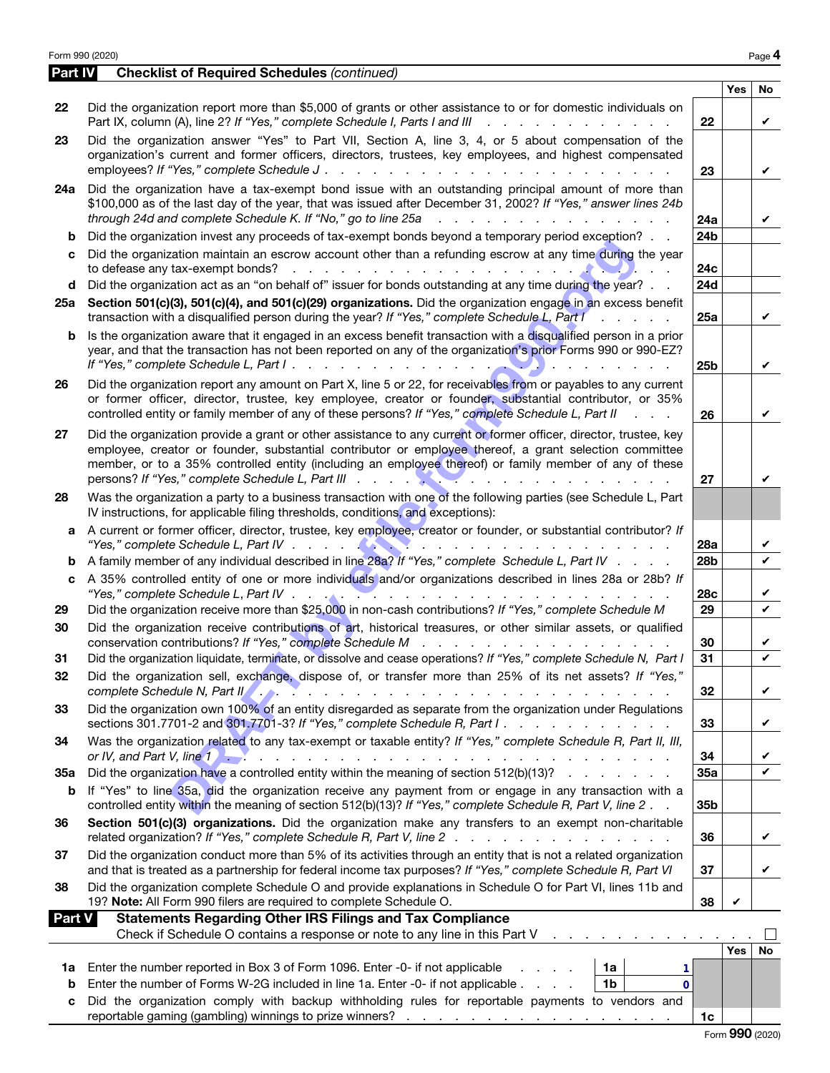|               | Form 990 (2020)                                                                                                                                                                                                                                                                                                                                                                                                                                                                                                                                                             |                 |            | Page 4       |
|---------------|-----------------------------------------------------------------------------------------------------------------------------------------------------------------------------------------------------------------------------------------------------------------------------------------------------------------------------------------------------------------------------------------------------------------------------------------------------------------------------------------------------------------------------------------------------------------------------|-----------------|------------|--------------|
| Part IV       | <b>Checklist of Required Schedules (continued)</b>                                                                                                                                                                                                                                                                                                                                                                                                                                                                                                                          |                 |            |              |
|               |                                                                                                                                                                                                                                                                                                                                                                                                                                                                                                                                                                             |                 | <b>Yes</b> | No.          |
| 22            | Did the organization report more than \$5,000 of grants or other assistance to or for domestic individuals on<br>Part IX, column (A), line 2? If "Yes," complete Schedule I, Parts I and III<br>and the contract of the contract of the contract of the contract of the contract of the contract of the contract of the contract of the contract of the contract of the contract of the contract of the contract of the contra                                                                                                                                              | 22              |            | V            |
| 23            | Did the organization answer "Yes" to Part VII, Section A, line 3, 4, or 5 about compensation of the<br>organization's current and former officers, directors, trustees, key employees, and highest compensated<br>employees? If "Yes," complete Schedule J.<br>$\mathbf{r}$ , and $\mathbf{r}$ , and $\mathbf{r}$ , and $\mathbf{r}$ , and $\mathbf{r}$                                                                                                                                                                                                                     | 23              |            | ✓            |
| 24a           | Did the organization have a tax-exempt bond issue with an outstanding principal amount of more than<br>\$100,000 as of the last day of the year, that was issued after December 31, 2002? If "Yes," answer lines 24b<br>through 24d and complete Schedule K. If "No," go to line 25a<br>.                                                                                                                                                                                                                                                                                   | 24a             |            | V            |
| b             | Did the organization invest any proceeds of tax-exempt bonds beyond a temporary period exception?                                                                                                                                                                                                                                                                                                                                                                                                                                                                           | 24 <sub>b</sub> |            |              |
| c             | Did the organization maintain an escrow account other than a refunding escrow at any time during the year                                                                                                                                                                                                                                                                                                                                                                                                                                                                   | 24c             |            |              |
| d             | Did the organization act as an "on behalf of" issuer for bonds outstanding at any time during the year?                                                                                                                                                                                                                                                                                                                                                                                                                                                                     | 24d             |            |              |
| 25a           | Section 501(c)(3), 501(c)(4), and 501(c)(29) organizations. Did the organization engage in an excess benefit<br>transaction with a disqualified person during the year? If "Yes," complete Schedule L, Part I<br>$\mathbf{r}$ and $\mathbf{r}$ and $\mathbf{r}$ and $\mathbf{r}$                                                                                                                                                                                                                                                                                            | 25a             |            | ✓            |
| b             | Is the organization aware that it engaged in an excess benefit transaction with a disqualified person in a prior<br>year, and that the transaction has not been reported on any of the organization's prior Forms 990 or 990-EZ?<br>If "Yes," complete Schedule L, Part I.                                                                                                                                                                                                                                                                                                  | 25 <sub>b</sub> |            | V            |
| 26            | Did the organization report any amount on Part X, line 5 or 22, for receivables from or payables to any current<br>or former officer, director, trustee, key employee, creator or founder, substantial contributor, or 35%<br>controlled entity or family member of any of these persons? If "Yes," complete Schedule L, Part II<br><b>Contract Contract</b>                                                                                                                                                                                                                | 26              |            | V            |
| 27            | Did the organization provide a grant or other assistance to any current or former officer, director, trustee, key<br>employee, creator or founder, substantial contributor or employee thereof, a grant selection committee<br>member, or to a 35% controlled entity (including an employee thereof) or family member of any of these<br>$\overline{a}$ , and the set of the set of the set of the set of the set of the set of the set of the set of the set of the set of the set of the set of the set of the set of the set of the set of the set of the set of the set | 27              |            |              |
| 28            | Was the organization a party to a business transaction with one of the following parties (see Schedule L, Part<br>IV instructions, for applicable filing thresholds, conditions, and exceptions):                                                                                                                                                                                                                                                                                                                                                                           |                 |            |              |
| a             | A current or former officer, director, trustee, key employee, creator or founder, or substantial contributor? If<br>.                                                                                                                                                                                                                                                                                                                                                                                                                                                       | 28a             |            | V            |
| b             | A family member of any individual described in line 28a? If "Yes," complete Schedule L, Part IV                                                                                                                                                                                                                                                                                                                                                                                                                                                                             | 28 <sub>b</sub> |            | ✓            |
| c             | A 35% controlled entity of one or more individuals and/or organizations described in lines 28a or 28b? If                                                                                                                                                                                                                                                                                                                                                                                                                                                                   | 28c             |            | V            |
| 29            | Did the organization receive more than \$25,000 in non-cash contributions? If "Yes," complete Schedule M                                                                                                                                                                                                                                                                                                                                                                                                                                                                    | 29              |            | $\mathbf{v}$ |
| 30            | Did the organization receive contributions of art, historical treasures, or other similar assets, or qualified<br>conservation contributions? If "Yes," complete Schedule M                                                                                                                                                                                                                                                                                                                                                                                                 | 30              |            | ✓            |
| 31            | Did the organization liquidate, terminate, or dissolve and cease operations? If "Yes," complete Schedule N, Part I                                                                                                                                                                                                                                                                                                                                                                                                                                                          | $\overline{31}$ |            |              |
| 32            | Did the organization sell, exchange, dispose of, or transfer more than 25% of its net assets? If "Yes,"                                                                                                                                                                                                                                                                                                                                                                                                                                                                     | 32              |            | $\checkmark$ |
| 33            | Did the organization own 100% of an entity disregarded as separate from the organization under Regulations<br>sections 301.7701-2 and 301.7701-3? If "Yes," complete Schedule R, Part I.                                                                                                                                                                                                                                                                                                                                                                                    | 33              |            | V            |
| 34            | Was the organization related to any tax-exempt or taxable entity? If "Yes," complete Schedule R, Part II, III,                                                                                                                                                                                                                                                                                                                                                                                                                                                              | 34              |            | V            |
| <b>35a</b>    | Did the organization have a controlled entity within the meaning of section 512(b)(13)?                                                                                                                                                                                                                                                                                                                                                                                                                                                                                     | 35a             |            | ✓            |
| b             | If "Yes" to line 35a, did the organization receive any payment from or engage in any transaction with a<br>controlled entity within the meaning of section 512(b)(13)? If "Yes," complete Schedule R, Part V, line 2.                                                                                                                                                                                                                                                                                                                                                       | 35b             |            |              |
| 36            | Section 501(c)(3) organizations. Did the organization make any transfers to an exempt non-charitable<br>related organization? If "Yes," complete Schedule R, Part V, line 2                                                                                                                                                                                                                                                                                                                                                                                                 | 36              |            | V            |
| 37            | Did the organization conduct more than 5% of its activities through an entity that is not a related organization<br>and that is treated as a partnership for federal income tax purposes? If "Yes," complete Schedule R, Part VI                                                                                                                                                                                                                                                                                                                                            | 37              |            | ✓            |
| 38            | Did the organization complete Schedule O and provide explanations in Schedule O for Part VI, lines 11b and<br>19? Note: All Form 990 filers are required to complete Schedule O.                                                                                                                                                                                                                                                                                                                                                                                            | 38              | V          |              |
| <b>Part V</b> | <b>Statements Regarding Other IRS Filings and Tax Compliance</b>                                                                                                                                                                                                                                                                                                                                                                                                                                                                                                            |                 |            |              |
|               | Check if Schedule O contains a response or note to any line in this Part V<br>and the company of the company of                                                                                                                                                                                                                                                                                                                                                                                                                                                             |                 | <b>Yes</b> | <b>No</b>    |
| 1a            | Enter the number reported in Box 3 of Form 1096. Enter -0- if not applicable<br>1a<br>and the control of<br>1                                                                                                                                                                                                                                                                                                                                                                                                                                                               |                 |            |              |
| b             | Enter the number of Forms W-2G included in line 1a. Enter -0- if not applicable<br>1 <sub>b</sub><br>$\mathbf{0}$                                                                                                                                                                                                                                                                                                                                                                                                                                                           |                 |            |              |
| c             | Did the organization comply with backup withholding rules for reportable payments to vendors and                                                                                                                                                                                                                                                                                                                                                                                                                                                                            |                 |            |              |
|               |                                                                                                                                                                                                                                                                                                                                                                                                                                                                                                                                                                             | 1c              |            |              |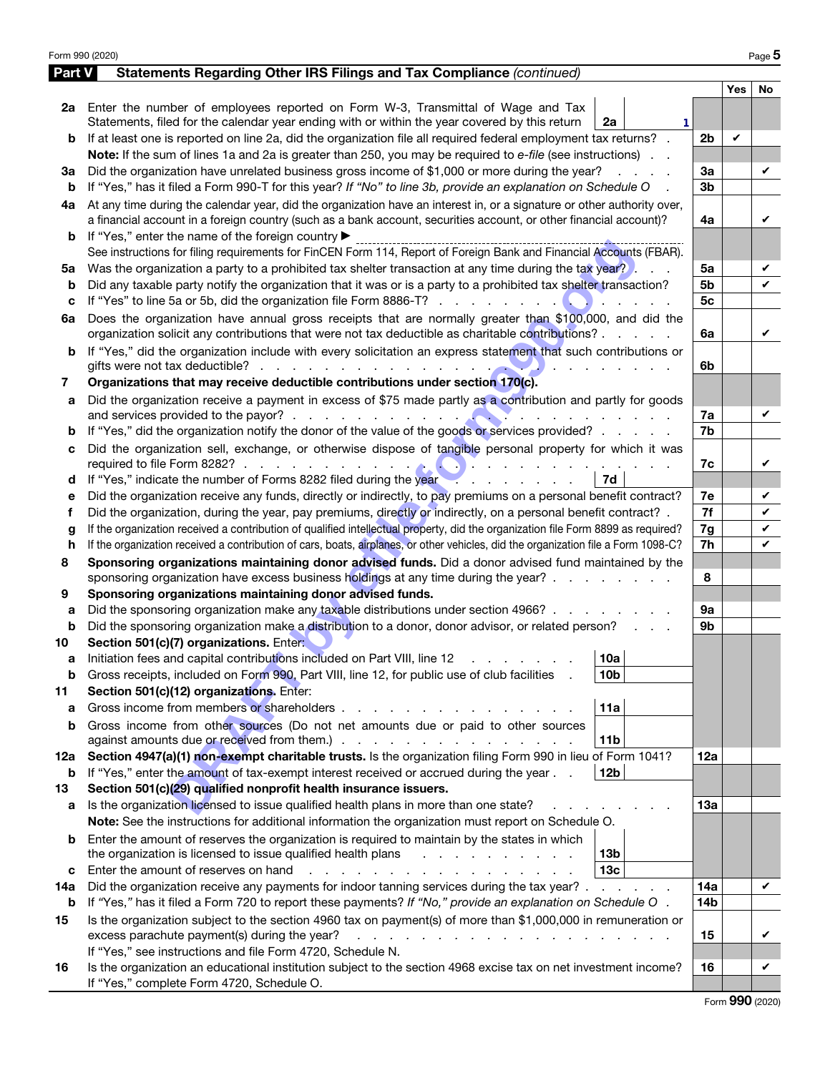| Form 990 (2020) |                                                                                                                                                                                                                                                                                                                |                |            | Page 5 |  |  |  |  |
|-----------------|----------------------------------------------------------------------------------------------------------------------------------------------------------------------------------------------------------------------------------------------------------------------------------------------------------------|----------------|------------|--------|--|--|--|--|
| Part V          | Statements Regarding Other IRS Filings and Tax Compliance (continued)                                                                                                                                                                                                                                          |                |            |        |  |  |  |  |
|                 |                                                                                                                                                                                                                                                                                                                |                | <b>Yes</b> | No     |  |  |  |  |
|                 | 2a Enter the number of employees reported on Form W-3, Transmittal of Wage and Tax                                                                                                                                                                                                                             |                |            |        |  |  |  |  |
|                 | Statements, filed for the calendar year ending with or within the year covered by this return<br>2a<br>1                                                                                                                                                                                                       |                |            |        |  |  |  |  |
| b               | If at least one is reported on line 2a, did the organization file all required federal employment tax returns? .                                                                                                                                                                                               | 2 <sub>b</sub> | V          |        |  |  |  |  |
|                 | Note: If the sum of lines 1a and 2a is greater than 250, you may be required to e-file (see instructions).                                                                                                                                                                                                     |                |            |        |  |  |  |  |
| За              | Did the organization have unrelated business gross income of \$1,000 or more during the year?                                                                                                                                                                                                                  | 3a             |            | V      |  |  |  |  |
| b               | If "Yes," has it filed a Form 990-T for this year? If "No" to line 3b, provide an explanation on Schedule O                                                                                                                                                                                                    | 3 <sub>b</sub> |            |        |  |  |  |  |
| 4а              | At any time during the calendar year, did the organization have an interest in, or a signature or other authority over,                                                                                                                                                                                        |                |            |        |  |  |  |  |
|                 | a financial account in a foreign country (such as a bank account, securities account, or other financial account)?                                                                                                                                                                                             | 4a             |            | V      |  |  |  |  |
| b               | If "Yes," enter the name of the foreign country ▶                                                                                                                                                                                                                                                              |                |            |        |  |  |  |  |
|                 | See instructions for filing requirements for FinCEN Form 114, Report of Foreign Bank and Financial Accounts (FBAR).                                                                                                                                                                                            |                |            |        |  |  |  |  |
| 5а              | Was the organization a party to a prohibited tax shelter transaction at any time during the tax year? $\therefore$ .                                                                                                                                                                                           | 5a             |            | V      |  |  |  |  |
| b               | Did any taxable party notify the organization that it was or is a party to a prohibited tax shelter transaction?                                                                                                                                                                                               | 5b             |            | V      |  |  |  |  |
| c               |                                                                                                                                                                                                                                                                                                                | 5 <sub>c</sub> |            |        |  |  |  |  |
| 6a              | Does the organization have annual gross receipts that are normally greater than \$100,000, and did the                                                                                                                                                                                                         |                |            |        |  |  |  |  |
|                 | organization solicit any contributions that were not tax deductible as charitable contributions?                                                                                                                                                                                                               | 6a             |            | V      |  |  |  |  |
| b               | If "Yes," did the organization include with every solicitation an express statement that such contributions or                                                                                                                                                                                                 |                |            |        |  |  |  |  |
|                 |                                                                                                                                                                                                                                                                                                                | 6b             |            |        |  |  |  |  |
| 7               | Organizations that may receive deductible contributions under section 170(c).                                                                                                                                                                                                                                  |                |            |        |  |  |  |  |
| а               | Did the organization receive a payment in excess of \$75 made partly as a contribution and partly for goods                                                                                                                                                                                                    |                |            |        |  |  |  |  |
|                 |                                                                                                                                                                                                                                                                                                                | 7a             |            | V      |  |  |  |  |
| b               | If "Yes," did the organization notify the donor of the value of the goods or services provided?                                                                                                                                                                                                                | 7b             |            |        |  |  |  |  |
| c               | Did the organization sell, exchange, or otherwise dispose of tangible personal property for which it was                                                                                                                                                                                                       |                |            |        |  |  |  |  |
|                 |                                                                                                                                                                                                                                                                                                                | 7c             |            | V      |  |  |  |  |
| d               | If "Yes," indicate the number of Forms 8282 filed during the year<br>7d<br>$\mathcal{L}$ and the set of the set of the set of the set of the set of the set of the set of the set of the set of the set of the set of the set of the set of the set of the set of the set of the set of the set of the set of  |                |            |        |  |  |  |  |
| е               | Did the organization receive any funds, directly or indirectly, to pay premiums on a personal benefit contract?                                                                                                                                                                                                | 7e             |            | V      |  |  |  |  |
| f               | Did the organization, during the year, pay premiums, directly or indirectly, on a personal benefit contract? .                                                                                                                                                                                                 | 7f             |            | V      |  |  |  |  |
| g               | If the organization received a contribution of qualified intellectual property, did the organization file Form 8899 as required?                                                                                                                                                                               |                |            |        |  |  |  |  |
| h               | If the organization received a contribution of cars, boats, airplanes, or other vehicles, did the organization file a Form 1098-C?                                                                                                                                                                             | 7h             |            | V      |  |  |  |  |
| 8               | Sponsoring organizations maintaining donor advised funds. Did a donor advised fund maintained by the                                                                                                                                                                                                           |                |            |        |  |  |  |  |
|                 | sponsoring organization have excess business holdings at any time during the year?                                                                                                                                                                                                                             | 8              |            |        |  |  |  |  |
| 9               | Sponsoring organizations maintaining donor advised funds.                                                                                                                                                                                                                                                      |                |            |        |  |  |  |  |
| а               | Did the sponsoring organization make any taxable distributions under section 4966?                                                                                                                                                                                                                             | 9a             |            |        |  |  |  |  |
| b               | Did the sponsoring organization make a distribution to a donor, donor advisor, or related person?                                                                                                                                                                                                              | 9b             |            |        |  |  |  |  |
| 10              | Section 501(c)(7) organizations. Enter:                                                                                                                                                                                                                                                                        |                |            |        |  |  |  |  |
|                 | 10a <br>Initiation fees and capital contributions included on Part VIII, line 12 \[matter states and capital contributions included on Part VIII, line 12 \[matter states and capital                                                                                                                          |                |            |        |  |  |  |  |
| b               | 10 <sub>b</sub><br>Gross receipts, included on Form 990, Part VIII, line 12, for public use of club facilities                                                                                                                                                                                                 |                |            |        |  |  |  |  |
| 11              | Section 501(c)(12) organizations. Enter:                                                                                                                                                                                                                                                                       |                |            |        |  |  |  |  |
| a               | Gross income from members or shareholders.<br>11a                                                                                                                                                                                                                                                              |                |            |        |  |  |  |  |
| b               | Gross income from other sources (Do not net amounts due or paid to other sources                                                                                                                                                                                                                               |                |            |        |  |  |  |  |
|                 | against amounts due or received from them.) .<br>11 <sub>b</sub><br>the contract of the contract of the contract of the                                                                                                                                                                                        |                |            |        |  |  |  |  |
| 12a             | Section 4947(a)(1) non-exempt charitable trusts. Is the organization filing Form 990 in lieu of Form 1041?                                                                                                                                                                                                     | 12a            |            |        |  |  |  |  |
| b               | 12 <sub>b</sub><br>If "Yes," enter the amount of tax-exempt interest received or accrued during the year                                                                                                                                                                                                       |                |            |        |  |  |  |  |
| 13              | Section 501(c)(29) qualified nonprofit health insurance issuers.                                                                                                                                                                                                                                               | 13a            |            |        |  |  |  |  |
| а               | Is the organization licensed to issue qualified health plans in more than one state?<br>Note: See the instructions for additional information the organization must report on Schedule O.                                                                                                                      |                |            |        |  |  |  |  |
|                 |                                                                                                                                                                                                                                                                                                                |                |            |        |  |  |  |  |
| b               | Enter the amount of reserves the organization is required to maintain by the states in which                                                                                                                                                                                                                   |                |            |        |  |  |  |  |
|                 | the organization is licensed to issue qualified health plans<br>13 <sub>b</sub><br>13 <sub>c</sub><br>Enter the amount of reserves on hand                                                                                                                                                                     |                |            |        |  |  |  |  |
| c<br>14a        | the contract of the contract of the<br>Did the organization receive any payments for indoor tanning services during the tax year?.                                                                                                                                                                             | 14a            |            | V      |  |  |  |  |
| b               | and a strategic and a<br>If "Yes," has it filed a Form 720 to report these payments? If "No," provide an explanation on Schedule O.                                                                                                                                                                            | 14b            |            |        |  |  |  |  |
|                 |                                                                                                                                                                                                                                                                                                                |                |            |        |  |  |  |  |
| 15              | Is the organization subject to the section 4960 tax on payment(s) of more than \$1,000,000 in remuneration or<br>excess parachute payment(s) during the year?<br>$\frac{1}{2}$ , $\frac{1}{2}$ , $\frac{1}{2}$ , $\frac{1}{2}$ , $\frac{1}{2}$ , $\frac{1}{2}$ , $\frac{1}{2}$ , $\frac{1}{2}$ , $\frac{1}{2}$ | 15             |            | V      |  |  |  |  |
|                 | If "Yes," see instructions and file Form 4720, Schedule N.                                                                                                                                                                                                                                                     |                |            |        |  |  |  |  |
| 16              | Is the organization an educational institution subject to the section 4968 excise tax on net investment income?                                                                                                                                                                                                | 16             |            | V      |  |  |  |  |
|                 | If "Yes," complete Form 4720, Schedule O.                                                                                                                                                                                                                                                                      |                |            |        |  |  |  |  |

|  |  | Form 990 (2020) |
|--|--|-----------------|
|--|--|-----------------|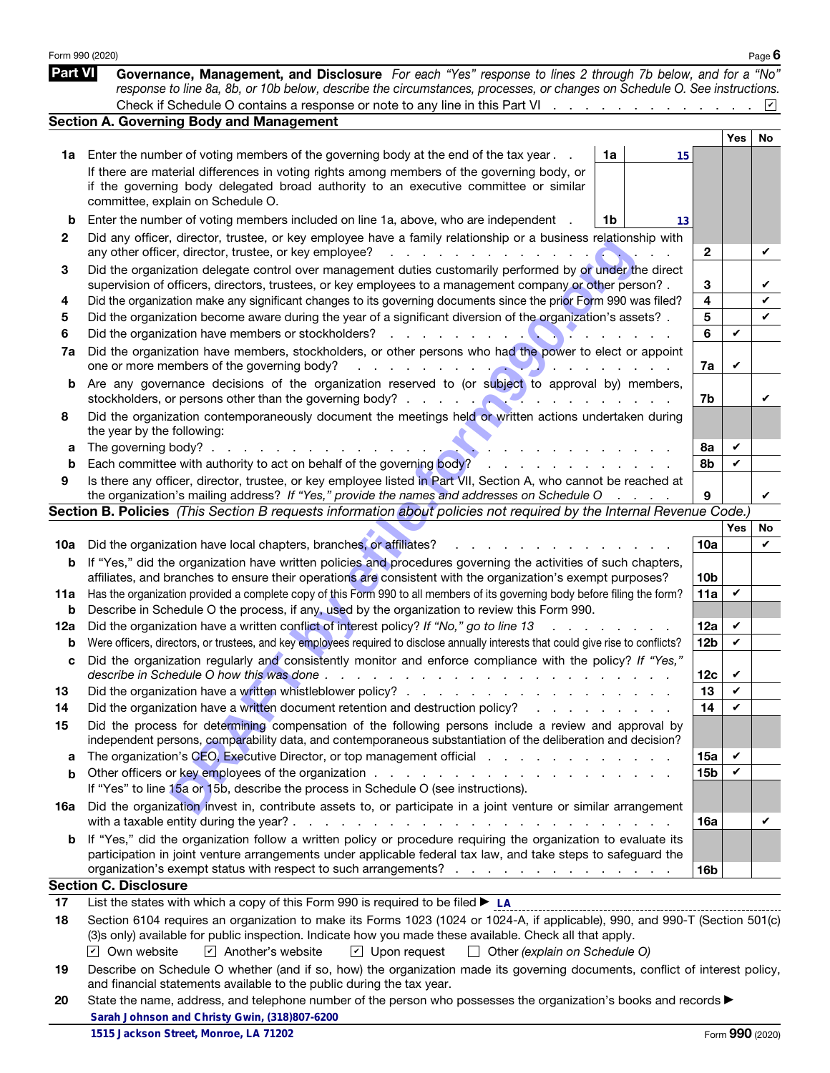|                | Form 990 (2020)                                                                                                                                                                                                                                                                                                                                                                             |    |                 |     | Page 6             |  |  |  |  |  |  |
|----------------|---------------------------------------------------------------------------------------------------------------------------------------------------------------------------------------------------------------------------------------------------------------------------------------------------------------------------------------------------------------------------------------------|----|-----------------|-----|--------------------|--|--|--|--|--|--|
| <b>Part VI</b> | Governance, Management, and Disclosure For each "Yes" response to lines 2 through 7b below, and for a "No"<br>response to line 8a, 8b, or 10b below, describe the circumstances, processes, or changes on Schedule O. See instructions.                                                                                                                                                     |    |                 |     |                    |  |  |  |  |  |  |
|                | Check if Schedule O contains a response or note to any line in this Part VI                                                                                                                                                                                                                                                                                                                 |    |                 |     | $ \boldsymbol{v} $ |  |  |  |  |  |  |
|                | <b>Section A. Governing Body and Management</b>                                                                                                                                                                                                                                                                                                                                             |    |                 |     |                    |  |  |  |  |  |  |
|                |                                                                                                                                                                                                                                                                                                                                                                                             |    |                 | Yes | No.                |  |  |  |  |  |  |
| 1a             | Enter the number of voting members of the governing body at the end of the tax year.<br>1a                                                                                                                                                                                                                                                                                                  | 15 |                 |     |                    |  |  |  |  |  |  |
|                | If there are material differences in voting rights among members of the governing body, or<br>if the governing body delegated broad authority to an executive committee or similar<br>committee, explain on Schedule O.                                                                                                                                                                     |    |                 |     |                    |  |  |  |  |  |  |
| b              | Enter the number of voting members included on line 1a, above, who are independent<br>1b                                                                                                                                                                                                                                                                                                    | 13 |                 |     |                    |  |  |  |  |  |  |
| 2              | Did any officer, director, trustee, or key employee have a family relationship or a business relationship with<br>any other officer, director, trustee, or key employee?<br>and a straightful contract and                                                                                                                                                                                  |    | $\mathbf{2}$    |     | V                  |  |  |  |  |  |  |
| 3              | Did the organization delegate control over management duties customarily performed by or under the direct<br>supervision of officers, directors, trustees, or key employees to a management company or other person?.                                                                                                                                                                       |    | 3               |     |                    |  |  |  |  |  |  |
| 4              | Did the organization make any significant changes to its governing documents since the prior Form 990 was filed?                                                                                                                                                                                                                                                                            |    | 4               |     | ✓                  |  |  |  |  |  |  |
| 5              | Did the organization become aware during the year of a significant diversion of the organization's assets? .                                                                                                                                                                                                                                                                                |    | 5               |     | V                  |  |  |  |  |  |  |
| 6              | Did the organization have members or stockholders?                                                                                                                                                                                                                                                                                                                                          |    | 6               | V   |                    |  |  |  |  |  |  |
| 7a             | Did the organization have members, stockholders, or other persons who had the power to elect or appoint<br>one or more members of the governing body?<br>a car a car a car a car a                                                                                                                                                                                                          |    | 7a              | V   |                    |  |  |  |  |  |  |
| b              | Are any governance decisions of the organization reserved to (or subject to approval by) members,                                                                                                                                                                                                                                                                                           |    | 7b              |     |                    |  |  |  |  |  |  |
| 8              | Did the organization contemporaneously document the meetings held or written actions undertaken during<br>the year by the following:                                                                                                                                                                                                                                                        |    |                 |     |                    |  |  |  |  |  |  |
| а              | The governing body? $\ldots$ .                                                                                                                                                                                                                                                                                                                                                              |    | 8а              | V   |                    |  |  |  |  |  |  |
| b<br>9         | Each committee with authority to act on behalf of the governing body?<br>Is there any officer, director, trustee, or key employee listed in Part VII, Section A, who cannot be reached at                                                                                                                                                                                                   |    | 8b              | V   |                    |  |  |  |  |  |  |
|                | the organization's mailing address? If "Yes," provide the names and addresses on Schedule O<br>Section B. Policies (This Section B requests information about policies not required by the Internal Revenue Code.)                                                                                                                                                                          |    | 9               |     | V                  |  |  |  |  |  |  |
|                |                                                                                                                                                                                                                                                                                                                                                                                             |    |                 | Yes | No                 |  |  |  |  |  |  |
| 10a            | Did the organization have local chapters, branches, or affiliates?                                                                                                                                                                                                                                                                                                                          |    | 10a             |     | ✓                  |  |  |  |  |  |  |
| b              | If "Yes," did the organization have written policies and procedures governing the activities of such chapters,<br>affiliates, and branches to ensure their operations are consistent with the organization's exempt purposes?                                                                                                                                                               |    | 10 <sub>b</sub> |     |                    |  |  |  |  |  |  |
| 11a            | Has the organization provided a complete copy of this Form 990 to all members of its governing body before filing the form?                                                                                                                                                                                                                                                                 |    | 11a             | V   |                    |  |  |  |  |  |  |
| b              | Describe in Schedule O the process, if any, used by the organization to review this Form 990.                                                                                                                                                                                                                                                                                               |    |                 |     |                    |  |  |  |  |  |  |
| 12a            | Did the organization have a written conflict of interest policy? If "No," go to line 13                                                                                                                                                                                                                                                                                                     |    | 12a             | V   |                    |  |  |  |  |  |  |
| b              | Were officers, directors, or trustees, and key employees required to disclose annually interests that could give rise to conflicts?                                                                                                                                                                                                                                                         |    | 12 <sub>b</sub> | V   |                    |  |  |  |  |  |  |
| с              | Did the organization regularly and consistently monitor and enforce compliance with the policy? If "Yes,<br>describe in Schedule O how this was done.<br>and a complete state of the complete state of the complete state of the state of the state of the state of the                                                                                                                     |    | 12c             | V   |                    |  |  |  |  |  |  |
| 13             |                                                                                                                                                                                                                                                                                                                                                                                             |    | 13              | V   |                    |  |  |  |  |  |  |
| 14             | Did the organization have a written document retention and destruction policy?<br>and the company of the company of                                                                                                                                                                                                                                                                         |    | 14              | V   |                    |  |  |  |  |  |  |
| 15             | Did the process for determining compensation of the following persons include a review and approval by<br>independent persons, comparability data, and contemporaneous substantiation of the deliberation and decision?                                                                                                                                                                     |    |                 |     |                    |  |  |  |  |  |  |
| a              | The organization's CEO, Executive Director, or top management official                                                                                                                                                                                                                                                                                                                      |    | 15a             | V   |                    |  |  |  |  |  |  |
| b              |                                                                                                                                                                                                                                                                                                                                                                                             |    | 15 <sub>b</sub> | V   |                    |  |  |  |  |  |  |
|                | If "Yes" to line 15a or 15b, describe the process in Schedule O (see instructions).                                                                                                                                                                                                                                                                                                         |    |                 |     |                    |  |  |  |  |  |  |
| 16a            | Did the organization invest in, contribute assets to, or participate in a joint venture or similar arrangement<br>with a taxable entity during the year?.<br>the second contract of the contract of the contract of the contract of the contract of the contract of the contract of the contract of the contract of the contract of the contract of the contract of the contract of the con |    | 16a             |     | V                  |  |  |  |  |  |  |
| b              | If "Yes," did the organization follow a written policy or procedure requiring the organization to evaluate its<br>participation in joint venture arrangements under applicable federal tax law, and take steps to safeguard the                                                                                                                                                             |    |                 |     |                    |  |  |  |  |  |  |
|                | organization's exempt status with respect to such arrangements?<br><b>Section C. Disclosure</b>                                                                                                                                                                                                                                                                                             |    | 16 <sub>b</sub> |     |                    |  |  |  |  |  |  |
| 17             | List the states with which a copy of this Form 990 is required to be filed $\blacktriangleright$ LA                                                                                                                                                                                                                                                                                         |    |                 |     |                    |  |  |  |  |  |  |
| 18             | Section 6104 requires an organization to make its Forms 1023 (1024 or 1024-A, if applicable), 990, and 990-T (Section 501(c)<br>(3)s only) available for public inspection. Indicate how you made these available. Check all that apply.                                                                                                                                                    |    |                 |     |                    |  |  |  |  |  |  |
|                | $\overline{V}$ Own website<br>$\triangleright$ Another's website<br>$\boxed{\mathbf{v}}$ Upon request<br>$\Box$ Other (explain on Schedule O)                                                                                                                                                                                                                                               |    |                 |     |                    |  |  |  |  |  |  |
| 19             | Describe on Schedule O whether (and if so, how) the organization made its governing documents, conflict of interest policy,<br>and financial statements available to the public during the tax year.                                                                                                                                                                                        |    |                 |     |                    |  |  |  |  |  |  |
| 20             | State the name, address, and telephone number of the person who possesses the organization's books and records $\blacktriangleright$<br>Sarah Johnson and Christy Gwin, (318)807-6200                                                                                                                                                                                                       |    |                 |     |                    |  |  |  |  |  |  |
|                | 1515 Jackson Street, Monroe, LA 71202                                                                                                                                                                                                                                                                                                                                                       |    |                 |     | Form 990 (2020)    |  |  |  |  |  |  |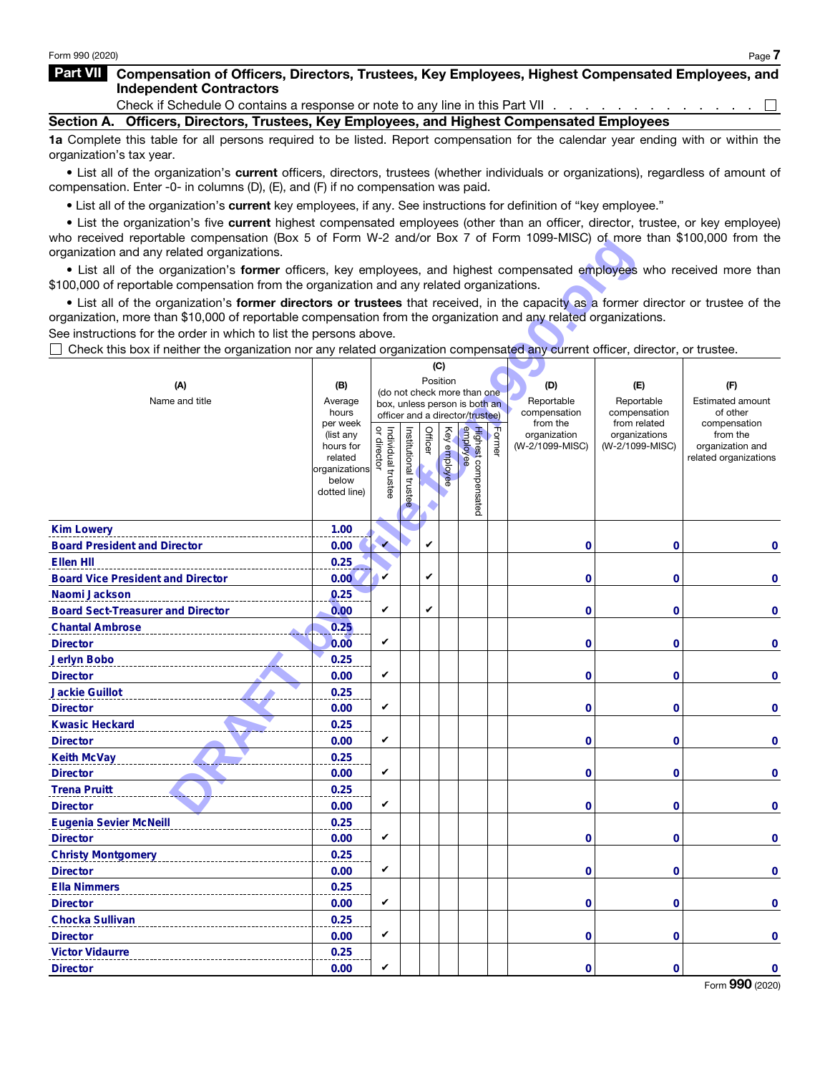## Part VII Compensation of Officers, Directors, Trustees, Key Employees, Highest Compensated Employees, and Independent Contractors

Check if Schedule O contains a response or note to any line in this Part VII . .  $\Box$ Section A. Officers, Directors, Trustees, Key Employees, and Highest Compensated Employees

1a Complete this table for all persons required to be listed. Report compensation for the calendar year ending with or within the organization's tax year.

• List all of the organization's current officers, directors, trustees (whether individuals or organizations), regardless of amount of compensation. Enter -0- in columns (D), (E), and (F) if no compensation was paid.

• List all of the organization's current key employees, if any. See instructions for definition of "key employee."

• List the organization's five current highest compensated employees (other than an officer, director, trustee, or key employee) who received reportable compensation (Box 5 of Form W-2 and/or Box 7 of Form 1099-MISC) of more than \$100,000 from the organization and any related organizations.

| who received reportable compensation (DOA 5 OFFORD WELL ARE ARRIVED DOA 7 OFFORD TOSS-IVITORY OF HIGHE ATO0,000 HOME LIFE<br>organization and any related organizations. |                       |                                   |                       |         |              |                                                              |        |                          |                              |                                           |
|--------------------------------------------------------------------------------------------------------------------------------------------------------------------------|-----------------------|-----------------------------------|-----------------------|---------|--------------|--------------------------------------------------------------|--------|--------------------------|------------------------------|-------------------------------------------|
| • List all of the organization's former officers, key employees, and highest compensated employees who received more than                                                |                       |                                   |                       |         |              |                                                              |        |                          |                              |                                           |
| \$100,000 of reportable compensation from the organization and any related organizations.                                                                                |                       |                                   |                       |         |              |                                                              |        |                          |                              |                                           |
| . List all of the organization's former directors or trustees that received, in the capacity as a former director or trustee of the                                      |                       |                                   |                       |         |              |                                                              |        |                          |                              |                                           |
| organization, more than \$10,000 of reportable compensation from the organization and any related organizations.                                                         |                       |                                   |                       |         |              |                                                              |        |                          |                              |                                           |
| See instructions for the order in which to list the persons above.                                                                                                       |                       |                                   |                       |         |              |                                                              |        |                          |                              |                                           |
| Check this box if neither the organization nor any related organization compensated any current officer, director, or trustee.                                           |                       |                                   |                       |         |              |                                                              |        |                          |                              |                                           |
|                                                                                                                                                                          |                       |                                   |                       | (C)     |              |                                                              |        |                          |                              |                                           |
| (A)                                                                                                                                                                      | (B)                   |                                   |                       |         | Position     |                                                              |        | (D)                      | (E)                          | (F)                                       |
| Name and title                                                                                                                                                           | Average               |                                   |                       |         |              | (do not check more than one<br>box, unless person is both an |        | Reportable               | Reportable                   | <b>Estimated amount</b>                   |
|                                                                                                                                                                          | hours<br>per week     |                                   |                       |         |              | officer and a director/trustee)                              |        | compensation<br>from the | compensation<br>from related | of other<br>compensation                  |
|                                                                                                                                                                          | (list any             | Individual trustee<br>or director |                       | Officer | Key employee |                                                              | Former | organization             | organizations                | from the                                  |
|                                                                                                                                                                          | hours for<br>related  |                                   | Institutional trustee |         |              |                                                              |        | (W-2/1099-MISC)          | (W-2/1099-MISC)              | organization and<br>related organizations |
|                                                                                                                                                                          | organizations         |                                   |                       |         |              |                                                              |        |                          |                              |                                           |
|                                                                                                                                                                          | below<br>dotted line) |                                   |                       |         |              |                                                              |        |                          |                              |                                           |
|                                                                                                                                                                          |                       |                                   |                       |         |              | Highest compensated<br>employee                              |        |                          |                              |                                           |
| <b>Kim Lowery</b>                                                                                                                                                        | 1.00                  |                                   |                       |         |              |                                                              |        |                          |                              |                                           |
| <b>Board President and Director</b>                                                                                                                                      | 0.00                  | $\mathbf{v}$                      |                       | V       |              |                                                              |        | 0                        | 0                            | 0                                         |
| <b>Ellen HII</b>                                                                                                                                                         | 0.25                  |                                   |                       |         |              |                                                              |        |                          |                              |                                           |
| <b>Board Vice President and Director</b>                                                                                                                                 | 0.00                  | V                                 |                       | V       |              |                                                              |        | 0                        | 0                            | 0                                         |
| Naomi Jackson                                                                                                                                                            | 0.25                  |                                   |                       |         |              |                                                              |        |                          |                              |                                           |
| <b>Board Sect-Treasurer and Director</b>                                                                                                                                 | 0.00                  | V                                 |                       | V       |              |                                                              |        | 0                        | 0                            | 0                                         |
| <b>Chantal Ambrose</b>                                                                                                                                                   | 0.25                  |                                   |                       |         |              |                                                              |        |                          |                              |                                           |
| <b>Director</b>                                                                                                                                                          | 0.00                  | V                                 |                       |         |              |                                                              |        | 0                        | 0                            | 0                                         |
| <b>Jerlyn Bobo</b>                                                                                                                                                       | 0.25                  |                                   |                       |         |              |                                                              |        |                          |                              |                                           |
| <b>Director</b>                                                                                                                                                          | 0.00                  | V                                 |                       |         |              |                                                              |        | 0                        | 0                            | 0                                         |
| <b>Jackie Guillot</b>                                                                                                                                                    | 0.25                  |                                   |                       |         |              |                                                              |        |                          |                              |                                           |
| <b>Director</b>                                                                                                                                                          | 0.00                  | V                                 |                       |         |              |                                                              |        | 0                        | 0                            | 0                                         |
| <b>Kwasic Heckard</b>                                                                                                                                                    | 0.25                  |                                   |                       |         |              |                                                              |        |                          |                              |                                           |
| <b>Director</b>                                                                                                                                                          | 0.00                  | V                                 |                       |         |              |                                                              |        | 0                        | 0                            | 0                                         |
| <b>Keith McVay</b>                                                                                                                                                       | 0.25                  |                                   |                       |         |              |                                                              |        |                          |                              |                                           |
| <b>Director</b>                                                                                                                                                          | 0.00                  | V                                 |                       |         |              |                                                              |        | 0                        | 0                            | 0                                         |
| <b>Trena Pruitt</b>                                                                                                                                                      | 0.25                  |                                   |                       |         |              |                                                              |        |                          |                              |                                           |
| <b>Director</b>                                                                                                                                                          | 0.00                  | V                                 |                       |         |              |                                                              |        | 0                        | 0                            | 0                                         |
| <b>Eugenia Sevier McNeill</b>                                                                                                                                            | 0.25                  |                                   |                       |         |              |                                                              |        |                          |                              |                                           |
| <b>Director</b>                                                                                                                                                          | 0.00                  | V                                 |                       |         |              |                                                              |        | 0                        | 0                            | 0                                         |
| <b>Christy Montgomery</b>                                                                                                                                                | 0.25                  |                                   |                       |         |              |                                                              |        |                          |                              |                                           |
| <b>Director</b>                                                                                                                                                          | 0.00                  | V                                 |                       |         |              |                                                              |        | 0                        | 0                            | 0                                         |
| <b>Ella Nimmers</b>                                                                                                                                                      | 0.25                  |                                   |                       |         |              |                                                              |        |                          |                              |                                           |
| <b>Director</b>                                                                                                                                                          | 0.00                  | V                                 |                       |         |              |                                                              |        | $\mathbf 0$              | $\mathbf 0$                  | 0                                         |
| <b>Chocka Sullivan</b>                                                                                                                                                   | 0.25                  |                                   |                       |         |              |                                                              |        |                          |                              |                                           |
| <b>Director</b>                                                                                                                                                          | 0.00                  | V                                 |                       |         |              |                                                              |        | $\mathbf 0$              | 0                            | 0                                         |
| <b>Victor Vidaurre</b>                                                                                                                                                   | 0.25                  |                                   |                       |         |              |                                                              |        |                          |                              |                                           |
| <b>Director</b>                                                                                                                                                          | 0.00                  | V                                 |                       |         |              |                                                              |        | 0                        | 0                            | 0                                         |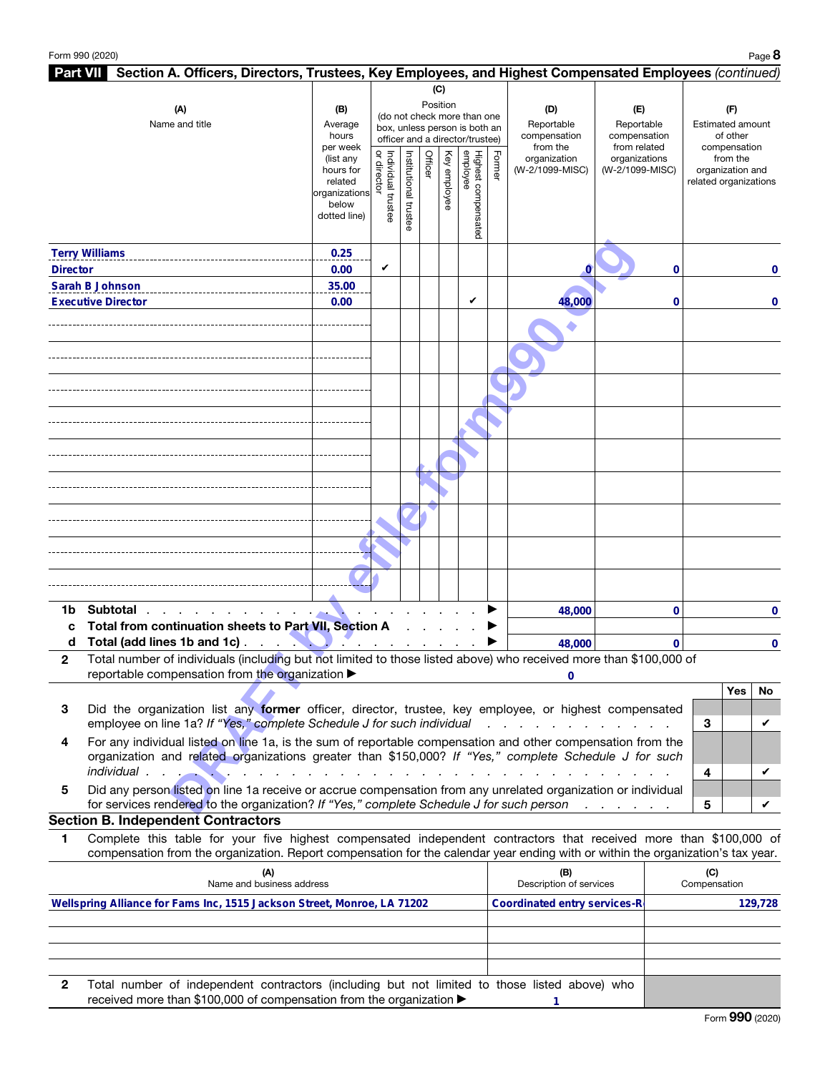|                 | <b>Part VII</b> Section A. Officers, Directors, Trustees, Key Employees, and Highest Compensated Employees (continued)           |                          |                                     |                |         |              |                                                              |        |                                                                                                                 |                               |   |                       |                          |             |
|-----------------|----------------------------------------------------------------------------------------------------------------------------------|--------------------------|-------------------------------------|----------------|---------|--------------|--------------------------------------------------------------|--------|-----------------------------------------------------------------------------------------------------------------|-------------------------------|---|-----------------------|--------------------------|-------------|
|                 |                                                                                                                                  |                          |                                     |                |         | (C)          |                                                              |        |                                                                                                                 |                               |   |                       |                          |             |
|                 | (A)                                                                                                                              | (B)                      |                                     |                |         | Position     |                                                              |        | (D)                                                                                                             | (E)                           |   |                       | (F)                      |             |
|                 | Name and title                                                                                                                   | Average                  |                                     |                |         |              | (do not check more than one<br>box, unless person is both an |        | Reportable                                                                                                      | Reportable                    |   | Estimated amount      |                          |             |
|                 |                                                                                                                                  | hours<br>per week        |                                     |                |         |              | officer and a director/trustee)                              |        | compensation<br>from the                                                                                        | compensation<br>from related  |   |                       | of other<br>compensation |             |
|                 |                                                                                                                                  | (list any                | Individual trustee<br>  or director |                | Officer |              |                                                              | Former | organization                                                                                                    | organizations                 |   |                       | from the                 |             |
|                 |                                                                                                                                  | hours for                |                                     | Institutional  |         | Key employee |                                                              |        | (W-2/1099-MISC)                                                                                                 | (W-2/1099-MISC)               |   |                       | organization and         |             |
|                 |                                                                                                                                  | related<br>organizations |                                     |                |         |              |                                                              |        |                                                                                                                 |                               |   | related organizations |                          |             |
|                 |                                                                                                                                  | below                    |                                     |                |         |              | Highest compensated<br>employee                              |        |                                                                                                                 |                               |   |                       |                          |             |
|                 |                                                                                                                                  | dotted line)             |                                     | <b>trustee</b> |         |              |                                                              |        |                                                                                                                 |                               |   |                       |                          |             |
|                 |                                                                                                                                  |                          |                                     |                |         |              |                                                              |        |                                                                                                                 |                               |   |                       |                          |             |
|                 | <b>Terry Williams</b>                                                                                                            | 0.25                     |                                     |                |         |              |                                                              |        |                                                                                                                 |                               |   |                       |                          |             |
| <b>Director</b> |                                                                                                                                  | 0.00                     | V                                   |                |         |              |                                                              |        |                                                                                                                 |                               | 0 |                       |                          | 0           |
|                 | <b>Sarah B Johnson</b>                                                                                                           | 35.00                    |                                     |                |         |              |                                                              |        |                                                                                                                 |                               |   |                       |                          |             |
|                 | <b>Executive Director</b>                                                                                                        | 0.00                     |                                     |                |         |              | V                                                            |        | 48,000                                                                                                          |                               | 0 |                       |                          | 0           |
|                 |                                                                                                                                  |                          |                                     |                |         |              |                                                              |        |                                                                                                                 |                               |   |                       |                          |             |
|                 |                                                                                                                                  |                          |                                     |                |         |              |                                                              |        |                                                                                                                 |                               |   |                       |                          |             |
|                 |                                                                                                                                  |                          |                                     |                |         |              |                                                              |        |                                                                                                                 |                               |   |                       |                          |             |
|                 |                                                                                                                                  |                          |                                     |                |         |              |                                                              |        |                                                                                                                 |                               |   |                       |                          |             |
|                 |                                                                                                                                  |                          |                                     |                |         |              |                                                              |        |                                                                                                                 |                               |   |                       |                          |             |
|                 |                                                                                                                                  |                          |                                     |                |         |              |                                                              |        |                                                                                                                 |                               |   |                       |                          |             |
|                 |                                                                                                                                  |                          |                                     |                |         |              |                                                              |        |                                                                                                                 |                               |   |                       |                          |             |
|                 |                                                                                                                                  |                          |                                     |                |         |              |                                                              |        |                                                                                                                 |                               |   |                       |                          |             |
|                 |                                                                                                                                  |                          |                                     |                |         |              |                                                              |        |                                                                                                                 |                               |   |                       |                          |             |
|                 |                                                                                                                                  |                          |                                     |                |         |              |                                                              |        |                                                                                                                 |                               |   |                       |                          |             |
|                 |                                                                                                                                  |                          |                                     |                |         |              |                                                              |        |                                                                                                                 |                               |   |                       |                          |             |
|                 |                                                                                                                                  |                          |                                     |                |         |              |                                                              |        |                                                                                                                 |                               |   |                       |                          |             |
|                 |                                                                                                                                  |                          |                                     |                |         |              |                                                              |        |                                                                                                                 |                               |   |                       |                          |             |
|                 |                                                                                                                                  |                          |                                     |                |         |              |                                                              |        |                                                                                                                 |                               |   |                       |                          |             |
|                 |                                                                                                                                  |                          |                                     |                |         |              |                                                              |        |                                                                                                                 |                               |   |                       |                          |             |
|                 |                                                                                                                                  |                          |                                     |                |         |              |                                                              |        |                                                                                                                 |                               |   |                       |                          |             |
|                 |                                                                                                                                  |                          |                                     |                |         |              |                                                              |        |                                                                                                                 |                               |   |                       |                          |             |
| 1b.             | Subtotal                                                                                                                         |                          |                                     |                |         |              |                                                              |        | 48,000                                                                                                          |                               | 0 |                       |                          | $\mathbf 0$ |
| c               | Total from continuation sheets to Part VII, Section A                                                                            |                          |                                     |                |         |              |                                                              |        |                                                                                                                 |                               |   |                       |                          |             |
| d               | Total (add lines 1b and 1c)                                                                                                      |                          |                                     |                |         |              |                                                              |        | 48,000                                                                                                          |                               | 0 |                       |                          | 0           |
| $\mathbf{2}$    | Total number of individuals (including but not limited to those listed above) who received more than \$100,000 of                |                          |                                     |                |         |              |                                                              |        |                                                                                                                 |                               |   |                       |                          |             |
|                 | reportable compensation from the organization ▶                                                                                  |                          |                                     |                |         |              |                                                              |        |                                                                                                                 |                               |   |                       |                          |             |
|                 |                                                                                                                                  |                          |                                     |                |         |              |                                                              |        |                                                                                                                 |                               |   |                       | Yes                      | No          |
| 3               | Did the organization list any former officer, director, trustee, key employee, or highest compensated                            |                          |                                     |                |         |              |                                                              |        |                                                                                                                 |                               |   |                       |                          |             |
|                 | employee on line 1a? If "Yes," complete Schedule J for such individual                                                           |                          |                                     |                |         |              |                                                              |        | the contract of the contract of the contract of the contract of the contract of the contract of the contract of |                               |   | 3                     |                          | V           |
| 4               | For any individual listed on line 1a, is the sum of reportable compensation and other compensation from the                      |                          |                                     |                |         |              |                                                              |        |                                                                                                                 |                               |   |                       |                          |             |
|                 | organization and related organizations greater than \$150,000? If "Yes," complete Schedule J for such                            |                          |                                     |                |         |              |                                                              |        |                                                                                                                 |                               |   |                       |                          |             |
|                 | individual.                                                                                                                      |                          |                                     |                |         |              |                                                              |        |                                                                                                                 |                               |   | 4                     |                          | V           |
| 5               | Did any person listed on line 1a receive or accrue compensation from any unrelated organization or individual                    |                          |                                     |                |         |              |                                                              |        |                                                                                                                 |                               |   |                       |                          |             |
|                 | for services rendered to the organization? If "Yes," complete Schedule J for such person                                         |                          |                                     |                |         |              |                                                              |        |                                                                                                                 | and the contract of the state |   | 5                     |                          | V           |
|                 | <b>Section B. Independent Contractors</b>                                                                                        |                          |                                     |                |         |              |                                                              |        |                                                                                                                 |                               |   |                       |                          |             |
| 1.              | Complete this table for your five highest compensated independent contractors that received more than \$100,000 of               |                          |                                     |                |         |              |                                                              |        |                                                                                                                 |                               |   |                       |                          |             |
|                 | compensation from the organization. Report compensation for the calendar year ending with or within the organization's tax year. |                          |                                     |                |         |              |                                                              |        |                                                                                                                 |                               |   |                       |                          |             |
|                 | (A)                                                                                                                              |                          |                                     |                |         |              |                                                              |        | (B)                                                                                                             |                               |   | (C)                   |                          |             |
|                 | Name and business address                                                                                                        |                          |                                     |                |         |              |                                                              |        | Description of services                                                                                         |                               |   | Compensation          |                          |             |
|                 | Wellspring Alliance for Fams Inc, 1515 Jackson Street, Monroe, LA 71202                                                          |                          |                                     |                |         |              |                                                              |        | Coordinated entry services-R                                                                                    |                               |   |                       |                          | 129,728     |

| Did the organization list any former officer, director, trustee, key employee, or highest compensated          |     |
|----------------------------------------------------------------------------------------------------------------|-----|
| employee on line 1a? If "Yes," complete Schedule J for such individual responsion on the contract of the set o | - 3 |
|                                                                                                                |     |

- 4 For any individual listed on line 1a, is the sum of reportable compensation and other compensation from the organization and related organizations greater than \$150,000? *If "Yes," complete Schedule J for such individual . . . . . . . . . . . . . . . . . . . . . . . . . . . . . . . . .* 4
- 5 Did any person listed on line 1a receive or accrue compensation from any unrelated organization or individual for services rendered to the organization? *If "Yes," complete Schedule J for such person . . . . . .* 5

#### Section B. Independent Contractors

|   | employee on line 1a? If "Yes," complete Schedule J for such individual readers and readers and readers and read                                                                                                                                        |                                |                     |         |  |  |
|---|--------------------------------------------------------------------------------------------------------------------------------------------------------------------------------------------------------------------------------------------------------|--------------------------------|---------------------|---------|--|--|
| 4 | For any individual listed on line 1a, is the sum of reportable compensation and other compensation from the<br>organization and related organizations greater than \$150,000? If "Yes," complete Schedule J for such                                   |                                |                     |         |  |  |
|   | individual intervention of the contract of the contract of the contract of the contract of the contract of the contract of the contract of the contract of the contract of the contract of the contract of the contract of the                         |                                | 4                   |         |  |  |
| 5 | Did any person listed on line 1a receive or accrue compensation from any unrelated organization or individual                                                                                                                                          |                                |                     |         |  |  |
|   | for services rendered to the organization? If "Yes," complete Schedule J for such person                                                                                                                                                               |                                |                     |         |  |  |
|   | <b>Section B. Independent Contractors</b>                                                                                                                                                                                                              |                                |                     |         |  |  |
|   | Complete this table for your five highest compensated independent contractors that received more than \$100,000 of<br>compensation from the organization. Report compensation for the calendar year ending with or within the organization's tax year. |                                |                     |         |  |  |
|   | (A)<br>Name and business address                                                                                                                                                                                                                       | (B)<br>Description of services | (C)<br>Compensation |         |  |  |
|   | Wellspring Alliance for Fams Inc, 1515 Jackson Street, Monroe, LA 71202                                                                                                                                                                                | Coordinated entry services-R   |                     | 129,728 |  |  |
|   |                                                                                                                                                                                                                                                        |                                |                     |         |  |  |
|   |                                                                                                                                                                                                                                                        |                                |                     |         |  |  |
|   |                                                                                                                                                                                                                                                        |                                |                     |         |  |  |
|   |                                                                                                                                                                                                                                                        |                                |                     |         |  |  |
| 2 | Total number of independent contractors (including but not limited to those listed above) who                                                                                                                                                          |                                |                     |         |  |  |
|   | received more than \$100,000 of compensation from the organization ▶                                                                                                                                                                                   |                                |                     |         |  |  |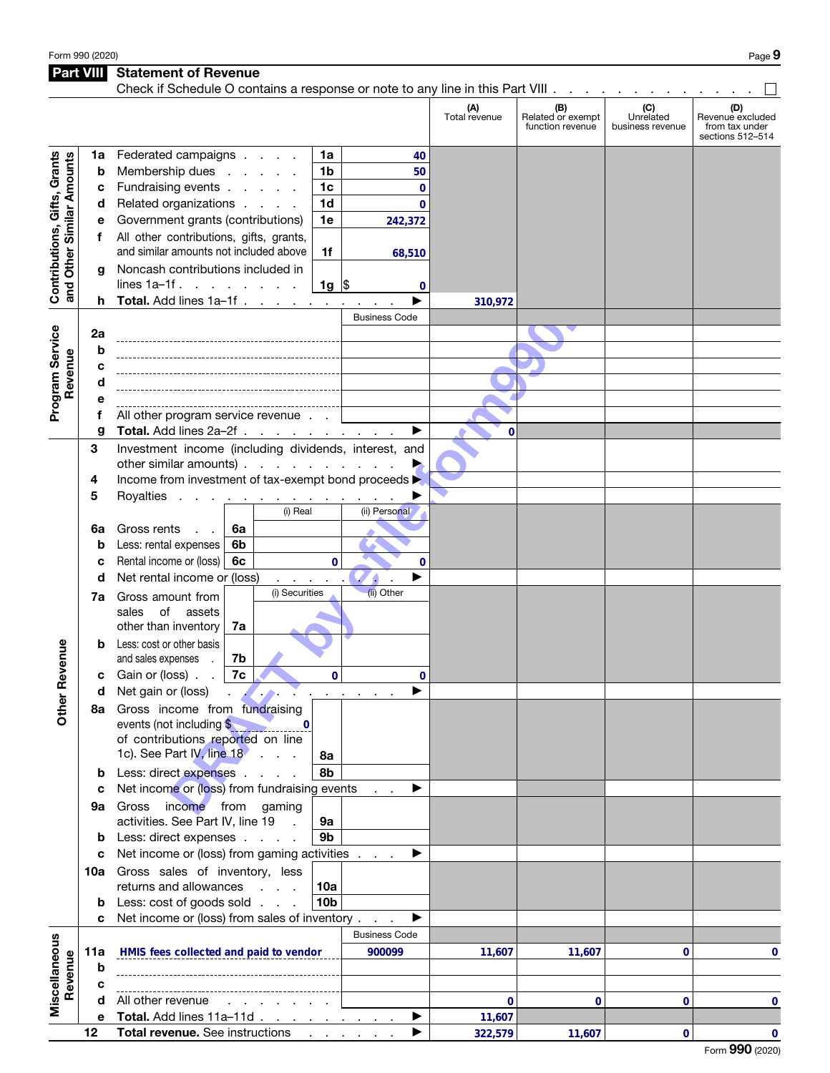Part VIII Statement of Revenue

|                                                           |        | Check if Schedule O contains a response or note to any line in this Part VIII                                                                                                                                                  |                      |                                              |                                      |                                                               |
|-----------------------------------------------------------|--------|--------------------------------------------------------------------------------------------------------------------------------------------------------------------------------------------------------------------------------|----------------------|----------------------------------------------|--------------------------------------|---------------------------------------------------------------|
|                                                           |        |                                                                                                                                                                                                                                | (A)<br>Total revenue | (B)<br>Related or exempt<br>function revenue | (C)<br>Unrelated<br>business revenue | (D)<br>Revenue excluded<br>from tax under<br>sections 512-514 |
|                                                           | 1a     | Federated campaigns<br>1a<br>40                                                                                                                                                                                                |                      |                                              |                                      |                                                               |
|                                                           | b      | Membership dues<br>1 <sub>b</sub><br>50                                                                                                                                                                                        |                      |                                              |                                      |                                                               |
|                                                           | с      | Fundraising events<br>1 <sub>c</sub><br>$\mathbf 0$                                                                                                                                                                            |                      |                                              |                                      |                                                               |
|                                                           | d      | 1 <sub>d</sub><br>Related organizations<br>$\mathbf 0$                                                                                                                                                                         |                      |                                              |                                      |                                                               |
|                                                           | е      | Government grants (contributions)<br>1e<br>242,372                                                                                                                                                                             |                      |                                              |                                      |                                                               |
| Contributions, Gifts, Grants<br>and Other Similar Amounts | f      | All other contributions, gifts, grants,                                                                                                                                                                                        |                      |                                              |                                      |                                                               |
|                                                           |        | and similar amounts not included above<br>1f<br>68,510                                                                                                                                                                         |                      |                                              |                                      |                                                               |
|                                                           | a      | Noncash contributions included in                                                                                                                                                                                              |                      |                                              |                                      |                                                               |
|                                                           |        | lines $1a-1f$ .<br>$1g \,$ \$<br>0<br>Total. Add lines 1a-1f                                                                                                                                                                   |                      |                                              |                                      |                                                               |
|                                                           |        | <b>Business Code</b>                                                                                                                                                                                                           | 310,972              |                                              |                                      |                                                               |
|                                                           | 2a     |                                                                                                                                                                                                                                |                      |                                              |                                      |                                                               |
|                                                           | b      |                                                                                                                                                                                                                                |                      |                                              |                                      |                                                               |
| Revenue                                                   | c      |                                                                                                                                                                                                                                |                      |                                              |                                      |                                                               |
|                                                           | d      |                                                                                                                                                                                                                                |                      |                                              |                                      |                                                               |
| Program Service                                           | е      |                                                                                                                                                                                                                                |                      |                                              |                                      |                                                               |
|                                                           | f      | All other program service revenue                                                                                                                                                                                              |                      |                                              |                                      |                                                               |
|                                                           | g      | Total. Add lines 2a-2f                                                                                                                                                                                                         | 0                    |                                              |                                      |                                                               |
|                                                           | 3      | Investment income (including dividends, interest, and                                                                                                                                                                          |                      |                                              |                                      |                                                               |
|                                                           |        | other similar amounts)                                                                                                                                                                                                         |                      |                                              |                                      |                                                               |
|                                                           | 4      | Income from investment of tax-exempt bond proceeds >                                                                                                                                                                           |                      |                                              |                                      |                                                               |
|                                                           | 5      | Royalties<br>and a series of the contract of the series<br>(i) Real<br>(ii) Personal                                                                                                                                           |                      |                                              |                                      |                                                               |
|                                                           | 6а     | Gross rents<br>6a                                                                                                                                                                                                              |                      |                                              |                                      |                                                               |
|                                                           | b      | Less: rental expenses<br>6b                                                                                                                                                                                                    |                      |                                              |                                      |                                                               |
|                                                           | c      | Rental income or (loss)<br>6с<br>$\mathbf{0}$<br>$\bf{0}$                                                                                                                                                                      |                      |                                              |                                      |                                                               |
|                                                           | d      | Net rental income or (loss)<br>$\sim$                                                                                                                                                                                          |                      |                                              |                                      |                                                               |
|                                                           | 7a     | (i) Securities<br>(ii) Other<br>Gross amount from                                                                                                                                                                              |                      |                                              |                                      |                                                               |
|                                                           |        | of<br>sales<br>assets                                                                                                                                                                                                          |                      |                                              |                                      |                                                               |
|                                                           |        | other than inventory<br>7a                                                                                                                                                                                                     |                      |                                              |                                      |                                                               |
|                                                           | b      | Less: cost or other basis                                                                                                                                                                                                      |                      |                                              |                                      |                                                               |
| Revenue                                                   |        | and sales expenses<br>7b                                                                                                                                                                                                       |                      |                                              |                                      |                                                               |
|                                                           | с      | 7c<br>Gain or (loss).<br>$\mathbf 0$<br>$\mathbf 0$                                                                                                                                                                            |                      |                                              |                                      |                                                               |
|                                                           | d      | Net gain or (loss) And Alexander Contract and Alexander Contract and Alexander Contract and Alexander Contract and Alexander Contract and Alexander Contract and Alexander Contract and Alexander Contract and Alexander Contr |                      |                                              |                                      |                                                               |
| Other                                                     |        | 8a Gross income from fundraising<br>events (not including \$                                                                                                                                                                   |                      |                                              |                                      |                                                               |
|                                                           |        | of contributions reported on line                                                                                                                                                                                              |                      |                                              |                                      |                                                               |
|                                                           |        | 1c). See Part $\mathsf{IV}, \mathsf{line}\, 18$<br>8a                                                                                                                                                                          |                      |                                              |                                      |                                                               |
|                                                           | b      | Less: direct expenses<br>8b                                                                                                                                                                                                    |                      |                                              |                                      |                                                               |
|                                                           | с      | Net income or (loss) from fundraising events<br>▶                                                                                                                                                                              |                      |                                              |                                      |                                                               |
|                                                           | 9а     | Gross income from gaming                                                                                                                                                                                                       |                      |                                              |                                      |                                                               |
|                                                           |        | activities. See Part IV, line 19<br>9a<br>$\sim$                                                                                                                                                                               |                      |                                              |                                      |                                                               |
|                                                           | b      | Less: direct expenses<br>9b                                                                                                                                                                                                    |                      |                                              |                                      |                                                               |
|                                                           | с      | Net income or (loss) from gaming activities<br>▶                                                                                                                                                                               |                      |                                              |                                      |                                                               |
|                                                           |        | 10a Gross sales of inventory, less                                                                                                                                                                                             |                      |                                              |                                      |                                                               |
|                                                           |        | returns and allowances<br>10a<br>Less: cost of goods sold<br>10 <sub>b</sub>                                                                                                                                                   |                      |                                              |                                      |                                                               |
|                                                           | b<br>c | Net income or (loss) from sales of inventory<br>▶                                                                                                                                                                              |                      |                                              |                                      |                                                               |
|                                                           |        | <b>Business Code</b>                                                                                                                                                                                                           |                      |                                              |                                      |                                                               |
| Miscellaneous                                             | 11a    | HMIS fees collected and paid to vendor<br>900099                                                                                                                                                                               | 11,607               | 11,607                                       | 0                                    | 0                                                             |
| Revenue                                                   | b      |                                                                                                                                                                                                                                |                      |                                              |                                      |                                                               |
|                                                           | с      |                                                                                                                                                                                                                                |                      |                                              |                                      |                                                               |
|                                                           | d      | All other revenue All other revenue All in the state of the state of the state of the state of the state of the                                                                                                                | $\mathbf 0$          | 0                                            | 0                                    | 0                                                             |
|                                                           | е      | Total. Add lines 11a-11d<br>▶                                                                                                                                                                                                  | 11,607               |                                              |                                      |                                                               |
|                                                           | 12     | Total revenue. See instructions                                                                                                                                                                                                | 322,579              | 11,607                                       | $\mathbf 0$                          | $\mathbf{0}$                                                  |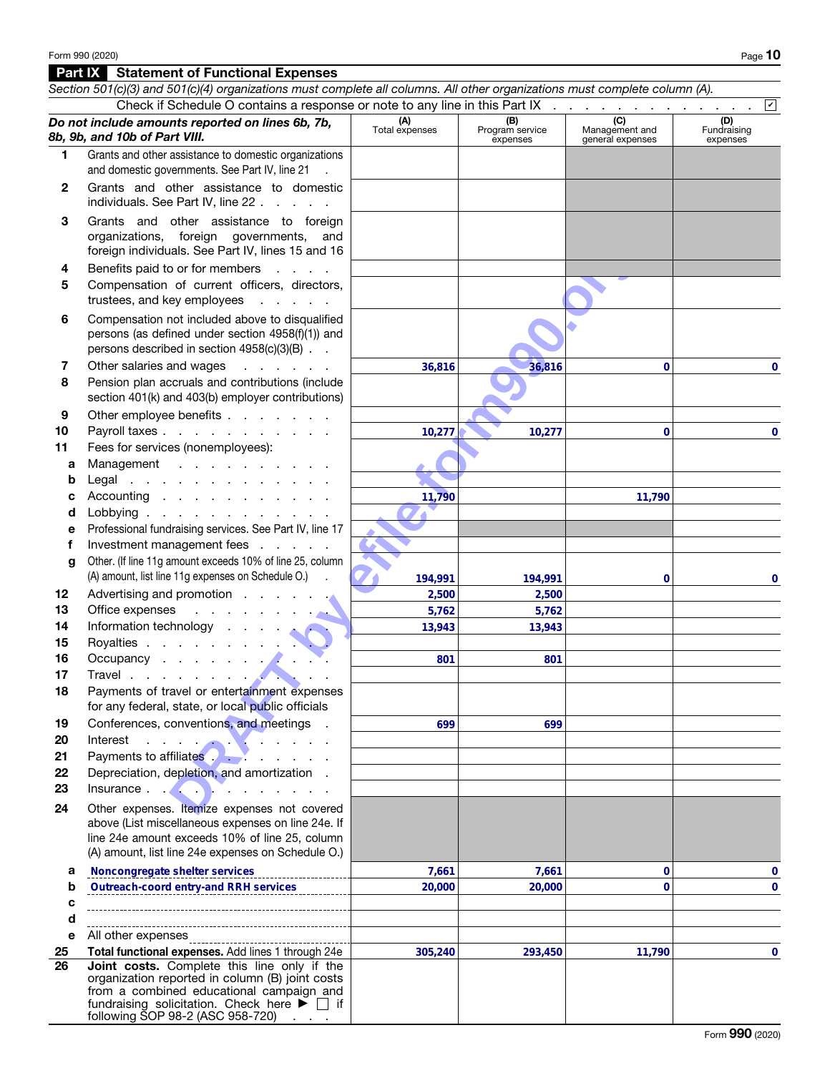#### Part IX Statement of Functional Expenses

|              | Section 501(c)(3) and 501(c)(4) organizations must complete all columns. All other organizations must complete column (A).                                                                                                                                                        |                       |                                    |                                           |                                |
|--------------|-----------------------------------------------------------------------------------------------------------------------------------------------------------------------------------------------------------------------------------------------------------------------------------|-----------------------|------------------------------------|-------------------------------------------|--------------------------------|
|              | Check if Schedule O contains a response or note to any line in this Part IX                                                                                                                                                                                                       |                       |                                    |                                           | $\sqrt{ }$                     |
|              | Do not include amounts reported on lines 6b, 7b,<br>8b, 9b, and 10b of Part VIII.                                                                                                                                                                                                 | (A)<br>Total expenses | (B)<br>Program service<br>expenses | (C)<br>Management and<br>general expenses | (D)<br>Fundraising<br>expenses |
| 1.           | Grants and other assistance to domestic organizations<br>and domestic governments. See Part IV, line 21                                                                                                                                                                           |                       |                                    |                                           |                                |
| $\mathbf{2}$ | Grants and other assistance to domestic<br>individuals. See Part IV, line 22                                                                                                                                                                                                      |                       |                                    |                                           |                                |
| 3            | Grants and other assistance to foreign<br>organizations, foreign governments, and<br>foreign individuals. See Part IV, lines 15 and 16                                                                                                                                            |                       |                                    |                                           |                                |
| 4<br>5       | Benefits paid to or for members<br><b>Carl Command</b><br>Compensation of current officers, directors,<br>trustees, and key employees<br>and the state of the state                                                                                                               |                       |                                    |                                           |                                |
| 6            | Compensation not included above to disqualified<br>persons (as defined under section 4958(f)(1)) and<br>persons described in section 4958(c)(3)(B)                                                                                                                                |                       |                                    |                                           |                                |
| 7            | Other salaries and wages<br>and the company of the                                                                                                                                                                                                                                | 36,816                | 36,816                             | $\mathbf{0}$                              | 0                              |
| 8            | Pension plan accruals and contributions (include<br>section 401(k) and 403(b) employer contributions)                                                                                                                                                                             |                       |                                    |                                           |                                |
| 9            | Other employee benefits                                                                                                                                                                                                                                                           |                       |                                    |                                           |                                |
| 10           | Payroll taxes                                                                                                                                                                                                                                                                     | 10,277                | 10,277                             | $\mathbf{0}$                              | $\mathbf{0}$                   |
| 11           | Fees for services (nonemployees):                                                                                                                                                                                                                                                 |                       |                                    |                                           |                                |
| а            | Management                                                                                                                                                                                                                                                                        |                       |                                    |                                           |                                |
| b            | Legal                                                                                                                                                                                                                                                                             |                       |                                    |                                           |                                |
| c            | Accounting                                                                                                                                                                                                                                                                        | 11,790                |                                    | 11,790                                    |                                |
| d            | Lobbying                                                                                                                                                                                                                                                                          |                       |                                    |                                           |                                |
| е            | Professional fundraising services. See Part IV, line 17                                                                                                                                                                                                                           |                       |                                    |                                           |                                |
| f            | Investment management fees                                                                                                                                                                                                                                                        |                       |                                    |                                           |                                |
| g            | Other. (If line 11g amount exceeds 10% of line 25, column<br>(A) amount, list line 11g expenses on Schedule O.)                                                                                                                                                                   | 194,991               | 194,991                            | $\mathbf 0$                               | 0                              |
| 12           | Advertising and promotion                                                                                                                                                                                                                                                         |                       |                                    |                                           |                                |
|              |                                                                                                                                                                                                                                                                                   | 2,500                 | 2,500                              |                                           |                                |
| 13           | Office expenses<br><u>and the second contract of the second contract of the second contract of the second contract of the second contract of the second contract of the second contract of the second contract of the second contract of the second</u><br>Information technology | 5,762                 | 5,762                              |                                           |                                |
| 14           | Royalties                                                                                                                                                                                                                                                                         | 13,943                | 13,943                             |                                           |                                |
| 15           |                                                                                                                                                                                                                                                                                   |                       |                                    |                                           |                                |
| 16           |                                                                                                                                                                                                                                                                                   | 801                   | 801                                |                                           |                                |
| 17           |                                                                                                                                                                                                                                                                                   |                       |                                    |                                           |                                |
| 18           | Payments of travel or entertainment expenses<br>for any federal, state, or local public officials                                                                                                                                                                                 |                       |                                    |                                           |                                |
| 19           | Conferences, conventions, and meetings .                                                                                                                                                                                                                                          | 699                   | 699                                |                                           |                                |
| 20           | Interest                                                                                                                                                                                                                                                                          |                       |                                    |                                           |                                |
| 21           | Payments to affiliates                                                                                                                                                                                                                                                            |                       |                                    |                                           |                                |
| 22           | Depreciation, depletion, and amortization.                                                                                                                                                                                                                                        |                       |                                    |                                           |                                |
| 23           | Insurance New York Press, New York Press, New York Press, New York Press, New York Press, New York Press, New York Press, New York Press, New York Press, New York Press, New York Press, New York Press, New York Press, New                                                     |                       |                                    |                                           |                                |
| 24           | Other expenses. Itemize expenses not covered<br>above (List miscellaneous expenses on line 24e. If<br>line 24e amount exceeds 10% of line 25, column<br>(A) amount, list line 24e expenses on Schedule O.)                                                                        |                       |                                    |                                           |                                |
|              |                                                                                                                                                                                                                                                                                   |                       |                                    |                                           |                                |
| а            | Noncongregate shelter services                                                                                                                                                                                                                                                    | 7,661                 | 7,661                              | $\mathbf 0$                               | 0                              |
| b            | Outreach-coord entry-and RRH services                                                                                                                                                                                                                                             | 20,000                | 20,000                             | $\mathbf 0$                               | $\mathbf 0$                    |
| c            |                                                                                                                                                                                                                                                                                   |                       |                                    |                                           |                                |
| d            | -----------------------                                                                                                                                                                                                                                                           |                       |                                    |                                           |                                |
| е            | All other expenses                                                                                                                                                                                                                                                                |                       |                                    |                                           |                                |
| 25           | Total functional expenses. Add lines 1 through 24e                                                                                                                                                                                                                                | 305,240               | 293,450                            | 11,790                                    | 0                              |
| 26           | Joint costs. Complete this line only if the<br>organization reported in column (B) joint costs<br>from a combined educational campaign and<br>fundraising solicitation. Check here ▶ □ if<br>following SOP 98-2 (ASC 958-720)<br><b>Contract Contract</b>                         |                       |                                    |                                           |                                |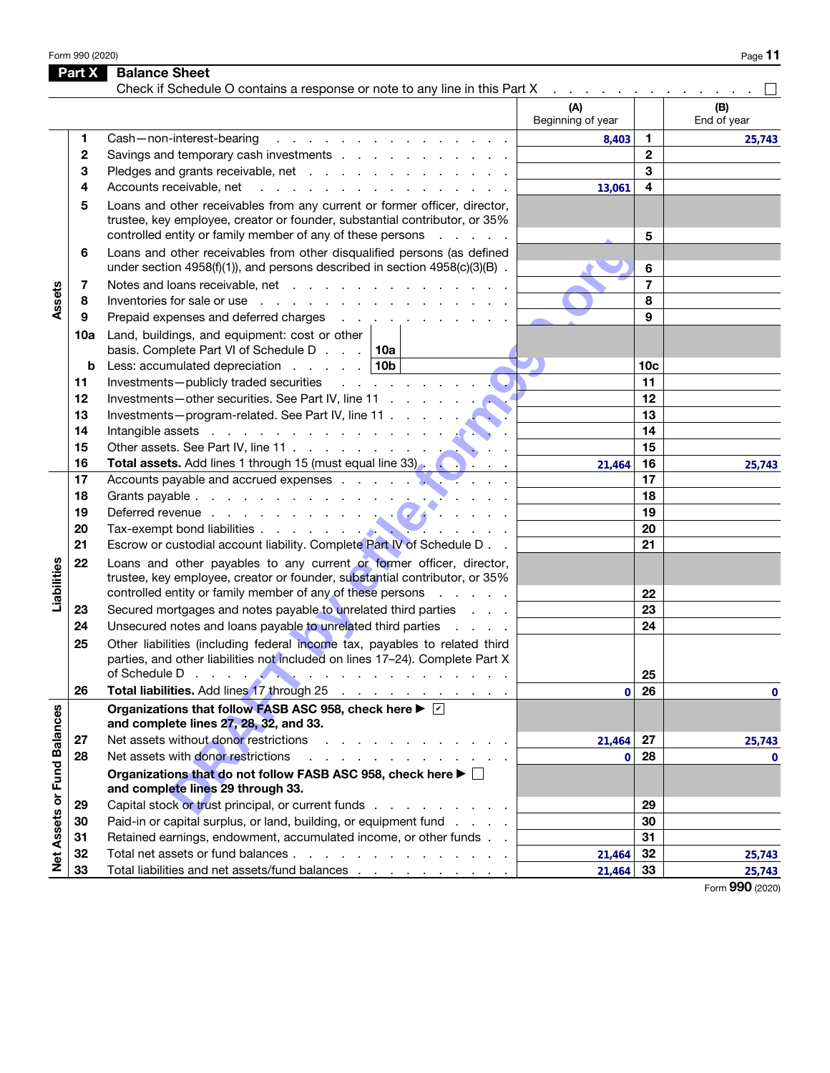Form 990 (2020)  $P_{\text{Age}}$  **11** 

|                             | Part X | <b>Balance Sheet</b><br>Check if Schedule O contains a response or note to any line in this Part X                                                                                                                                                                     | the contract of the contract of |                 |                    |
|-----------------------------|--------|------------------------------------------------------------------------------------------------------------------------------------------------------------------------------------------------------------------------------------------------------------------------|---------------------------------|-----------------|--------------------|
|                             |        |                                                                                                                                                                                                                                                                        | (A)<br>Beginning of year        |                 | (B)<br>End of year |
|                             | 1.     | Cash-non-interest-bearing<br>and the contract of the contract of the contract of the contract of the contract of the contract of the contract of the contract of the contract of the contract of the contract of the contract of the contract of the contra            | 8,403                           | 1               | 25,743             |
|                             | 2      | Savings and temporary cash investments                                                                                                                                                                                                                                 |                                 | $\mathbf{2}$    |                    |
|                             | З      | Pledges and grants receivable, net                                                                                                                                                                                                                                     |                                 | 3               |                    |
|                             | 4      | Accounts receivable, net<br>and the contract of the contract of the contract of                                                                                                                                                                                        | 13,061                          | 4               |                    |
|                             | 5      | Loans and other receivables from any current or former officer, director,                                                                                                                                                                                              |                                 |                 |                    |
|                             |        | trustee, key employee, creator or founder, substantial contributor, or 35%<br>controlled entity or family member of any of these persons<br>and the company                                                                                                            |                                 | 5               |                    |
|                             | 6      | Loans and other receivables from other disqualified persons (as defined<br>under section $4958(f)(1)$ , and persons described in section $4958(c)(3)(B)$ .                                                                                                             |                                 | 6               |                    |
|                             | 7      | Notes and loans receivable, net                                                                                                                                                                                                                                        |                                 | $\overline{7}$  |                    |
| Assets                      | 8      | Inventories for sale or use referred and contact the contact of the contact of the contact of the contact of the contact of the contact of the contact of the contact of the contact of the contact of the contact of the cont                                         |                                 | 8               |                    |
|                             | 9      | Prepaid expenses and deferred charges                                                                                                                                                                                                                                  |                                 | 9               |                    |
|                             | 10a    | Land, buildings, and equipment: cost or other<br>basis. Complete Part VI of Schedule D $\ldots$<br>10a                                                                                                                                                                 |                                 |                 |                    |
|                             | b      | Less: accumulated depreciation $\ldots$ 10b                                                                                                                                                                                                                            |                                 | 10 <sub>c</sub> |                    |
|                             | 11     | Investments-publicly traded securities resources and contact the second intervals of the second intervals of the                                                                                                                                                       |                                 | 11              |                    |
|                             | 12     | Investments-other securities. See Part IV, line 11                                                                                                                                                                                                                     |                                 | 12              |                    |
|                             | 13     | Investments-program-related. See Part IV, line 11                                                                                                                                                                                                                      |                                 | 13              |                    |
|                             | 14     | Intangible assets in the contract of the set of the set of the set of the set of the set of the set of the set                                                                                                                                                         |                                 | 14              |                    |
|                             | 15     | Other assets. See Part IV, line 11                                                                                                                                                                                                                                     |                                 | 15              |                    |
|                             | 16     | Total assets. Add lines 1 through 15 (must equal line 33). (All inc.                                                                                                                                                                                                   | 21,464                          | 16              | 25,743             |
|                             | 17     | Accounts payable and accrued expenses entitled and accrued expenses and accrued with the set of the set of the                                                                                                                                                         |                                 | 17              |                    |
|                             | 18     |                                                                                                                                                                                                                                                                        |                                 | 18              |                    |
|                             | 19     | Deferred revenue expansion of the state of the state of the state of the state of the state of the state of the state of the state of the state of the state of the state of the state of the state of the state of the state                                          |                                 | 19              |                    |
|                             | 20     |                                                                                                                                                                                                                                                                        |                                 | 20              |                    |
|                             | 21     | Escrow or custodial account liability. Complete Part IV of Schedule D. .                                                                                                                                                                                               |                                 | 21              |                    |
| Liabilities                 | 22     | Loans and other payables to any current or former officer, director,<br>trustee, key employee, creator or founder, substantial contributor, or 35%                                                                                                                     |                                 |                 |                    |
|                             |        | controlled entity or family member of any of these persons<br>and a state of                                                                                                                                                                                           |                                 | 22              |                    |
|                             | 23     | Secured mortgages and notes payable to unrelated third parties                                                                                                                                                                                                         |                                 | 23              |                    |
|                             | 24     | Unsecured notes and loans payable to unrelated third parties                                                                                                                                                                                                           |                                 | 24              |                    |
|                             | 25     | Other liabilities (including federal income tax, payables to related third<br>parties, and other liabilities not included on lines 17-24). Complete Part X                                                                                                             |                                 | 25              |                    |
|                             | 26     | Total liabilities. Add lines 17 through 25                                                                                                                                                                                                                             | 0                               | 26              | $\mathbf{0}$       |
|                             |        | Organizations that follow FASB ASC 958, check here $\blacktriangleright \triangleright$<br>and complete lines 27, 28, 32, and 33.                                                                                                                                      |                                 |                 |                    |
|                             | 27     | Net assets without donor restrictions<br>a construction of the construction of the construction of the construction of the construction of the construction of the construction of the construction of the construction of the construction of the construction of the | 21,464                          | 27              | 25,743             |
|                             | 28     | Net assets with donor restrictions<br>and a series of the contract of the contract of                                                                                                                                                                                  | 0                               | 28              | 0                  |
| Net Assets or Fund Balances |        | Organizations that do not follow FASB ASC 958, check here ▶ □<br>and complete lines 29 through 33.                                                                                                                                                                     |                                 |                 |                    |
|                             | 29     | Capital stock or trust principal, or current funds                                                                                                                                                                                                                     |                                 | 29              |                    |
|                             | 30     | Paid-in or capital surplus, or land, building, or equipment fund                                                                                                                                                                                                       |                                 | 30              |                    |
|                             | 31     | Retained earnings, endowment, accumulated income, or other funds                                                                                                                                                                                                       |                                 | 31              |                    |
|                             | 32     | Total net assets or fund balances                                                                                                                                                                                                                                      | 21,464                          | 32              | 25,743             |
|                             | 33     | Total liabilities and net assets/fund balances                                                                                                                                                                                                                         | 21,464                          | 33              | 25,743             |

Form 990 (2020)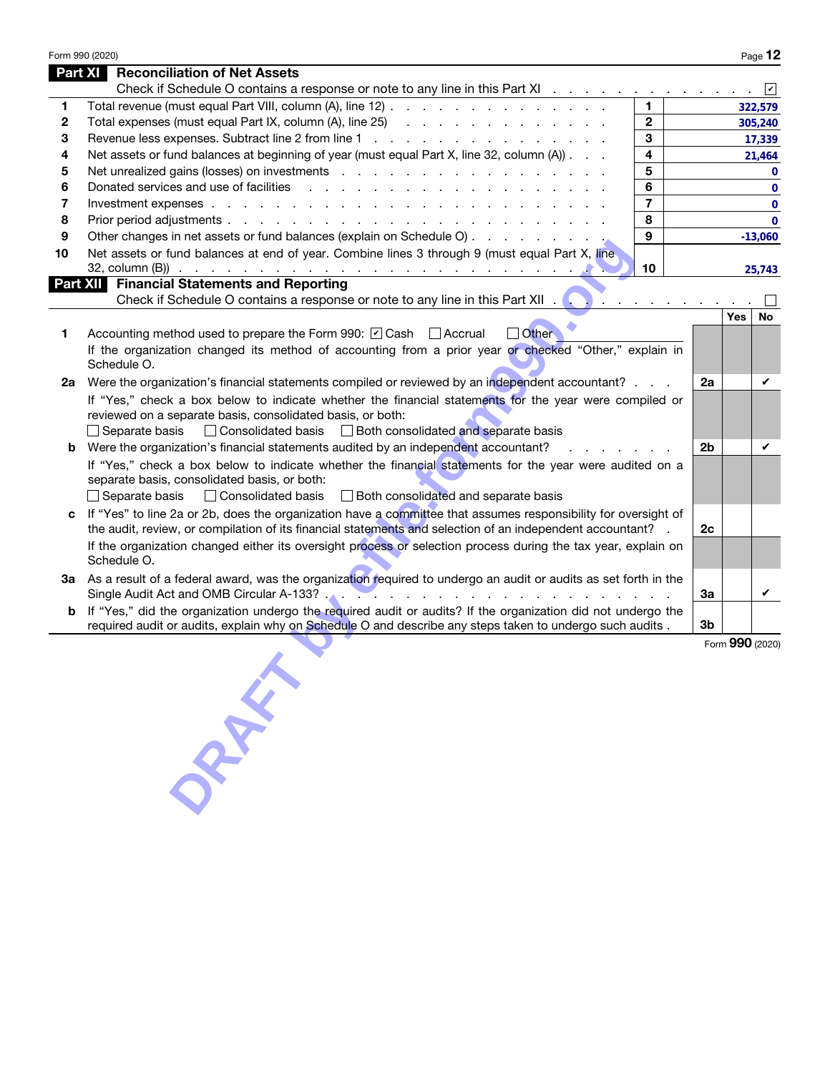|              | Form 990 (2020)                                                                                                                                                                                   |                |    | Page 12         |
|--------------|---------------------------------------------------------------------------------------------------------------------------------------------------------------------------------------------------|----------------|----|-----------------|
|              | Part XI<br><b>Reconciliation of Net Assets</b>                                                                                                                                                    |                |    |                 |
|              | Check if Schedule O contains a response or note to any line in this Part XI                                                                                                                       |                |    | $\sqrt{ }$      |
| 1            | Total revenue (must equal Part VIII, column (A), line 12)                                                                                                                                         | 1.             |    | 322,579         |
| $\mathbf{2}$ | Total expenses (must equal Part IX, column (A), line 25)                                                                                                                                          | $\mathbf{2}$   |    | 305,240         |
| 3            |                                                                                                                                                                                                   | 3              |    | 17,339          |
| 4            | Net assets or fund balances at beginning of year (must equal Part X, line 32, column (A))                                                                                                         | $\overline{4}$ |    | 21,464          |
| 5            |                                                                                                                                                                                                   | 5              |    | 0               |
| 6            | Donated services and use of facilities<br>the contract of the contract of the contract of the contract of the contract of the contract of the contract of                                         | 6              |    | 0               |
| 7            |                                                                                                                                                                                                   | $\overline{7}$ |    | $\mathbf{0}$    |
| 8            |                                                                                                                                                                                                   | 8              |    | $\mathbf{0}$    |
| 9            | Other changes in net assets or fund balances (explain on Schedule O)                                                                                                                              | 9              |    | $-13,060$       |
| 10           | Net assets or fund balances at end of year. Combine lines 3 through 9 (must equal Part X, line<br>32, column (B) $\cdots$ $\cdots$ $\cdots$ $\cdots$ $\cdots$ $\cdots$ $\cdots$ $\cdots$ $\cdots$ | 10             |    | 25,743          |
|              | <b>Part XII</b> Financial Statements and Reporting                                                                                                                                                |                |    |                 |
|              | Check if Schedule O contains a response or note to any line in this Part XII.                                                                                                                     |                |    |                 |
|              |                                                                                                                                                                                                   |                |    | Yes<br>No       |
| 1            | $\Box$ Other<br>Accounting method used to prepare the Form 990: ☑ Cash △ Accrual                                                                                                                  |                |    |                 |
|              | If the organization changed its method of accounting from a prior year or checked "Other," explain in<br>Schedule O.                                                                              |                |    |                 |
| 2a           | Were the organization's financial statements compiled or reviewed by an independent accountant?                                                                                                   |                | 2a | V               |
|              | If "Yes," check a box below to indicate whether the financial statements for the year were compiled or                                                                                            |                |    |                 |
|              | reviewed on a separate basis, consolidated basis, or both:                                                                                                                                        |                |    |                 |
|              | $\Box$ Consolidated basis $\Box$ Both consolidated and separate basis<br>$\Box$ Separate basis                                                                                                    |                |    |                 |
| b            | Were the organization's financial statements audited by an independent accountant?                                                                                                                |                | 2b | V               |
|              | If "Yes," check a box below to indicate whether the financial statements for the year were audited on a                                                                                           |                |    |                 |
|              | separate basis, consolidated basis, or both:                                                                                                                                                      |                |    |                 |
|              | $\Box$ Separate basis<br>□ Consolidated basis □ Both consolidated and separate basis                                                                                                              |                |    |                 |
| c            | If "Yes" to line 2a or 2b, does the organization have a committee that assumes responsibility for oversight of                                                                                    |                |    |                 |
|              | the audit, review, or compilation of its financial statements and selection of an independent accountant? .                                                                                       |                | 2c |                 |
|              | If the organization changed either its oversight process or selection process during the tax year, explain on                                                                                     |                |    |                 |
|              | Schedule O.                                                                                                                                                                                       |                |    |                 |
|              | 3a As a result of a federal award, was the organization required to undergo an audit or audits as set forth in the                                                                                |                |    |                 |
|              |                                                                                                                                                                                                   |                | За |                 |
|              | <b>b</b> If "Yes," did the organization undergo the required audit or audits? If the organization did not undergo the                                                                             |                |    |                 |
|              | required audit or audits, explain why on Schedule O and describe any steps taken to undergo such audits.                                                                                          |                | 3b |                 |
|              |                                                                                                                                                                                                   |                |    | Form 990 (2020) |
|              | SRAWN                                                                                                                                                                                             |                |    |                 |
|              |                                                                                                                                                                                                   |                |    |                 |
|              |                                                                                                                                                                                                   |                |    |                 |
|              |                                                                                                                                                                                                   |                |    |                 |
|              |                                                                                                                                                                                                   |                |    |                 |
|              |                                                                                                                                                                                                   |                |    |                 |
|              |                                                                                                                                                                                                   |                |    |                 |
|              |                                                                                                                                                                                                   |                |    |                 |
|              |                                                                                                                                                                                                   |                |    |                 |
|              |                                                                                                                                                                                                   |                |    |                 |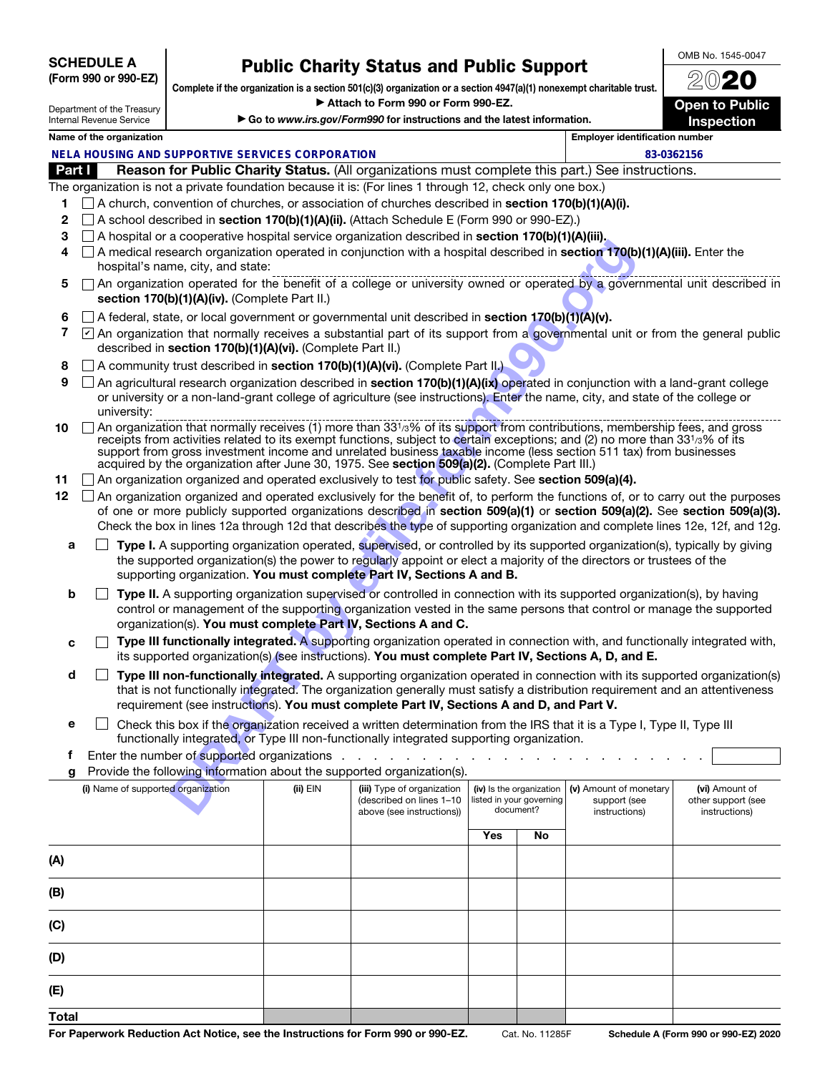| <b>SCHEDULE A</b> |  |
|-------------------|--|
|-------------------|--|

# (Form 990 or 990-EZ)

# Public Charity Status and Public Support

OMB No. 1545-0047

| Department of the Treasury |
|----------------------------|
| Internal Revenue Service   |

Complete if the organization is a section 501(c)(3) organization or a section 4947(a)(1) nonexempt charitable trust. ▶ Attach to Form 990 or Form 990-EZ.

▶ Go to *www.irs.gov/Form990* for instructions and the latest information.

2020 **Open to Public** Inspection

|        | Name of the organization                                                                                                                                                                                                                                                                                                                                       |          |                                                                                     |     |                                                                   | <b>Employer identification number</b>                   |                                                       |
|--------|----------------------------------------------------------------------------------------------------------------------------------------------------------------------------------------------------------------------------------------------------------------------------------------------------------------------------------------------------------------|----------|-------------------------------------------------------------------------------------|-----|-------------------------------------------------------------------|---------------------------------------------------------|-------------------------------------------------------|
|        | NELA HOUSING AND SUPPORTIVE SERVICES CORPORATION                                                                                                                                                                                                                                                                                                               |          |                                                                                     |     |                                                                   | 83-0362156                                              |                                                       |
| Part I | Reason for Public Charity Status. (All organizations must complete this part.) See instructions.                                                                                                                                                                                                                                                               |          |                                                                                     |     |                                                                   |                                                         |                                                       |
|        | The organization is not a private foundation because it is: (For lines 1 through 12, check only one box.)                                                                                                                                                                                                                                                      |          |                                                                                     |     |                                                                   |                                                         |                                                       |
| 1.     | $\Box$ A church, convention of churches, or association of churches described in <b>section 170(b)(1)(A)(i).</b>                                                                                                                                                                                                                                               |          |                                                                                     |     |                                                                   |                                                         |                                                       |
| 2      | $\Box$ A school described in <b>section 170(b)(1)(A)(ii).</b> (Attach Schedule E (Form 990 or 990-EZ).)                                                                                                                                                                                                                                                        |          |                                                                                     |     |                                                                   |                                                         |                                                       |
| 3      | $\Box$ A hospital or a cooperative hospital service organization described in <b>section 170(b)(1)(A)(iii).</b>                                                                                                                                                                                                                                                |          |                                                                                     |     |                                                                   |                                                         |                                                       |
| 4      | $\Box$ A medical research organization operated in conjunction with a hospital described in section 170(b)(1)(A)(iii). Enter the<br>hospital's name, city, and state:                                                                                                                                                                                          |          |                                                                                     |     |                                                                   |                                                         |                                                       |
| 5      | $\Box$ An organization operated for the benefit of a college or university owned or operated by a governmental unit described in<br>section 170(b)(1)(A)(iv). (Complete Part II.)                                                                                                                                                                              |          |                                                                                     |     |                                                                   |                                                         |                                                       |
| 6      | $\Box$ A federal, state, or local government or governmental unit described in section 170(b)(1)(A)(v).                                                                                                                                                                                                                                                        |          |                                                                                     |     |                                                                   |                                                         |                                                       |
| 7      | An organization that normally receives a substantial part of its support from a governmental unit or from the general public<br>described in section 170(b)(1)(A)(vi). (Complete Part II.)                                                                                                                                                                     |          |                                                                                     |     |                                                                   |                                                         |                                                       |
| 8      | □ A community trust described in section 170(b)(1)(A)(vi). (Complete Part II.)                                                                                                                                                                                                                                                                                 |          |                                                                                     |     |                                                                   |                                                         |                                                       |
| 9      | $\Box$ An agricultural research organization described in section 170(b)(1)(A)(ix) operated in conjunction with a land-grant college<br>or university or a non-land-grant college of agriculture (see instructions). Enter the name, city, and state of the college or                                                                                         |          |                                                                                     |     |                                                                   |                                                         |                                                       |
| 10     | university:<br>An organization that normally receives (1) more than 33 <sup>1</sup> /3% of its support from contributions, membership fees, and gross                                                                                                                                                                                                          |          |                                                                                     |     |                                                                   |                                                         |                                                       |
|        | receipts from activities related to its exempt functions, subject to certain exceptions; and (2) no more than 33 <sup>1</sup> /3% of its<br>support from gross investment income and unrelated business taxable income (less section 511 tax) from businesses<br>acquired by the organization after June 30, 1975. See section 509(a)(2). (Complete Part III.) |          |                                                                                     |     |                                                                   |                                                         |                                                       |
| 11     | □ An organization organized and operated exclusively to test for public safety. See section 509(a)(4).                                                                                                                                                                                                                                                         |          |                                                                                     |     |                                                                   |                                                         |                                                       |
| 12     | $\Box$ An organization organized and operated exclusively for the benefit of, to perform the functions of, or to carry out the purposes                                                                                                                                                                                                                        |          |                                                                                     |     |                                                                   |                                                         |                                                       |
|        | of one or more publicly supported organizations described in section 509(a)(1) or section 509(a)(2). See section 509(a)(3).                                                                                                                                                                                                                                    |          |                                                                                     |     |                                                                   |                                                         |                                                       |
|        | Check the box in lines 12a through 12d that describes the type of supporting organization and complete lines 12e, 12f, and 12g.                                                                                                                                                                                                                                |          |                                                                                     |     |                                                                   |                                                         |                                                       |
| a      | Type I. A supporting organization operated, supervised, or controlled by its supported organization(s), typically by giving<br>the supported organization(s) the power to regularly appoint or elect a majority of the directors or trustees of the                                                                                                            |          |                                                                                     |     |                                                                   |                                                         |                                                       |
|        | supporting organization. You must complete Part IV, Sections A and B.                                                                                                                                                                                                                                                                                          |          |                                                                                     |     |                                                                   |                                                         |                                                       |
| b      | Type II. A supporting organization supervised or controlled in connection with its supported organization(s), by having<br>control or management of the supporting organization vested in the same persons that control or manage the supported                                                                                                                |          |                                                                                     |     |                                                                   |                                                         |                                                       |
|        | organization(s). You must complete Part IV, Sections A and C.                                                                                                                                                                                                                                                                                                  |          |                                                                                     |     |                                                                   |                                                         |                                                       |
| C      | Type III functionally integrated. A supporting organization operated in connection with, and functionally integrated with,<br>its supported organization(s) (see instructions). You must complete Part IV, Sections A, D, and E.                                                                                                                               |          |                                                                                     |     |                                                                   |                                                         |                                                       |
| d      | Type III non-functionally integrated. A supporting organization operated in connection with its supported organization(s)<br>that is not functionally integrated. The organization generally must satisfy a distribution requirement and an attentiveness                                                                                                      |          |                                                                                     |     |                                                                   |                                                         |                                                       |
|        | requirement (see instructions). You must complete Part IV, Sections A and D, and Part V.                                                                                                                                                                                                                                                                       |          |                                                                                     |     |                                                                   |                                                         |                                                       |
| е      | Check this box if the organization received a written determination from the IRS that it is a Type I, Type II, Type III                                                                                                                                                                                                                                        |          |                                                                                     |     |                                                                   |                                                         |                                                       |
|        | functionally integrated, or Type III non-functionally integrated supporting organization.                                                                                                                                                                                                                                                                      |          |                                                                                     |     |                                                                   |                                                         |                                                       |
| f      | Enter the number of supported organizations                                                                                                                                                                                                                                                                                                                    |          |                                                                                     |     |                                                                   |                                                         |                                                       |
| g      | Provide the following information about the supported organization(s).                                                                                                                                                                                                                                                                                         |          |                                                                                     |     |                                                                   |                                                         |                                                       |
|        | (i) Name of supported organization                                                                                                                                                                                                                                                                                                                             | (ii) EIN | (iii) Type of organization<br>(described on lines 1-10<br>above (see instructions)) |     | (iv) Is the organization<br>listed in your governing<br>document? | (v) Amount of monetary<br>support (see<br>instructions) | (vi) Amount of<br>other support (see<br>instructions) |
|        |                                                                                                                                                                                                                                                                                                                                                                |          |                                                                                     | Yes | No                                                                |                                                         |                                                       |
|        |                                                                                                                                                                                                                                                                                                                                                                |          |                                                                                     |     |                                                                   |                                                         |                                                       |
| (A)    |                                                                                                                                                                                                                                                                                                                                                                |          |                                                                                     |     |                                                                   |                                                         |                                                       |
| (B)    |                                                                                                                                                                                                                                                                                                                                                                |          |                                                                                     |     |                                                                   |                                                         |                                                       |
| (C)    |                                                                                                                                                                                                                                                                                                                                                                |          |                                                                                     |     |                                                                   |                                                         |                                                       |
| (D)    |                                                                                                                                                                                                                                                                                                                                                                |          |                                                                                     |     |                                                                   |                                                         |                                                       |

(E) Total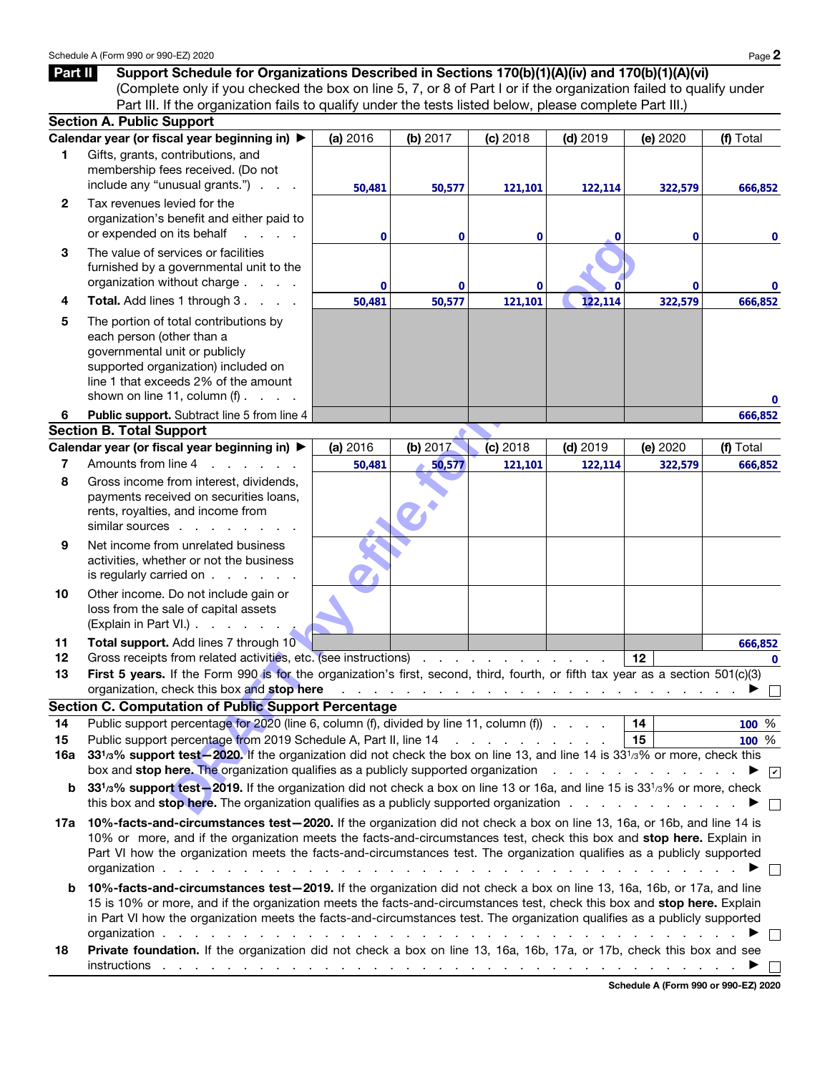Part II Support Schedule for Organizations Described in Sections 170(b)(1)(A)(iv) and 170(b)(1)(A)(vi) (Complete only if you checked the box on line 5, 7, or 8 of Part I or if the organization failed to qualify under Part III. If the organization fails to qualify under the tests listed below, please complete Part III.)

|                | <b>Section A. Public Support</b>                                                                                                                                                                                                                                                                                                                                                                                        |                       |             |                                     |                               |                                                                                                                                                                                                                                             |                                      |
|----------------|-------------------------------------------------------------------------------------------------------------------------------------------------------------------------------------------------------------------------------------------------------------------------------------------------------------------------------------------------------------------------------------------------------------------------|-----------------------|-------------|-------------------------------------|-------------------------------|---------------------------------------------------------------------------------------------------------------------------------------------------------------------------------------------------------------------------------------------|--------------------------------------|
|                | Calendar year (or fiscal year beginning in) ▶                                                                                                                                                                                                                                                                                                                                                                           | (a) 2016              | (b) 2017    | (c) 2018                            | $(d)$ 2019                    | (e) 2020                                                                                                                                                                                                                                    | (f) Total                            |
| 1              | Gifts, grants, contributions, and<br>membership fees received. (Do not<br>include any "unusual grants.")                                                                                                                                                                                                                                                                                                                | 50,481                | 50,577      | 121,101                             | 122,114                       | 322,579                                                                                                                                                                                                                                     | 666,852                              |
| $\mathbf{2}$   | Tax revenues levied for the<br>organization's benefit and either paid to<br>or expended on its behalf                                                                                                                                                                                                                                                                                                                   | $\mathbf 0$           | 0           | 0                                   | 0                             | 0                                                                                                                                                                                                                                           | 0                                    |
| 3              | The value of services or facilities<br>furnished by a governmental unit to the<br>organization without charge                                                                                                                                                                                                                                                                                                           |                       |             |                                     |                               |                                                                                                                                                                                                                                             |                                      |
| 4              | <b>Total.</b> Add lines 1 through 3                                                                                                                                                                                                                                                                                                                                                                                     | $\mathbf 0$<br>50,481 | 0<br>50,577 | 0<br>121,101                        | 122,114                       | 0<br>322,579                                                                                                                                                                                                                                | 0<br>666,852                         |
|                |                                                                                                                                                                                                                                                                                                                                                                                                                         |                       |             |                                     |                               |                                                                                                                                                                                                                                             |                                      |
| 5              | The portion of total contributions by<br>each person (other than a<br>governmental unit or publicly<br>supported organization) included on<br>line 1 that exceeds 2% of the amount                                                                                                                                                                                                                                      |                       |             |                                     |                               |                                                                                                                                                                                                                                             |                                      |
|                | shown on line 11, column $(f)$ .                                                                                                                                                                                                                                                                                                                                                                                        |                       |             |                                     |                               |                                                                                                                                                                                                                                             | 0                                    |
| 6              | Public support. Subtract line 5 from line 4<br><b>Section B. Total Support</b>                                                                                                                                                                                                                                                                                                                                          |                       |             |                                     |                               |                                                                                                                                                                                                                                             | 666,852                              |
|                | Calendar year (or fiscal year beginning in) ▶                                                                                                                                                                                                                                                                                                                                                                           | (a) 2016              | (b) 2017    | (c) 2018                            | $(d)$ 2019                    | (e) 2020                                                                                                                                                                                                                                    | (f) Total                            |
| $\overline{7}$ | Amounts from line 4<br>and a state of the state                                                                                                                                                                                                                                                                                                                                                                         | 50,481                | 50,577      | 121,101                             | 122,114                       | 322,579                                                                                                                                                                                                                                     | 666,852                              |
| 8              | Gross income from interest, dividends,<br>payments received on securities loans,<br>rents, royalties, and income from<br>similar sources                                                                                                                                                                                                                                                                                |                       |             |                                     |                               |                                                                                                                                                                                                                                             |                                      |
| 9              | Net income from unrelated business<br>activities, whether or not the business<br>is regularly carried on                                                                                                                                                                                                                                                                                                                |                       |             |                                     |                               |                                                                                                                                                                                                                                             |                                      |
| 10             | Other income. Do not include gain or<br>loss from the sale of capital assets<br>(Explain in Part VI.)                                                                                                                                                                                                                                                                                                                   |                       |             |                                     |                               |                                                                                                                                                                                                                                             |                                      |
| 11             | Total support. Add lines 7 through 10                                                                                                                                                                                                                                                                                                                                                                                   |                       |             |                                     |                               |                                                                                                                                                                                                                                             | 666,852                              |
| 12             | Gross receipts from related activities, etc. (see instructions)                                                                                                                                                                                                                                                                                                                                                         |                       |             |                                     |                               | 12                                                                                                                                                                                                                                          | 0                                    |
| 13             | First 5 years. If the Form 990 is for the organization's first, second, third, fourth, or fifth tax year as a section 501(c)(3)<br>organization, check this box and stop here<br>Section C. Computation of Public Support Percentage                                                                                                                                                                                    |                       |             |                                     |                               | $\blacktriangleright$ . The contract of the contract of the contract of the contract of the contract of the contract of the contract of the contract of the contract of the contract of the contract of the contract of the contract of the |                                      |
| 14             | Public support percentage for 2020 (line 6, column (f), divided by line 11, column (f))                                                                                                                                                                                                                                                                                                                                 |                       |             |                                     |                               | 14                                                                                                                                                                                                                                          | 100 %                                |
| 15             | Public support percentage from 2019 Schedule A, Part II, line 14                                                                                                                                                                                                                                                                                                                                                        |                       |             | the contract of the contract of the |                               | 15                                                                                                                                                                                                                                          | 100 %                                |
| 16a            | 33 <sup>1</sup> /3% support test-2020. If the organization did not check the box on line 13, and line 14 is 33 <sup>1</sup> /3% or more, check this<br>box and stop here. The organization qualifies as a publicly supported organization                                                                                                                                                                               |                       |             |                                     |                               |                                                                                                                                                                                                                                             | $\sqrt{2}$                           |
| b              | 33 <sup>1</sup> / <sub>3</sub> % support test-2019. If the organization did not check a box on line 13 or 16a, and line 15 is 33 <sup>1</sup> / <sub>3</sub> % or more, check<br>this box and <b>stop here.</b> The organization qualifies as a publicly supported organization                                                                                                                                         |                       |             |                                     |                               |                                                                                                                                                                                                                                             |                                      |
| 17a            | 10%-facts-and-circumstances test-2020. If the organization did not check a box on line 13, 16a, or 16b, and line 14 is<br>10% or more, and if the organization meets the facts-and-circumstances test, check this box and stop here. Explain in<br>Part VI how the organization meets the facts-and-circumstances test. The organization qualifies as a publicly supported<br>organization.<br><b>Contract Contract</b> |                       |             |                                     |                               |                                                                                                                                                                                                                                             |                                      |
| b              | 10%-facts-and-circumstances test-2019. If the organization did not check a box on line 13, 16a, 16b, or 17a, and line<br>15 is 10% or more, and if the organization meets the facts-and-circumstances test, check this box and stop here. Explain<br>in Part VI how the organization meets the facts-and-circumstances test. The organization qualifies as a publicly supported<br>organization.                        |                       |             |                                     |                               |                                                                                                                                                                                                                                             |                                      |
| 18             | Private foundation. If the organization did not check a box on line 13, 16a, 16b, 17a, or 17b, check this box and see<br>instructions.                                                                                                                                                                                                                                                                                  |                       |             | the contract of the contract        | the company of the company of |                                                                                                                                                                                                                                             |                                      |
|                |                                                                                                                                                                                                                                                                                                                                                                                                                         |                       |             |                                     |                               |                                                                                                                                                                                                                                             | Schodule A (Ferm 000 or 000 F7) 2020 |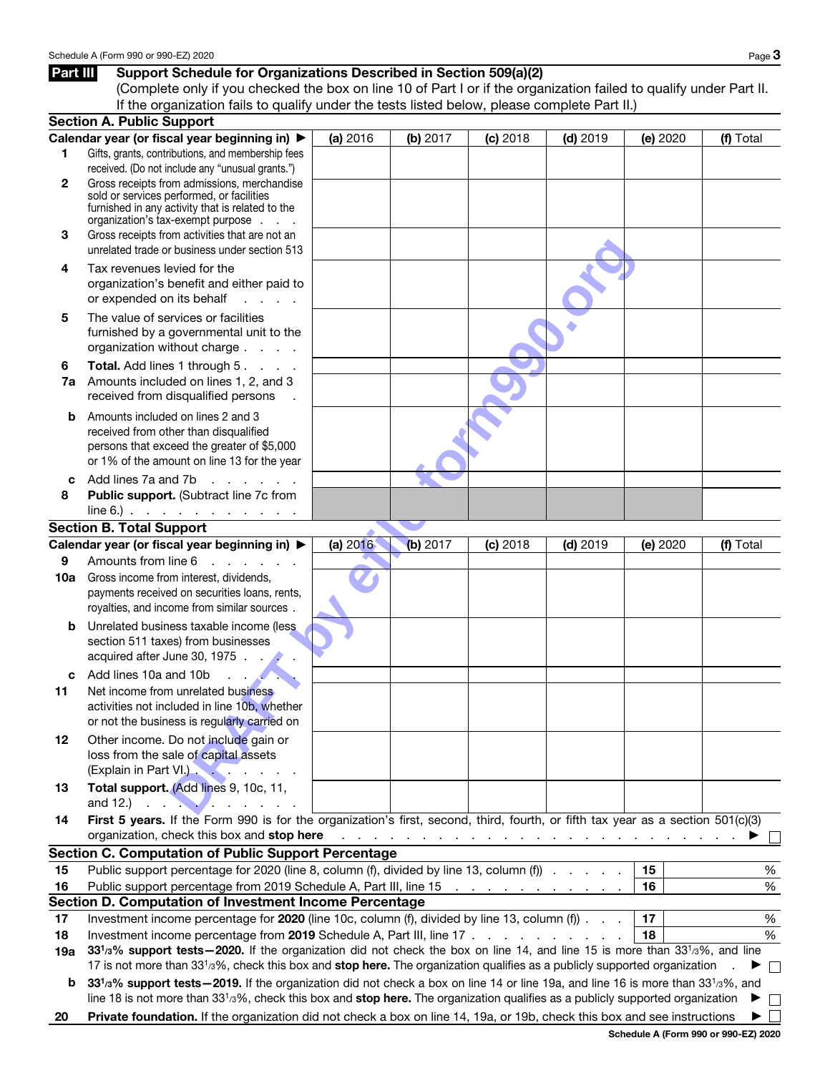## Part III Support Schedule for Organizations Described in Section 509(a)(2)

(Complete only if you checked the box on line 10 of Part I or if the organization failed to qualify under Part II. If the organization fails to qualify under the tests listed below, please complete Part II.)

|              | <b>Section A. Public Support</b>                                                                                                                                                                                                                                      |          |            |          |                                                                                          |          |                                      |
|--------------|-----------------------------------------------------------------------------------------------------------------------------------------------------------------------------------------------------------------------------------------------------------------------|----------|------------|----------|------------------------------------------------------------------------------------------|----------|--------------------------------------|
|              | Calendar year (or fiscal year beginning in) ▶                                                                                                                                                                                                                         | (a) 2016 | (b) $2017$ | (c) 2018 | $(d)$ 2019                                                                               | (e) 2020 | (f) Total                            |
| 1            | Gifts, grants, contributions, and membership fees                                                                                                                                                                                                                     |          |            |          |                                                                                          |          |                                      |
|              | received. (Do not include any "unusual grants.")                                                                                                                                                                                                                      |          |            |          |                                                                                          |          |                                      |
| $\mathbf{2}$ | Gross receipts from admissions, merchandise<br>sold or services performed, or facilities                                                                                                                                                                              |          |            |          |                                                                                          |          |                                      |
|              | furnished in any activity that is related to the                                                                                                                                                                                                                      |          |            |          |                                                                                          |          |                                      |
|              | organization's tax-exempt purpose                                                                                                                                                                                                                                     |          |            |          |                                                                                          |          |                                      |
| 3            | Gross receipts from activities that are not an                                                                                                                                                                                                                        |          |            |          |                                                                                          |          |                                      |
|              | unrelated trade or business under section 513                                                                                                                                                                                                                         |          |            |          |                                                                                          |          |                                      |
| 4            | Tax revenues levied for the                                                                                                                                                                                                                                           |          |            |          |                                                                                          |          |                                      |
|              | organization's benefit and either paid to<br>or expended on its behalf<br>.                                                                                                                                                                                           |          |            |          |                                                                                          |          |                                      |
|              |                                                                                                                                                                                                                                                                       |          |            |          |                                                                                          |          |                                      |
| 5            | The value of services or facilities<br>furnished by a governmental unit to the                                                                                                                                                                                        |          |            |          |                                                                                          |          |                                      |
|              | organization without charge                                                                                                                                                                                                                                           |          |            |          |                                                                                          |          |                                      |
| 6            | Total. Add lines 1 through 5.                                                                                                                                                                                                                                         |          |            |          |                                                                                          |          |                                      |
| 7a           | Amounts included on lines 1, 2, and 3                                                                                                                                                                                                                                 |          |            |          |                                                                                          |          |                                      |
|              | received from disqualified persons                                                                                                                                                                                                                                    |          |            |          |                                                                                          |          |                                      |
| b            | Amounts included on lines 2 and 3                                                                                                                                                                                                                                     |          |            |          |                                                                                          |          |                                      |
|              | received from other than disqualified                                                                                                                                                                                                                                 |          |            |          |                                                                                          |          |                                      |
|              | persons that exceed the greater of \$5,000                                                                                                                                                                                                                            |          |            |          |                                                                                          |          |                                      |
|              | or 1% of the amount on line 13 for the year                                                                                                                                                                                                                           |          |            |          |                                                                                          |          |                                      |
| C            | Add lines 7a and 7b<br>and the company of                                                                                                                                                                                                                             |          |            |          |                                                                                          |          |                                      |
| 8            | Public support. (Subtract line 7c from                                                                                                                                                                                                                                |          |            |          |                                                                                          |          |                                      |
|              | $line 6.)$                                                                                                                                                                                                                                                            |          |            |          |                                                                                          |          |                                      |
|              | <b>Section B. Total Support</b>                                                                                                                                                                                                                                       |          |            |          |                                                                                          |          |                                      |
| 9            | Calendar year (or fiscal year beginning in) ▶<br>Amounts from line 6<br>and a string                                                                                                                                                                                  | (a) 2016 | (b) 2017   | (c) 2018 | $(d)$ 2019                                                                               | (e) 2020 | (f) Total                            |
| 10a          | Gross income from interest, dividends,                                                                                                                                                                                                                                |          |            |          |                                                                                          |          |                                      |
|              | payments received on securities loans, rents,                                                                                                                                                                                                                         |          |            |          |                                                                                          |          |                                      |
|              | royalties, and income from similar sources.                                                                                                                                                                                                                           |          |            |          |                                                                                          |          |                                      |
| b            | Unrelated business taxable income (less                                                                                                                                                                                                                               |          |            |          |                                                                                          |          |                                      |
|              | section 511 taxes) from businesses                                                                                                                                                                                                                                    |          |            |          |                                                                                          |          |                                      |
|              | acquired after June 30, 1975.                                                                                                                                                                                                                                         |          |            |          |                                                                                          |          |                                      |
| c            | Add lines 10a and 10b                                                                                                                                                                                                                                                 |          |            |          |                                                                                          |          |                                      |
| 11           | Net income from unrelated business                                                                                                                                                                                                                                    |          |            |          |                                                                                          |          |                                      |
|              | activities not included in line 10b, whether                                                                                                                                                                                                                          |          |            |          |                                                                                          |          |                                      |
|              | or not the business is regularly carried on                                                                                                                                                                                                                           |          |            |          |                                                                                          |          |                                      |
| 12           | Other income. Do not include gain or                                                                                                                                                                                                                                  |          |            |          |                                                                                          |          |                                      |
|              | loss from the sale of capital assets                                                                                                                                                                                                                                  |          |            |          |                                                                                          |          |                                      |
|              | (Explain in Part VI.)                                                                                                                                                                                                                                                 |          |            |          |                                                                                          |          |                                      |
| 13           | Total support. (Add lines 9, 10c, 11,<br>and 12.) $\qquad \qquad \qquad$                                                                                                                                                                                              |          |            |          |                                                                                          |          |                                      |
| 14           | First 5 years. If the Form 990 is for the organization's first, second, third, fourth, or fifth tax year as a section 501(c)(3)                                                                                                                                       |          |            |          |                                                                                          |          |                                      |
|              | organization, check this box and stop here                                                                                                                                                                                                                            |          |            |          | المناطر والمناطر والمناطر والمناطر والمناطر والمناطر والمناطر والمناطر والمناطر والمناطر |          |                                      |
|              | <b>Section C. Computation of Public Support Percentage</b>                                                                                                                                                                                                            |          |            |          |                                                                                          |          |                                      |
| 15           | Public support percentage for 2020 (line 8, column (f), divided by line 13, column (f)                                                                                                                                                                                |          |            |          |                                                                                          | 15       | $\%$                                 |
| 16           | Public support percentage from 2019 Schedule A, Part III, line 15                                                                                                                                                                                                     |          |            |          | the contract of the contract of the                                                      | 16       | $\%$                                 |
|              | Section D. Computation of Investment Income Percentage                                                                                                                                                                                                                |          |            |          |                                                                                          |          |                                      |
| 17           | Investment income percentage for 2020 (line 10c, column (f), divided by line 13, column (f)                                                                                                                                                                           |          |            |          |                                                                                          | 17       | $\%$                                 |
| 18           | Investment income percentage from 2019 Schedule A, Part III, line 17                                                                                                                                                                                                  |          |            |          |                                                                                          | 18       | $\%$                                 |
| 19a          | 331/3% support tests - 2020. If the organization did not check the box on line 14, and line 15 is more than 331/3%, and line                                                                                                                                          |          |            |          |                                                                                          |          |                                      |
|              | 17 is not more than 33 <sup>1</sup> /3%, check this box and stop here. The organization qualifies as a publicly supported organization                                                                                                                                |          |            |          |                                                                                          |          | $\Box$                               |
| b            | 331/3% support tests - 2019. If the organization did not check a box on line 14 or line 19a, and line 16 is more than 331/3%, and<br>line 18 is not more than $3313%$ , check this box and stop here. The organization qualifies as a publicly supported organization |          |            |          |                                                                                          |          |                                      |
|              |                                                                                                                                                                                                                                                                       |          |            |          |                                                                                          |          | П<br>▶<br>$\Box$                     |
| 20           | Private foundation. If the organization did not check a box on line 14, 19a, or 19b, check this box and see instructions                                                                                                                                              |          |            |          |                                                                                          |          |                                      |
|              |                                                                                                                                                                                                                                                                       |          |            |          |                                                                                          |          | Schedule A (Form 990 or 990-EZ) 2020 |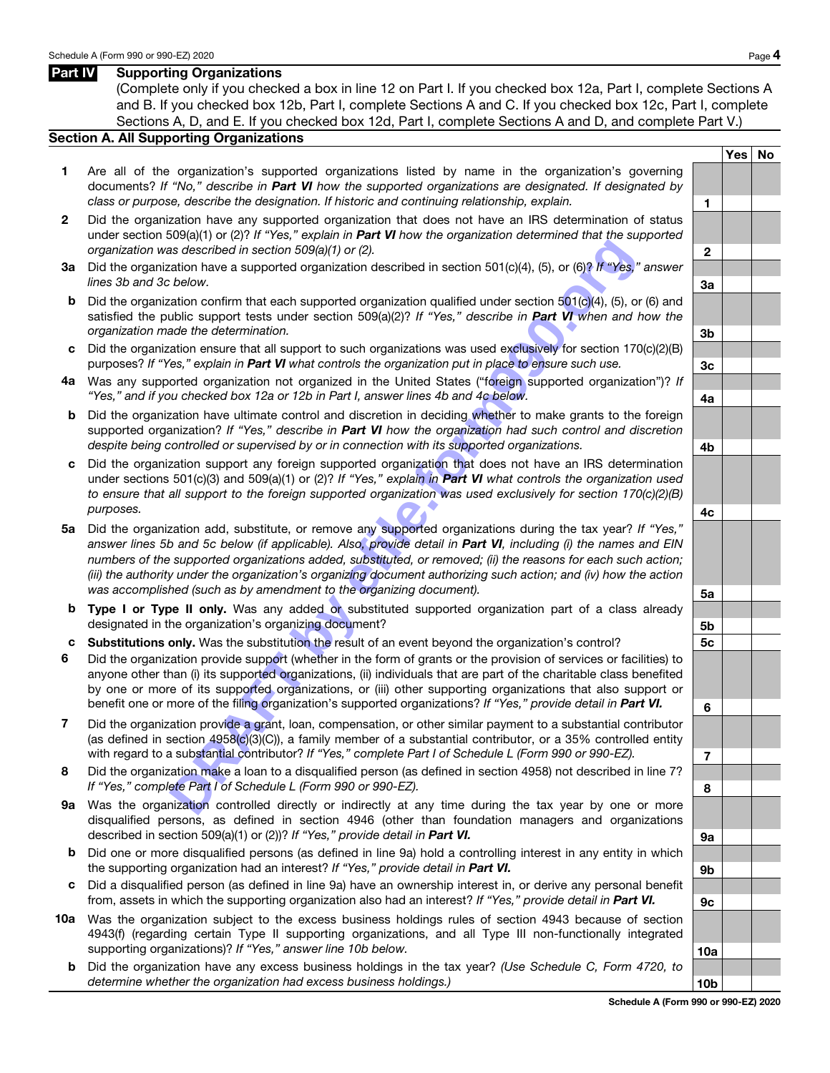#### Part **IV** Supporting Organizations

(Complete only if you checked a box in line 12 on Part I. If you checked box 12a, Part I, complete Sections A and B. If you checked box 12b, Part I, complete Sections A and C. If you checked box 12c, Part I, complete Sections A, D, and E. If you checked box 12d, Part I, complete Sections A and D, and complete Part V.)

### Section A. All Supporting Organizations

- 1 Are all of the organization's supported organizations listed by name in the organization's governing documents? *If "No," describe in Part VI how the supported organizations are designated. If designated by class or purpose, describe the designation. If historic and continuing relationship, explain.* 1
- 2 Did the organization have any supported organization that does not have an IRS determination of status under section 509(a)(1) or (2)? *If "Yes," explain in Part VI how the organization determined that the supported organization was described in section 509(a)(1) or (2).* 2
- 3a Did the organization have a supported organization described in section 501(c)(4), (5), or (6)? *If "Yes," answer lines 3b and 3c below.* 3a
- b Did the organization confirm that each supported organization qualified under section 501(c)(4), (5), or (6) and satisfied the public support tests under section 509(a)(2)? *If "Yes," describe in Part VI when and how the organization made the determination.* 3b
- c Did the organization ensure that all support to such organizations was used exclusively for section 170(c)(2)(B) purposes? If "Yes," explain in **Part VI** what controls the organization put in place to ensure such use. **3c**
- 4a Was any supported organization not organized in the United States ("foreign supported organization")? *If "Yes," and if you checked box 12a or 12b in Part I, answer lines 4b and 4c below.* 4a
- b Did the organization have ultimate control and discretion in deciding whether to make grants to the foreign supported organization? *If "Yes," describe in Part VI how the organization had such control and discretion* despite being controlled or supervised by or in connection with its supported organizations.
- c Did the organization support any foreign supported organization that does not have an IRS determination under sections 501(c)(3) and 509(a)(1) or (2)? *If "Yes," explain in Part VI what controls the organization used to ensure that all support to the foreign supported organization was used exclusively for section 170(c)(2)(B) purposes.* 4c
- as described in section 509(a)(1) or (2).<br>
Leadaton have a supported organization described in section 501(c)(4), (5), or (6)? *H*<sup>-</sup> "Yes,"<br>
Leadaton confirm that each supported organization qualified under section 501(c) 5a Did the organization add, substitute, or remove any supported organizations during the tax year? *If "Yes," answer lines 5b and 5c below (if applicable). Also, provide detail in Part VI, including (i) the names and EIN numbers of the supported organizations added, substituted, or removed; (ii) the reasons for each such action; (iii) the authority under the organization's organizing document authorizing such action; and (iv) how the action* was accomplished (such as by amendment to the organizing document).
- **b Type I or Type II only.** Was any added or substituted supported organization part of a class already designated in the organization's organizing document? **5b** solution is the state of the state of the state of the state of the state of the state of the state of the state of the state of the state of the state of the stat
- c Substitutions only. Was the substitution the result of an event beyond the organization's control? 5c
- 6 Did the organization provide support (whether in the form of grants or the provision of services or facilities) to anyone other than (i) its supported organizations, (ii) individuals that are part of the charitable class benefited by one or more of its supported organizations, or (iii) other supporting organizations that also support or benefit one or more of the filing organization's supported organizations? *If "Yes," provide detail in Part VI.* **6**
- 7 Did the organization provide a grant, loan, compensation, or other similar payment to a substantial contributor (as defined in section 4958(c)(3)(C)), a family member of a substantial contributor, or a 35% controlled entity with regard to a substantial contributor? *If "Yes," complete Part I of Schedule L (Form 990 or 990-EZ).* 7
- 8 Did the organization make a loan to a disqualified person (as defined in section 4958) not described in line 7? *If "Yes," complete Part I of Schedule L (Form 990 or 990-EZ).* 8
- 9a Was the organization controlled directly or indirectly at any time during the tax year by one or more disqualified persons, as defined in section 4946 (other than foundation managers and organizations described in section 509(a)(1) or (2))? *If "Yes," provide detail in Part VI. 9a*
- b Did one or more disqualified persons (as defined in line 9a) hold a controlling interest in any entity in which the supporting organization had an interest? *If "Yes," provide detail in Part VI.* 9b
- c Did a disqualified person (as defined in line 9a) have an ownership interest in, or derive any personal benefit from, assets in which the supporting organization also had an interest? *If "Yes," provide detail in Part VI.* 9c
- 10a Was the organization subject to the excess business holdings rules of section 4943 because of section 4943(f) (regarding certain Type II supporting organizations, and all Type III non-functionally integrated supporting organizations)? *If "Yes," answer line 10b below.* 10a
	- b Did the organization have any excess business holdings in the tax year? *(Use Schedule C, Form 4720, to*  determine whether the organization had excess business holdings.) 10b

Yes No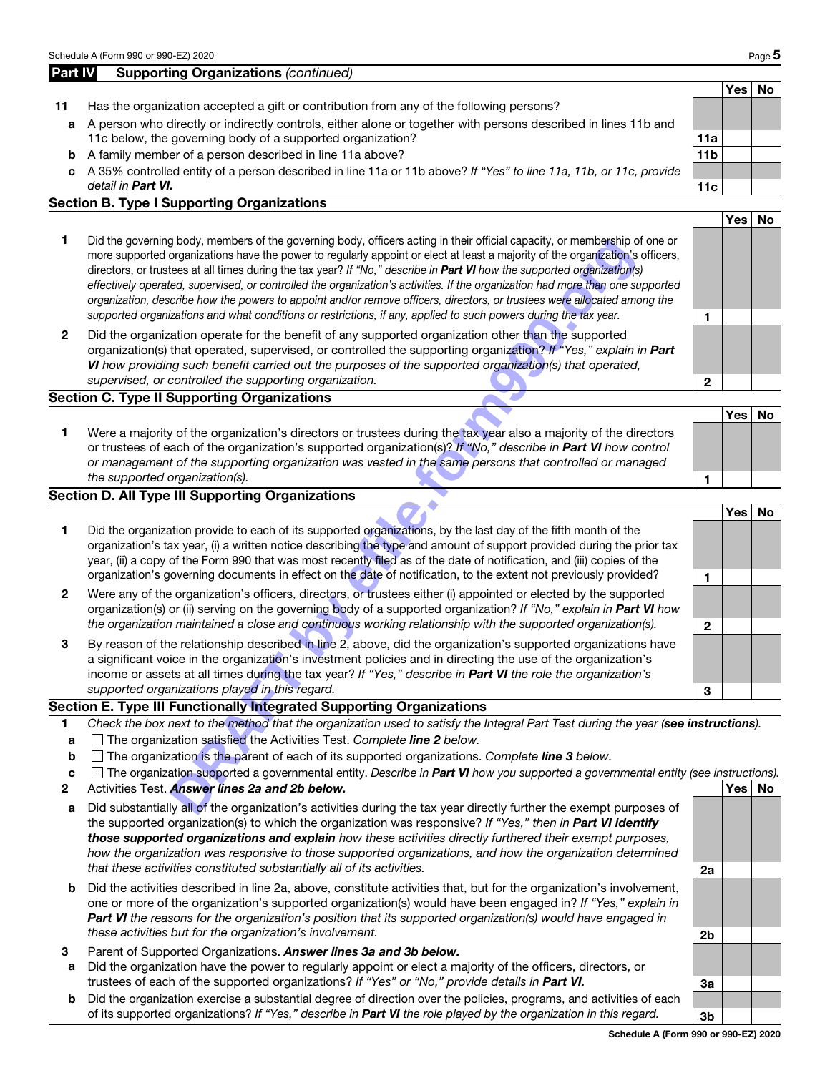# Part IV Supporting Organizations *(continued)*

- 11 Has the organization accepted a gift or contribution from any of the following persons? a A person who directly or indirectly controls, either alone or together with persons described in lines 11b and
	- 11c below, the governing body of a supported organization? 11a and the state of the state of the state of the state of the state of the state of the state of the state of the state of the state of the state of the state of
	- **b** A family member of a person described in line 11a above? 11b
	- c A 35% controlled entity of a person described in line 11a or 11b above? *If "Yes" to line 11a, 11b, or 11c, provide detail in Part VI.* 11c

### Section B. Type I Supporting Organizations

- 1 Did the governing body, members of the governing body, officers acting in their official capacity, or membership of one or more supported organizations have the power to regularly appoint or elect at least a majority of the organization's officers, directors, or trustees at all times during the tax year? *If "No," describe in Part VI how the supported organization(s) effectively operated, supervised, or controlled the organization's activities. If the organization had more than one supported organization, describe how the powers to appoint and/or remove officers, directors, or trustees were allocated among the*  supported organizations and what conditions or restrictions, if any, applied to such powers during the tax year.
- 2 Did the organization operate for the benefit of any supported organization other than the supported organization(s) that operated, supervised, or controlled the supporting organization? *If "Yes," explain in Part VI how providing such benefit carried out the purposes of the supported organization(s) that operated, supervised, or controlled the supporting organization.* 2

### Section C. Type II Supporting Organizations

### Section D. All Type III Supporting Organizations

| Т.                | Did the governing body, members of the governing body, officers acting in their official capacity, or membership of one or<br>more supported organizations have the power to regularly appoint or elect at least a majority of the organization's officers,<br>directors, or trustees at all times during the tax year? If "No," describe in Part VI how the supported organization(s)<br>effectively operated, supervised, or controlled the organization's activities. If the organization had more than one supported<br>organization, describe how the powers to appoint and/or remove officers, directors, or trustees were allocated among the<br>supported organizations and what conditions or restrictions, if any, applied to such powers during the tax year. | 1            |            |           |
|-------------------|--------------------------------------------------------------------------------------------------------------------------------------------------------------------------------------------------------------------------------------------------------------------------------------------------------------------------------------------------------------------------------------------------------------------------------------------------------------------------------------------------------------------------------------------------------------------------------------------------------------------------------------------------------------------------------------------------------------------------------------------------------------------------|--------------|------------|-----------|
| $\mathbf{2}$      | Did the organization operate for the benefit of any supported organization other than the supported<br>organization(s) that operated, supervised, or controlled the supporting organization? If "Yes," explain in Part<br>VI how providing such benefit carried out the purposes of the supported organization(s) that operated,<br>supervised, or controlled the supporting organization.                                                                                                                                                                                                                                                                                                                                                                               |              |            |           |
|                   | ection C. Type II Supporting Organizations                                                                                                                                                                                                                                                                                                                                                                                                                                                                                                                                                                                                                                                                                                                               | $\mathbf{2}$ |            |           |
|                   |                                                                                                                                                                                                                                                                                                                                                                                                                                                                                                                                                                                                                                                                                                                                                                          |              | <b>Yes</b> | <b>No</b> |
| 1                 | Were a majority of the organization's directors or trustees during the tax year also a majority of the directors<br>or trustees of each of the organization's supported organization(s)? If "No," describe in Part VI how control<br>or management of the supporting organization was vested in the same persons that controlled or managed<br>the supported organization(s).                                                                                                                                                                                                                                                                                                                                                                                            | 1            |            |           |
|                   | ection D. All Type III Supporting Organizations                                                                                                                                                                                                                                                                                                                                                                                                                                                                                                                                                                                                                                                                                                                          |              |            |           |
|                   |                                                                                                                                                                                                                                                                                                                                                                                                                                                                                                                                                                                                                                                                                                                                                                          |              | Yes        | <b>No</b> |
| 1                 | Did the organization provide to each of its supported organizations, by the last day of the fifth month of the<br>organization's tax year, (i) a written notice describing the type and amount of support provided during the prior tax<br>year, (ii) a copy of the Form 990 that was most recently filed as of the date of notification, and (iii) copies of the<br>organization's governing documents in effect on the date of notification, to the extent not previously provided?                                                                                                                                                                                                                                                                                    | 1            |            |           |
| $\mathbf{2}$      | Were any of the organization's officers, directors, or trustees either (i) appointed or elected by the supported<br>organization(s) or (ii) serving on the governing body of a supported organization? If "No," explain in Part VI how<br>the organization maintained a close and continuous working relationship with the supported organization(s).                                                                                                                                                                                                                                                                                                                                                                                                                    | $\mathbf{2}$ |            |           |
| 3                 | By reason of the relationship described in line 2, above, did the organization's supported organizations have<br>a significant voice in the organization's investment policies and in directing the use of the organization's<br>income or assets at all times during the tax year? If "Yes," describe in Part VI the role the organization's<br>supported organizations played in this regard.                                                                                                                                                                                                                                                                                                                                                                          |              |            |           |
|                   |                                                                                                                                                                                                                                                                                                                                                                                                                                                                                                                                                                                                                                                                                                                                                                          | 3            |            |           |
|                   | ection E. Type III Functionally Integrated Supporting Organizations                                                                                                                                                                                                                                                                                                                                                                                                                                                                                                                                                                                                                                                                                                      |              |            |           |
| 1.<br>a<br>b<br>c | Check the box next to the method that the organization used to satisfy the Integral Part Test during the year (see instructions).<br>The organization satisfied the Activities Test. Complete line 2 below.<br>The organization is the parent of each of its supported organizations. Complete line 3 below.<br>The organization supported a governmental entity. Describe in Part VI how you supported a governmental entity (see instructions).                                                                                                                                                                                                                                                                                                                        |              |            |           |
| $\overline{2}$    | Activities Test. Answer lines 2a and 2b below.                                                                                                                                                                                                                                                                                                                                                                                                                                                                                                                                                                                                                                                                                                                           |              | Yes        | No        |
| а                 | Did substantially all of the organization's activities during the tax year directly further the exempt purposes of                                                                                                                                                                                                                                                                                                                                                                                                                                                                                                                                                                                                                                                       |              |            |           |

### Section E. Type III Functionally Integrated Supporting Organizations

- 1 *Check the box next to the method that the organization used to satisfy the Integral Part Test during the year (see instructions).*
- a The organization satisfied the Activities Test. *Complete line 2 below.*
- b The organization is the parent of each of its supported organizations. *Complete line 3 below.*
- c The organization supported a governmental entity. *Describe in Part VI how you supported a governmental entity (see instructions).*
- 2 Activities Test. Answer lines 2a and 2b below. And the set of the set of the set of the set of the set of the set of the set of the set of the set of the set of the set of the set of the set of the set of the set of the
- a Did substantially all of the organization's activities during the tax year directly further the exempt purposes of the supported organization(s) to which the organization was responsive? *If "Yes," then in Part VI identify those supported organizations and explain how these activities directly furthered their exempt purposes, how the organization was responsive to those supported organizations, and how the organization determined that these activities constituted substantially all of its activities.* 2a
- b Did the activities described in line 2a, above, constitute activities that, but for the organization's involvement, one or more of the organization's supported organization(s) would have been engaged in? *If "Yes," explain in*  **Part VI** the reasons for the organization's position that its supported organization(s) would have engaged in *these activities but for the organization's involvement.* 2b **1999 2b 2b 2b 2b 2b**
- 3 Parent of Supported Organizations. *Answer lines 3a and 3b below.*
- a Did the organization have the power to regularly appoint or elect a majority of the officers, directors, or trustees of each of the supported organizations? *If "Yes" or "No," provide details in Part VI.* 3a
- b Did the organization exercise a substantial degree of direction over the policies, programs, and activities of each of its supported organizations? *If "Yes," describe in Part VI the role played by the organization in this regard.* 3b

Yes No

Yes No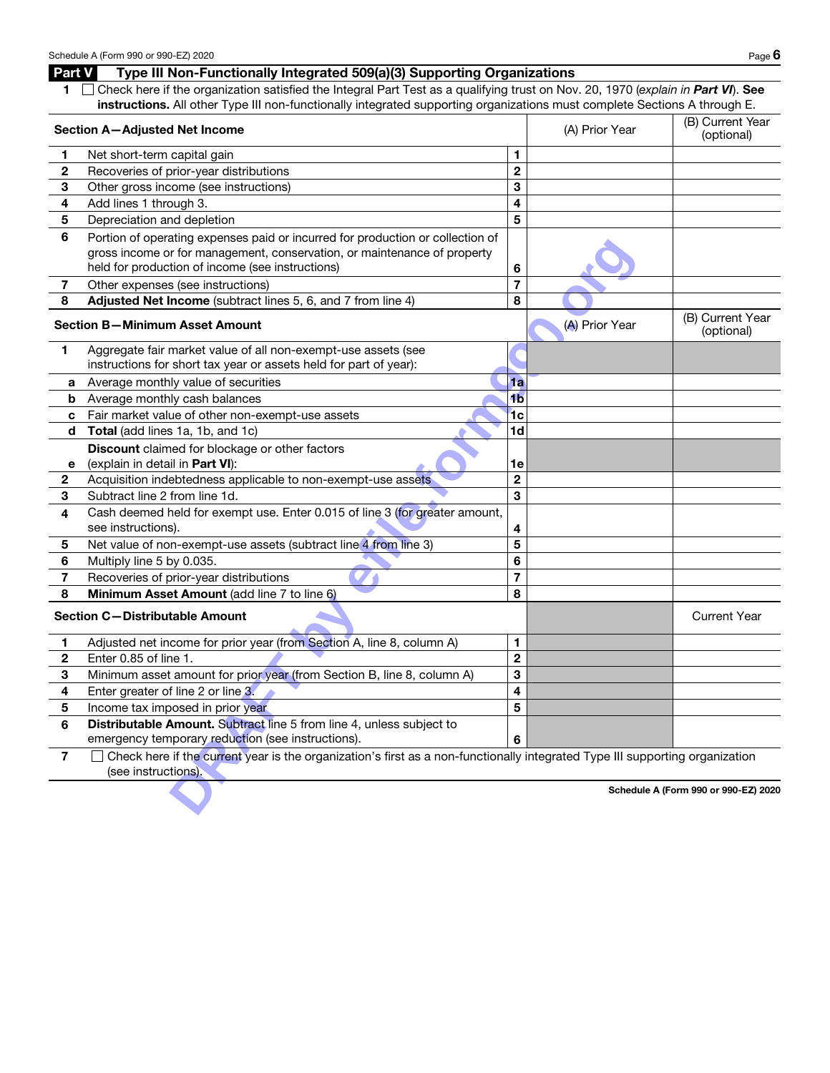#### Part V Type III Non-Functionally Integrated 509(a)(3) Supporting Organizations

1 Check here if the organization satisfied the Integral Part Test as a qualifying trust on Nov. 20, 1970 (*explain in Part VI*). See instructions. All other Type III non-functionally integrated supporting organizations must complete Sections A through E.

|                | Section A-Adjusted Net Income                                                                                                                                                                                  |                         | (A) Prior Year | (B) Current Year<br>(optional)       |
|----------------|----------------------------------------------------------------------------------------------------------------------------------------------------------------------------------------------------------------|-------------------------|----------------|--------------------------------------|
| 1              | Net short-term capital gain                                                                                                                                                                                    | 1                       |                |                                      |
| $\mathbf{2}$   | Recoveries of prior-year distributions                                                                                                                                                                         | $\mathbf 2$             |                |                                      |
| 3              | Other gross income (see instructions)                                                                                                                                                                          | 3                       |                |                                      |
| 4              | Add lines 1 through 3.                                                                                                                                                                                         | 4                       |                |                                      |
| 5              | Depreciation and depletion                                                                                                                                                                                     | 5                       |                |                                      |
| 6              | Portion of operating expenses paid or incurred for production or collection of<br>gross income or for management, conservation, or maintenance of property<br>held for production of income (see instructions) | 6                       |                |                                      |
| 7              | Other expenses (see instructions)                                                                                                                                                                              | $\overline{7}$          |                |                                      |
| 8              | Adjusted Net Income (subtract lines 5, 6, and 7 from line 4)                                                                                                                                                   | 8                       |                |                                      |
|                | <b>Section B-Minimum Asset Amount</b>                                                                                                                                                                          |                         | (A) Prior Year | (B) Current Year<br>(optional)       |
| 1              | Aggregate fair market value of all non-exempt-use assets (see<br>instructions for short tax year or assets held for part of year):                                                                             |                         |                |                                      |
| a              | Average monthly value of securities                                                                                                                                                                            | 1a                      |                |                                      |
| b              | Average monthly cash balances                                                                                                                                                                                  | <sup>1</sup> b          |                |                                      |
| c              | Fair market value of other non-exempt-use assets                                                                                                                                                               | 1c                      |                |                                      |
| d              | Total (add lines 1a, 1b, and 1c)                                                                                                                                                                               | 1 <sub>d</sub>          |                |                                      |
| е              | Discount claimed for blockage or other factors<br>(explain in detail in Part VI):                                                                                                                              | 1e                      |                |                                      |
| 2              | Acquisition indebtedness applicable to non-exempt-use assets                                                                                                                                                   | $\overline{\mathbf{c}}$ |                |                                      |
| 3              | Subtract line 2 from line 1d.                                                                                                                                                                                  | 3                       |                |                                      |
| 4              | Cash deemed held for exempt use. Enter 0.015 of line 3 (for greater amount,<br>see instructions).                                                                                                              | 4                       |                |                                      |
| 5              | Net value of non-exempt-use assets (subtract line 4 from line 3)                                                                                                                                               | 5                       |                |                                      |
| 6              | Multiply line 5 by 0.035.                                                                                                                                                                                      | 6                       |                |                                      |
| 7              | Recoveries of prior-year distributions                                                                                                                                                                         | 7                       |                |                                      |
| 8              | Minimum Asset Amount (add line 7 to line 6)                                                                                                                                                                    | 8                       |                |                                      |
|                | <b>Section C-Distributable Amount</b>                                                                                                                                                                          |                         |                | <b>Current Year</b>                  |
| 1              | Adjusted net income for prior year (from Section A, line 8, column A)                                                                                                                                          | 1                       |                |                                      |
| $\overline{2}$ | Enter 0.85 of line 1.                                                                                                                                                                                          | $\overline{2}$          |                |                                      |
| 3              | Minimum asset amount for prior year (from Section B, line 8, column A)                                                                                                                                         | 3                       |                |                                      |
| 4              | Enter greater of line 2 or line 3.                                                                                                                                                                             | 4                       |                |                                      |
| 5              | Income tax imposed in prior year                                                                                                                                                                               | 5                       |                |                                      |
| 6              | Distributable Amount. Subtract line 5 from line 4, unless subject to                                                                                                                                           |                         |                |                                      |
|                | emergency temporary reduction (see instructions).                                                                                                                                                              | 6                       |                |                                      |
| $\overline{7}$ | Check here if the current year is the organization's first as a non-functionally integrated Type III supporting organization<br>(see instructions).                                                            |                         |                |                                      |
|                |                                                                                                                                                                                                                |                         |                | Schedule A (Form 990 or 990-EZ) 2020 |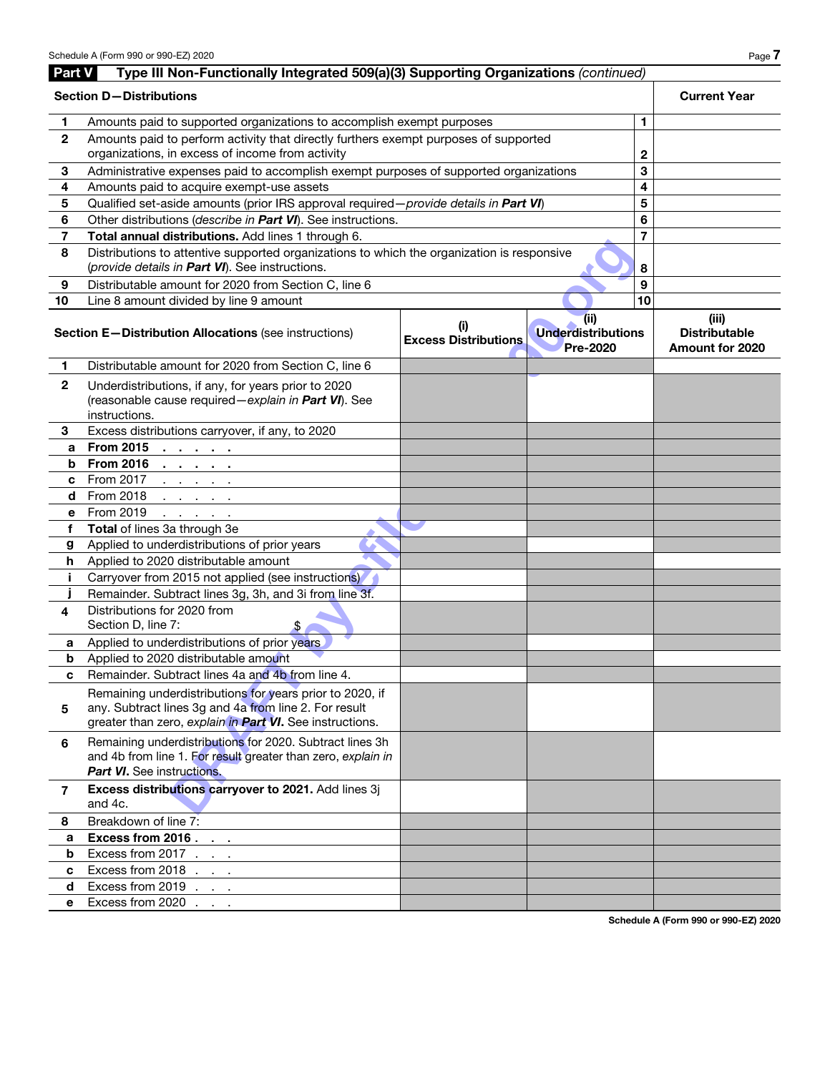| <b>Part V</b>                                         | Type III Non-Functionally Integrated 509(a)(3) Supporting Organizations (continued)                                                                                           |                                    |                                                       |                                                  |  |
|-------------------------------------------------------|-------------------------------------------------------------------------------------------------------------------------------------------------------------------------------|------------------------------------|-------------------------------------------------------|--------------------------------------------------|--|
|                                                       | <b>Section D-Distributions</b>                                                                                                                                                |                                    |                                                       |                                                  |  |
| 1                                                     | Amounts paid to supported organizations to accomplish exempt purposes                                                                                                         | 1                                  |                                                       |                                                  |  |
| $\mathbf{2}$                                          | Amounts paid to perform activity that directly furthers exempt purposes of supported                                                                                          |                                    |                                                       |                                                  |  |
|                                                       | organizations, in excess of income from activity                                                                                                                              | 2                                  |                                                       |                                                  |  |
| 3                                                     | Administrative expenses paid to accomplish exempt purposes of supported organizations                                                                                         | 3                                  |                                                       |                                                  |  |
| 4                                                     | Amounts paid to acquire exempt-use assets                                                                                                                                     |                                    | 4                                                     |                                                  |  |
| 5                                                     | Qualified set-aside amounts (prior IRS approval required-provide details in Part VI)                                                                                          | 5<br>6                             |                                                       |                                                  |  |
| 6                                                     | Other distributions (describe in Part VI). See instructions.                                                                                                                  |                                    |                                                       |                                                  |  |
| 7                                                     | Total annual distributions. Add lines 1 through 6.<br>7                                                                                                                       |                                    |                                                       |                                                  |  |
| 8                                                     | Distributions to attentive supported organizations to which the organization is responsive<br>(provide details in Part VI). See instructions.<br>8                            |                                    |                                                       |                                                  |  |
| 9                                                     | Distributable amount for 2020 from Section C, line 6                                                                                                                          | 9                                  |                                                       |                                                  |  |
| 10                                                    | Line 8 amount divided by line 9 amount                                                                                                                                        |                                    | 10                                                    |                                                  |  |
| Section E-Distribution Allocations (see instructions) |                                                                                                                                                                               | (i)<br><b>Excess Distributions</b> | (iii)<br><b>Underdistributions</b><br><b>Pre-2020</b> | (iii)<br><b>Distributable</b><br>Amount for 2020 |  |
| 1                                                     | Distributable amount for 2020 from Section C, line 6                                                                                                                          |                                    |                                                       |                                                  |  |
| $\mathbf{2}$                                          | Underdistributions, if any, for years prior to 2020<br>(reasonable cause required - explain in Part VI). See<br>instructions.                                                 |                                    |                                                       |                                                  |  |
| 3                                                     | Excess distributions carryover, if any, to 2020                                                                                                                               |                                    |                                                       |                                                  |  |
| a                                                     | <b>From 2015</b><br>$\mathbf{A} = \mathbf{A} + \mathbf{A} + \mathbf{A} + \mathbf{A}$                                                                                          |                                    |                                                       |                                                  |  |
| b                                                     | <b>From 2016</b><br>$\mathbf{a}$ , and $\mathbf{a}$ , and $\mathbf{a}$ , and $\mathbf{a}$                                                                                     |                                    |                                                       |                                                  |  |
| c                                                     | From 2017<br>and a strategic and a                                                                                                                                            |                                    |                                                       |                                                  |  |
| d                                                     | From 2018<br>and a straight and a                                                                                                                                             |                                    |                                                       |                                                  |  |
| е                                                     | From 2019<br>and a straight and                                                                                                                                               |                                    |                                                       |                                                  |  |
| f                                                     | Total of lines 3a through 3e                                                                                                                                                  |                                    |                                                       |                                                  |  |
| g                                                     | Applied to underdistributions of prior years                                                                                                                                  |                                    |                                                       |                                                  |  |
| h.                                                    | Applied to 2020 distributable amount                                                                                                                                          |                                    |                                                       |                                                  |  |
| i.                                                    | Carryover from 2015 not applied (see instructions)                                                                                                                            |                                    |                                                       |                                                  |  |
| j                                                     | Remainder. Subtract lines 3g, 3h, and 3i from line 3f.                                                                                                                        |                                    |                                                       |                                                  |  |
| 4                                                     | Distributions for 2020 from<br>Section D, line 7:<br>\$                                                                                                                       |                                    |                                                       |                                                  |  |
| a                                                     | Applied to underdistributions of prior years                                                                                                                                  |                                    |                                                       |                                                  |  |
| b                                                     | Applied to 2020 distributable amount                                                                                                                                          |                                    |                                                       |                                                  |  |
|                                                       | Remainder. Subtract lines 4a and 4b from line 4                                                                                                                               |                                    |                                                       |                                                  |  |
| 5                                                     | Remaining underdistributions for years prior to 2020, if<br>any. Subtract lines 3g and 4a from line 2. For result<br>greater than zero, explain in Part VI. See instructions. |                                    |                                                       |                                                  |  |
| 6                                                     | Remaining underdistributions for 2020. Subtract lines 3h<br>and 4b from line 1. For result greater than zero, explain in<br><b>Part VI.</b> See instructions.                 |                                    |                                                       |                                                  |  |
| $\overline{7}$                                        | Excess distributions carryover to 2021. Add lines 3j<br>and 4c.                                                                                                               |                                    |                                                       |                                                  |  |
| 8                                                     | Breakdown of line 7:                                                                                                                                                          |                                    |                                                       |                                                  |  |
| a                                                     | Excess from 2016                                                                                                                                                              |                                    |                                                       |                                                  |  |
| b                                                     | Excess from 2017                                                                                                                                                              |                                    |                                                       |                                                  |  |
| c                                                     | Excess from 2018                                                                                                                                                              |                                    |                                                       |                                                  |  |
| d                                                     | Excess from 2019                                                                                                                                                              |                                    |                                                       |                                                  |  |
| е                                                     | Excess from 2020                                                                                                                                                              |                                    |                                                       |                                                  |  |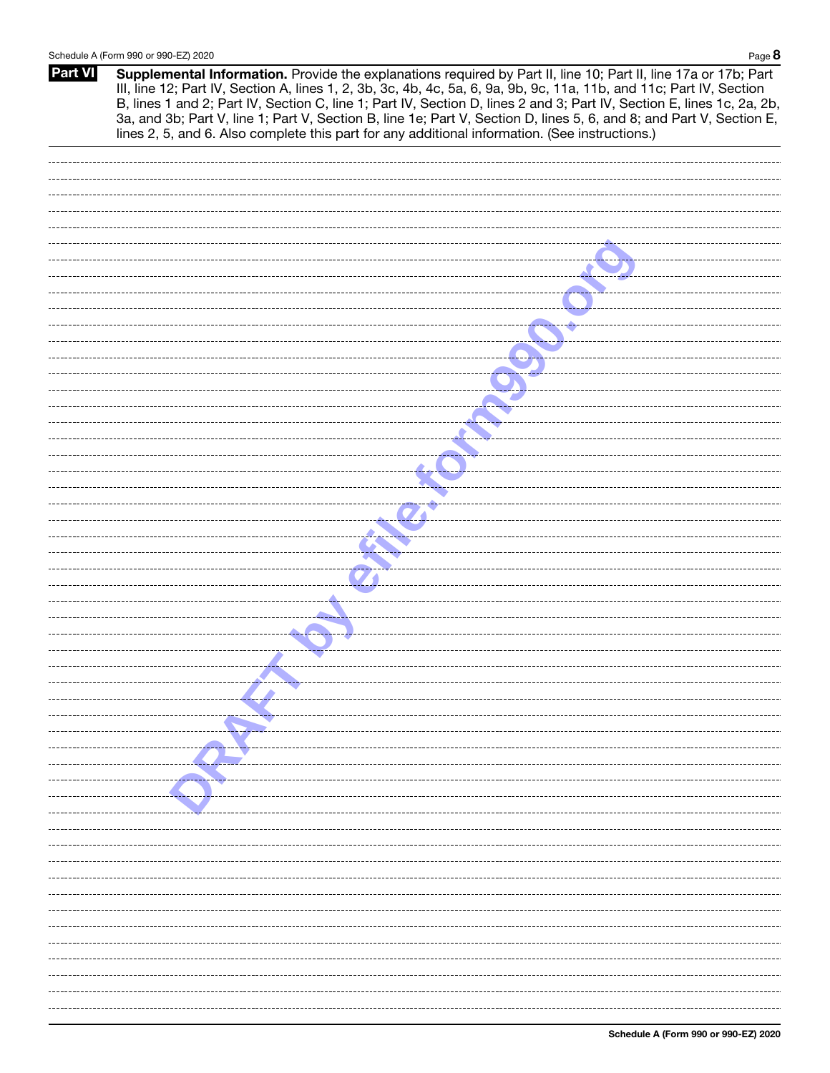**PRAFT BY CONSTRUCTION** III, line 12; Part IV, Section A, lines 1, 2, 3b, 3c, 4b, 4c, 5a, 6, 9a, 9b, 9c, 11a, 11b, and 11c; Part IV, Section B, lines 1 and 2; Part IV, Section C, line 1; Part IV, Section D, lines 2 and 3; Part IV, Section E, lines 1c, 2a, 2b, 3a, and 3b; Part V, line 1; Part V, Section B, line 1e; Part V, Section D, lines 5, 6, and 8; and Part V, Section E, lines 2, 5, and 6. Also complete this part for any additional information. (See instructions.) Schedule A (Form 990 or 990-EZ) 2020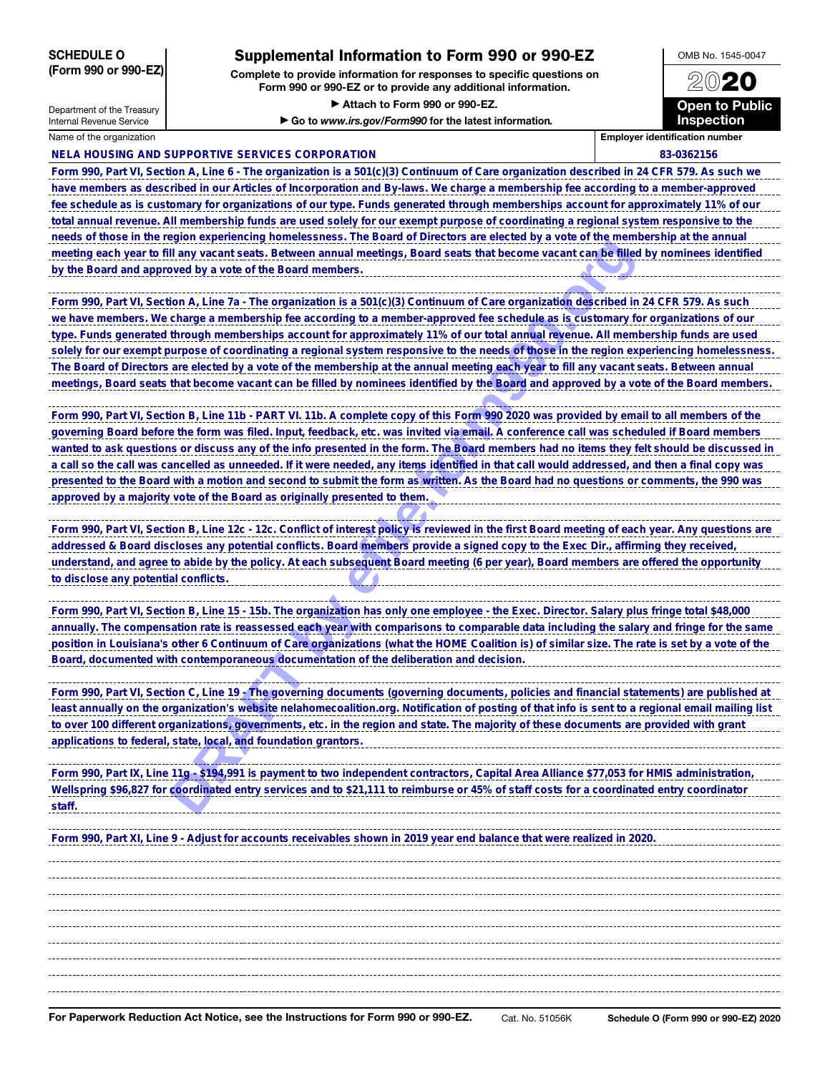| <b>SCHEDULE O</b> |  |  |                      |  |  |  |  |  |
|-------------------|--|--|----------------------|--|--|--|--|--|
|                   |  |  | (Form 990 or 990-EZ) |  |  |  |  |  |

# Supplemental Information to Form 990 or 990-EZ

Complete to provide information for responses to specific questions on Form 990 or 990-EZ or to provide any additional information.

▶ Attach to Form 990 or 990-EZ.

▶ Go to *www.irs.gov/Form990* for the latest information*.*



Internal Revenue Service Name of the organization **Employer identification number**  $\blacksquare$ 

Department of the Treasury

**DRAFT by the CONSTRANT CONSTRANT CONSTRANT CONSTRANT CONSTRANT CONSTRANT CONSTRANT CONSTRANT CONSTRANT CONSTRANT CONSTRANT CONSTRANT CONSTRANT CONSTRANT CONSTRANT CONSTRANT CONSTRANT CONSTRANT CONSTRANT CONSTRANT CONSTRAN** es actuales as is customy for organizations of customer for the Funds generated through memberships account for exponential (1% our exponential to the formula per coordinating and the formula per coordinating and the formu HELMOUSING AND SUPERCIPATE LEFTURE SCORED DAMINAL INTO THE SUPERCIBILITY (1991) The means of the mean of the mean of the mean of the mean of the mean of the mean of the mean of the mean of the mean of the mean of the mean

**understand, and agree to abide by the policy. At each subsequent Board meeting (6 per year), Board members are offered the opportunity**

For Paperwork Reduction Act Notice, see the Instructions for Form 990 or 990-EZ. Cat. No. 51056K Schedule O (Form 990 or 990-EZ) 2020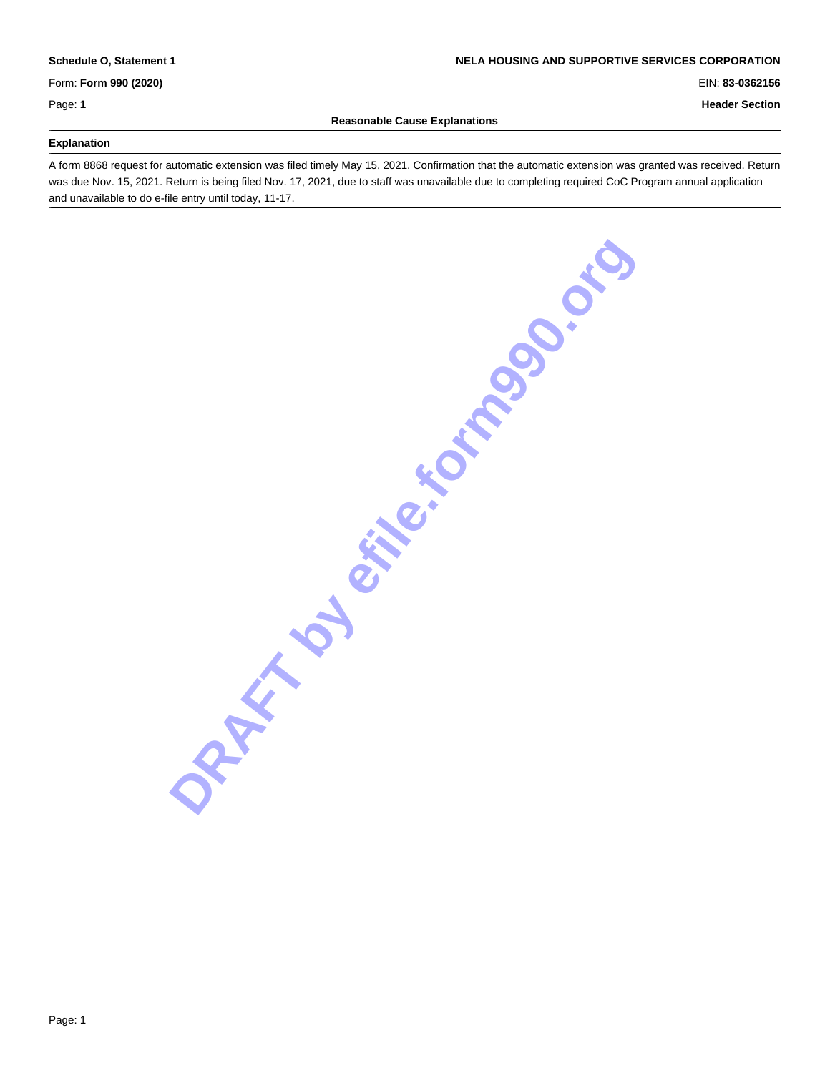Form: **Form 990 (2020)** EIN: **83-0362156**

\_

\_

\_

#### **Schedule O, Statement 1 NELA HOUSING AND SUPPORTIVE SERVICES CORPORATION**

Page: **1 Header Section**

#### **Reasonable Cause Explanations**

#### **Explanation**

A form 8868 request for automatic extension was filed timely May 15, 2021. Confirmation that the automatic extension was granted was received. Return was due Nov. 15, 2021. Return is being filed Nov. 17, 2021, due to staff was unavailable due to completing required CoC Program annual application and unavailable to do e-file entry until today, 11-17.

**DRAFT BY EFFECT PROPOSITION**